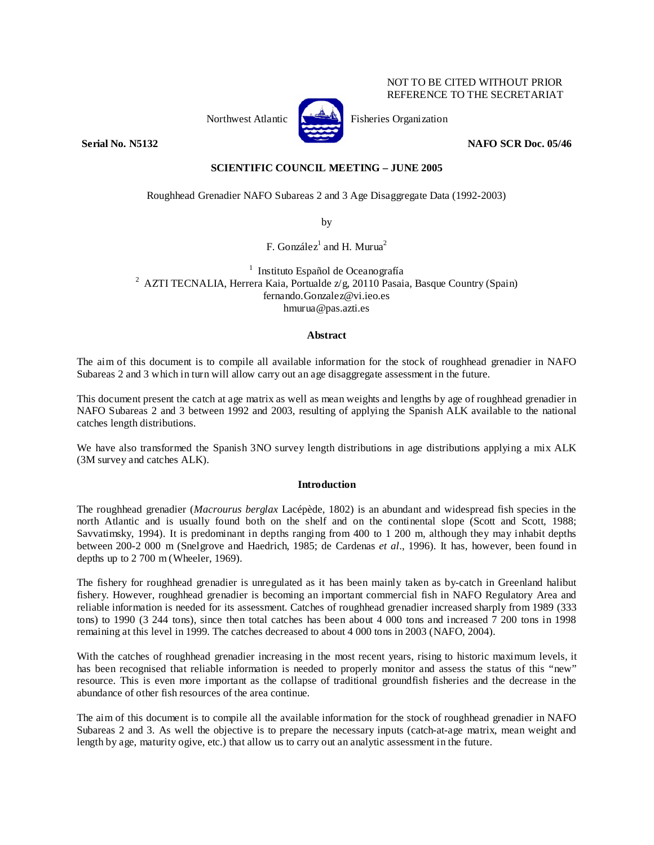## NOT TO BE CITED WITHOUT PRIOR REFERENCE TO THE SECRETARIAT



Northwest Atlantic **Fisheries** Organization

**Serial No. N5132 NAFO SCR Doc. 05/46** 

**SCIENTIFIC COUNCIL MEETING – JUNE 2005** 

Roughhead Grenadier NAFO Subareas 2 and 3 Age Disaggregate Data (1992-2003)

by

F. González $^1$  and H. Murua $^2$ 

<sup>1</sup> Instituto Español de Oceanografía <sup>1</sup> Instituto Español de Oceanografía<br><sup>2</sup> AZTI TECNALIA, Herrera Kaia, Portualde z/g, 20110 Pasaia, Basque Country (Spain) fernando.Gonzalez@vi.ieo.es hmurua@pas.azti.es

# **Abstract**

The aim of this document is to compile all available information for the stock of roughhead grenadier in NAFO Subareas 2 and 3 which in turn will allow carry out an age disaggregate assessment in the future.

This document present the catch at age matrix as well as mean weights and lengths by age of roughhead grenadier in NAFO Subareas 2 and 3 between 1992 and 2003, resulting of applying the Spanish ALK available to the national catches length distributions.

We have also transformed the Spanish 3NO survey length distributions in age distributions applying a mix ALK (3M survey and catches ALK).

# **Introduction**

The roughhead grenadier (*Macrourus berglax* Lacépède, 1802) is an abundant and widespread fish species in the north Atlantic and is usually found both on the shelf and on the continental slope (Scott and Scott, 1988; Savvatimsky, 1994). It is predominant in depths ranging from 400 to 1 200 m, although they may inhabit depths between 200-2 000 m (Snelgrove and Haedrich, 1985; de Cardenas *et al*., 1996). It has, however, been found in depths up to 2 700 m (Wheeler, 1969).

The fishery for roughhead grenadier is unregulated as it has been mainly taken as by-catch in Greenland halibut fishery. However, roughhead grenadier is becoming an important commercial fish in NAFO Regulatory Area and reliable information is needed for its assessment. Catches of roughhead grenadier increased sharply from 1989 (333 tons) to 1990 (3 244 tons), since then total catches has been about 4 000 tons and increased 7 200 tons in 1998 remaining at this level in 1999. The catches decreased to about 4 000 tons in 2003 (NAFO, 2004).

With the catches of roughhead grenadier increasing in the most recent years, rising to historic maximum levels, it has been recognised that reliable information is needed to properly monitor and assess the status of this "new" resource. This is even more important as the collapse of traditional groundfish fisheries and the decrease in the abundance of other fish resources of the area continue.

The aim of this document is to compile all the available information for the stock of roughhead grenadier in NAFO Subareas 2 and 3. As well the objective is to prepare the necessary inputs (catch-at-age matrix, mean weight and length by age, maturity ogive, etc.) that allow us to carry out an analytic assessment in the future.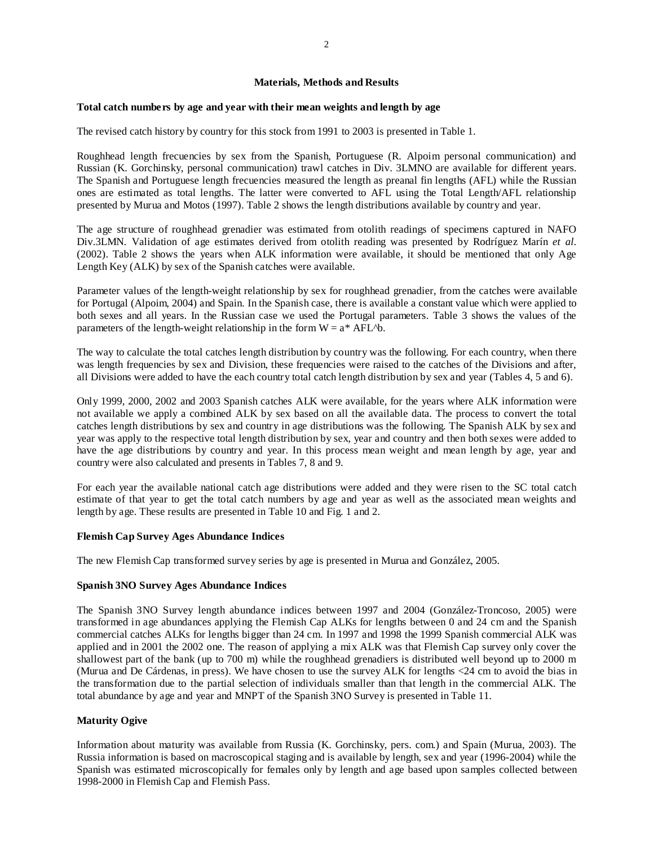## **Materials, Methods and Results**

#### **Total catch numbers by age and year with their mean weights and length by age**

The revised catch history by country for this stock from 1991 to 2003 is presented in Table 1.

Roughhead length frecuencies by sex from the Spanish, Portuguese (R. Alpoim personal communication) and Russian (K. Gorchinsky, personal communication) trawl catches in Div. 3LMNO are available for different years. The Spanish and Portuguese length frecuencies measured the length as preanal fin lengths (AFL) while the Russian ones are estimated as total lengths. The latter were converted to AFL using the Total Length/AFL relationship presented by Murua and Motos (1997). Table 2 shows the length distributions available by country and year.

The age structure of roughhead grenadier was estimated from otolith readings of specimens captured in NAFO Div.3LMN. Validation of age estimates derived from otolith reading was presented by Rodríguez Marín *et al.* (2002). Table 2 shows the years when ALK information were available, it should be mentioned that only Age Length Key (ALK) by sex of the Spanish catches were available.

Parameter values of the length-weight relationship by sex for roughhead grenadier, from the catches were available for Portugal (Alpoim, 2004) and Spain. In the Spanish case, there is available a constant value which were applied to both sexes and all years. In the Russian case we used the Portugal parameters. Table 3 shows the values of the parameters of the length-weight relationship in the form  $W = a^* AFL^b$ .

The way to calculate the total catches length distribution by country was the following. For each country, when there was length frequencies by sex and Division, these frequencies were raised to the catches of the Divisions and after, all Divisions were added to have the each country total catch length distribution by sex and year (Tables 4, 5 and 6).

Only 1999, 2000, 2002 and 2003 Spanish catches ALK were available, for the years where ALK information were not available we apply a combined ALK by sex based on all the available data. The process to convert the total catches length distributions by sex and country in age distributions was the following. The Spanish ALK by sex and year was apply to the respective total length distribution by sex, year and country and then both sexes were added to have the age distributions by country and year. In this process mean weight and mean length by age, year and country were also calculated and presents in Tables 7, 8 and 9.

For each year the available national catch age distributions were added and they were risen to the SC total catch estimate of that year to get the total catch numbers by age and year as well as the associated mean weights and length by age. These results are presented in Table 10 and Fig. 1 and 2.

#### **Flemish Cap Survey Ages Abundance Indices**

The new Flemish Cap transformed survey series by age is presented in Murua and González, 2005.

## **Spanish 3NO Survey Ages Abundance Indices**

The Spanish 3NO Survey length abundance indices between 1997 and 2004 (González-Troncoso, 2005) were transformed in age abundances applying the Flemish Cap ALKs for lengths between 0 and 24 cm and the Spanish commercial catches ALKs for lengths bigger than 24 cm. In 1997 and 1998 the 1999 Spanish commercial ALK was applied and in 2001 the 2002 one. The reason of applying a mix ALK was that Flemish Cap survey only cover the shallowest part of the bank (up to 700 m) while the roughhead grenadiers is distributed well beyond up to 2000 m (Murua and De Cárdenas, in press). We have chosen to use the survey ALK for lengths <24 cm to avoid the bias in the transformation due to the partial selection of individuals smaller than that length in the commercial ALK. The total abundance by age and year and MNPT of the Spanish 3NO Survey is presented in Table 11.

## **Maturity Ogive**

Information about maturity was available from Russia (K. Gorchinsky, pers. com.) and Spain (Murua, 2003). The Russia information is based on macroscopical staging and is available by length, sex and year (1996-2004) while the Spanish was estimated microscopically for females only by length and age based upon samples collected between 1998-2000 in Flemish Cap and Flemish Pass.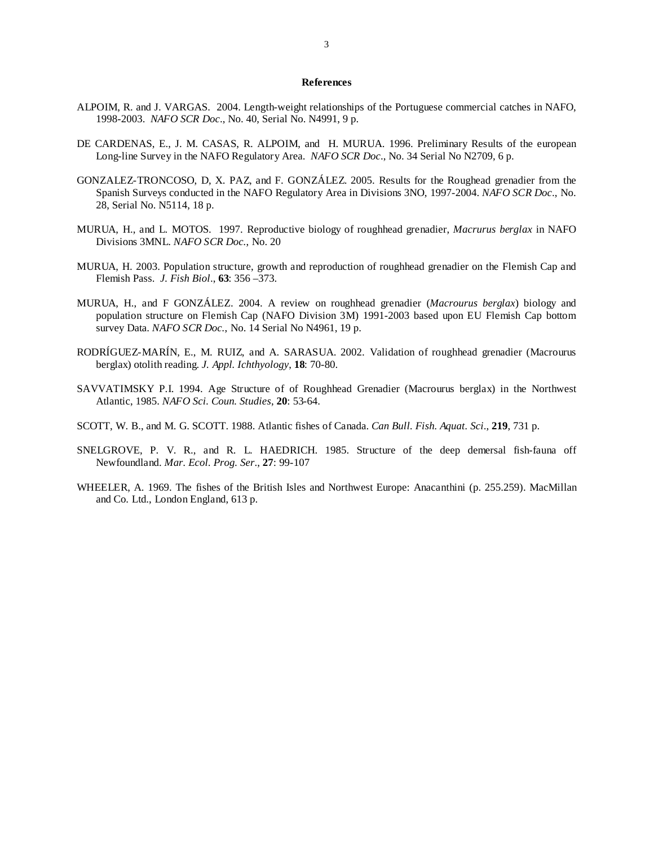#### **References**

- ALPOIM, R. and J. VARGAS. 2004. Length-weight relationships of the Portuguese commercial catches in NAFO, 1998-2003. *NAFO SCR Doc*., No. 40, Serial No. N4991, 9 p.
- DE CARDENAS, E., J. M. CASAS, R. ALPOIM, and H. MURUA. 1996. Preliminary Results of the european Long-line Survey in the NAFO Regulatory Area. *NAFO SCR Doc*., No. 34 Serial No N2709, 6 p.
- GONZALEZ-TRONCOSO, D, X. PAZ, and F. GONZÁLEZ. 2005. Results for the Roughead grenadier from the Spanish Surveys conducted in the NAFO Regulatory Area in Divisions 3NO, 1997-2004. *NAFO SCR Doc*., No. 28, Serial No. N5114, 18 p.
- MURUA, H., and L. MOTOS. 1997. Reproductive biology of roughhead grenadier, *Macrurus berglax* in NAFO Divisions 3MNL. *NAFO SCR Doc.*, No. 20
- MURUA, H. 2003. Population structure, growth and reproduction of roughhead grenadier on the Flemish Cap and Flemish Pass. *J. Fish Biol*., **63**: 356 –373.
- MURUA, H., and F GONZÁLEZ. 2004. A review on roughhead grenadier (*Macrourus berglax*) biology and population structure on Flemish Cap (NAFO Division 3M) 1991-2003 based upon EU Flemish Cap bottom survey Data. *NAFO SCR Doc.*, No. 14 Serial No N4961, 19 p.
- RODRÍGUEZ-MARÍN, E., M. RUIZ, and A. SARASUA. 2002. Validation of roughhead grenadier (Macrourus berglax) otolith reading. *J. Appl. Ichthyology*, **18**: 70-80.
- SAVVATIMSKY P.I. 1994. Age Structure of of Roughhead Grenadier (Macrourus berglax) in the Northwest Atlantic, 1985. *NAFO Sci. Coun. Studies*, **20**: 53-64.
- SCOTT, W. B., and M. G. SCOTT. 1988. Atlantic fishes of Canada. *Can Bull. Fish. Aquat. Sci*., **219**, 731 p.
- SNELGROVE, P. V. R., and R. L. HAEDRICH. 1985. Structure of the deep demersal fish-fauna off Newfoundland. *Mar. Ecol. Prog. Ser*., **27**: 99-107
- WHEELER, A. 1969. The fishes of the British Isles and Northwest Europe: Anacanthini (p. 255.259). MacMillan and Co. Ltd., London England, 613 p.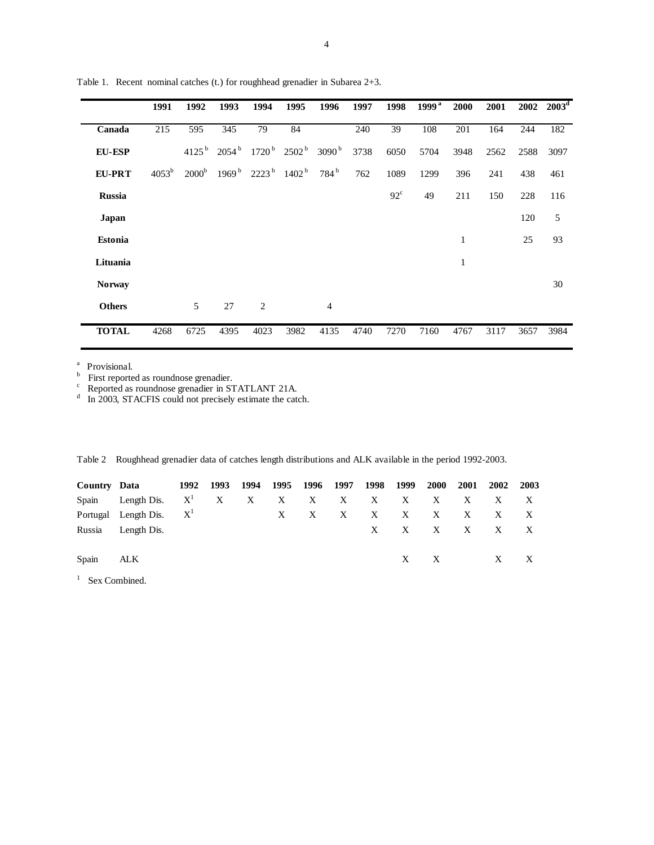|                | 1991              | 1992                | 1993                | 1994                                  | 1995                | 1996              | 1997 | 1998         | 1999 <sup>a</sup> | 2000         | 2001 | 2002 | $2003^{\rm d}$ |
|----------------|-------------------|---------------------|---------------------|---------------------------------------|---------------------|-------------------|------|--------------|-------------------|--------------|------|------|----------------|
| Canada         | 215               | 595                 | 345                 | 79                                    | 84                  |                   | 240  | 39           | 108               | 201          | 164  | 244  | 182            |
| <b>EU-ESP</b>  |                   | $4125^{\mathrm{b}}$ | $2054^{\mathrm{b}}$ | 1720 <sup>b</sup>                     | $2502^{\mathrm{b}}$ | 3090 <sup>b</sup> | 3738 | 6050         | 5704              | 3948         | 2562 | 2588 | 3097           |
| <b>EU-PRT</b>  | 4053 <sup>b</sup> | 2000 <sup>b</sup>   | 1969 <sup>b</sup>   | $2223^{\mathrm{b}}$ 1402 <sup>b</sup> |                     | $784^{\rm b}$     | 762  | 1089         | 1299              | 396          | 241  | 438  | 461            |
| <b>Russia</b>  |                   |                     |                     |                                       |                     |                   |      | $92^{\circ}$ | 49                | 211          | 150  | 228  | 116            |
| Japan          |                   |                     |                     |                                       |                     |                   |      |              |                   |              |      | 120  | 5              |
| <b>Estonia</b> |                   |                     |                     |                                       |                     |                   |      |              |                   | $\mathbf{1}$ |      | 25   | 93             |
| Lituania       |                   |                     |                     |                                       |                     |                   |      |              |                   | 1            |      |      |                |
| <b>Norway</b>  |                   |                     |                     |                                       |                     |                   |      |              |                   |              |      |      | 30             |
| <b>Others</b>  |                   | 5                   | 27                  | $\overline{2}$                        |                     | $\overline{4}$    |      |              |                   |              |      |      |                |
| <b>TOTAL</b>   | 4268              | 6725                | 4395                | 4023                                  | 3982                | 4135              | 4740 | 7270         | 7160              | 4767         | 3117 | 3657 | 3984           |

Table 1. Recent nominal catches (t.) for roughhead grenadier in Subarea 2+3.

<sup>a</sup> Provisional.<br>
<sup>b</sup> First reported as roundnose grenadier in STATLANT 21A.<br>
<sup>d</sup> In 2003, STACFIS could not precisely estimate the catch.

|  |  | Table 2 Roughhead grenadier data of catches length distributions and ALK available in the period 1992-2003. |  |
|--|--|-------------------------------------------------------------------------------------------------------------|--|
|  |  |                                                                                                             |  |

|       | Country Data 1992 1993                 |  | 1994 | 1995 1996 1997 | 1998 1999    |              | 2000 2001    | 2002                    | 2003 |
|-------|----------------------------------------|--|------|----------------|--------------|--------------|--------------|-------------------------|------|
|       | Spain Length Dis. $X^1$ X X X X X X X  |  |      |                |              | $\mathbf{X}$ | $\mathbf{X}$ | X X X                   |      |
|       | Portugal Length Dis. $X^1$ $X$ $X$ $X$ |  |      |                | $\mathbf{X}$ | X            | $\mathbf{X}$ | X X X                   |      |
|       | Russia Length Dis.                     |  |      |                |              |              |              | $X$ $X$ $X$ $X$ $X$ $X$ |      |
|       |                                        |  |      |                |              |              |              |                         |      |
| Spain | ALK                                    |  |      |                |              |              | $X \t X$     | X                       |      |

<sup>1</sup> Sex Combined.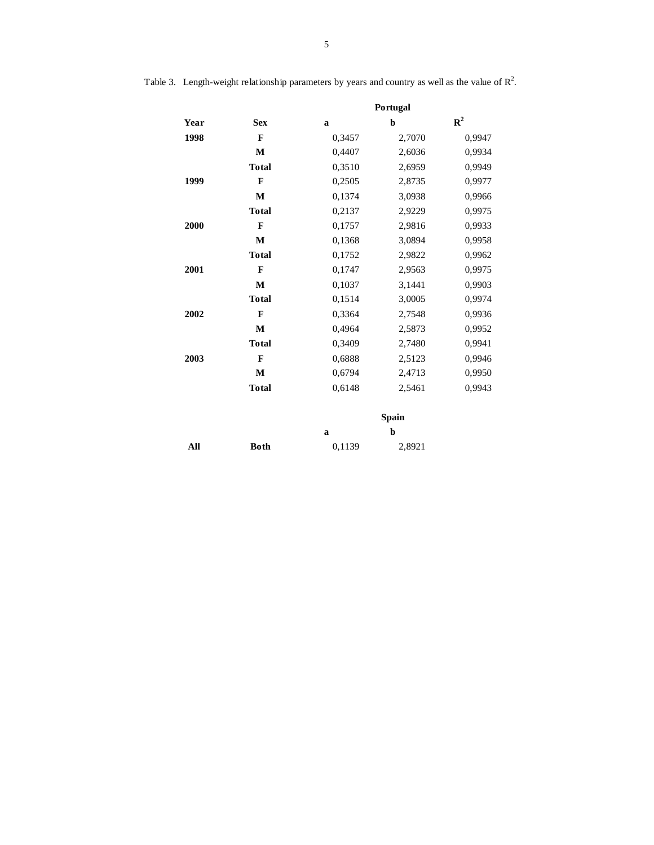|      |              |             | Portugal     |             |
|------|--------------|-------------|--------------|-------------|
| Year | <b>Sex</b>   | $\mathbf a$ | $\mathbf b$  | ${\bf R}^2$ |
| 1998 | $\mathbf{F}$ | 0,3457      | 2,7070       | 0,9947      |
|      | M            | 0,4407      | 2,6036       | 0,9934      |
|      | <b>Total</b> | 0,3510      | 2,6959       | 0,9949      |
| 1999 | $\mathbf{F}$ | 0,2505      | 2,8735       | 0,9977      |
|      | $\mathbf M$  | 0,1374      | 3,0938       | 0,9966      |
|      | <b>Total</b> | 0,2137      | 2,9229       | 0,9975      |
| 2000 | F            | 0,1757      | 2,9816       | 0.9933      |
|      | M            | 0,1368      | 3,0894       | 0,9958      |
|      | <b>Total</b> | 0,1752      | 2,9822       | 0,9962      |
| 2001 | $\mathbf{F}$ | 0,1747      | 2,9563       | 0,9975      |
|      | M            | 0,1037      | 3,1441       | 0,9903      |
|      | <b>Total</b> | 0,1514      | 3,0005       | 0,9974      |
| 2002 | $\mathbf{F}$ | 0,3364      | 2,7548       | 0,9936      |
|      | $\mathbf M$  | 0,4964      | 2,5873       | 0,9952      |
|      | <b>Total</b> | 0,3409      | 2,7480       | 0.9941      |
| 2003 | $\mathbf{F}$ | 0,6888      | 2,5123       | 0,9946      |
|      | M            | 0,6794      | 2,4713       | 0,9950      |
|      | <b>Total</b> | 0,6148      | 2,5461       | 0,9943      |
|      |              |             | <b>Spain</b> |             |
|      |              | $\mathbf a$ | $\mathbf b$  |             |
| All  | <b>Both</b>  | 0,1139      | 2,8921       |             |

|  |  | Table 3. Length-weight relationship parameters by years and country as well as the value of $\mathbb{R}^2$ . |
|--|--|--------------------------------------------------------------------------------------------------------------|
|  |  |                                                                                                              |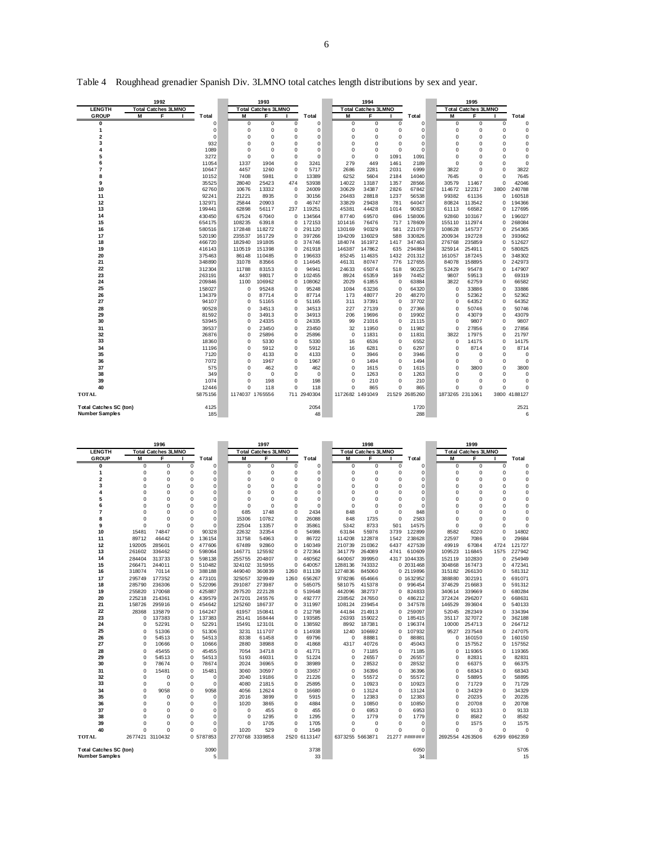|                               | 1992                       |                  |                 | 1993                       |                      |                  |                 | 1994                       |             |                  |                 | 1995                       |                      |                  |
|-------------------------------|----------------------------|------------------|-----------------|----------------------------|----------------------|------------------|-----------------|----------------------------|-------------|------------------|-----------------|----------------------------|----------------------|------------------|
| <b>LENGTH</b>                 | <b>Total Catches 3LMNO</b> |                  |                 | <b>Total Catches 3LMNO</b> |                      |                  |                 | <b>Total Catches 3LMNO</b> |             |                  |                 | <b>Total Catches 3LMNO</b> |                      |                  |
| <b>GROUP</b>                  | M<br>F                     | Total            | M               | F                          |                      | <b>T</b> otal    | M               | F                          |             | Total            | M               | F                          |                      | Total            |
| 0                             |                            | $\mathbf 0$      | $\mathbf 0$     | 0                          | 0                    | $\Omega$         | 0               | 0                          | 0           | $\Omega$         | 0               | $\Omega$                   | 0                    | O                |
| 1                             |                            | $\mathbf 0$      | $\mathbf 0$     | $\mathbf 0$                | $\mathbf 0$          | $\Omega$         | 0               | $\mathbf 0$                | $\Omega$    | $\Omega$         | 0               | $\mathbf 0$                | 0                    |                  |
| $\overline{2}$                |                            | $\mathbf 0$      | $\mathbf 0$     | 0                          | $\Omega$             | $\Omega$         | 0               | $\mathbf 0$                | $\Omega$    | O                | 0               | $\mathbf 0$                | $\Omega$             | O                |
| 3                             |                            | 932              | $\mathbf 0$     | 0                          | $\Omega$             | $\Omega$         | 0               | $\mathbf 0$                | $\Omega$    |                  | O               | $\Omega$                   | $\Omega$             |                  |
| 4                             |                            | 1089             | $\mathbf 0$     | 0                          | $\Omega$             | $\Omega$         | 0               | $\mathbf 0$                | $\Omega$    | $\Omega$         | O               | $\Omega$                   | $\Omega$             |                  |
| 5                             |                            | 3272             | $\mathbf 0$     | 0                          | $\Omega$             | $\Omega$         | $\mathbf 0$     | $\mathbf 0$                | 1091        | 1091             | O               | $\Omega$                   | $\Omega$             | $\Omega$         |
| 6                             |                            | 11054            | 1337            | 1904                       | $\Omega$             | 3241             | 279             | 449                        | 1461        | 2189             | $\Omega$        | $\Omega$                   | $\Omega$             | $\Omega$         |
| 7                             |                            | 10647            | 4457            | 1260                       | $\mathbf 0$          | 5717             | 2686            | 2281                       | 2031        | 6999             | 3822            | $\mathbf 0$                | $\Omega$             | 3822             |
| 8                             |                            | 10152            | 7408            | 5981                       | $\mathbf 0$          | 13389            | 6252            | 5604                       | 2184        | 14040            | 7645            | $\mathbf 0$                | $\Omega$             | 7645             |
| 9                             |                            | 35525            | 28040           | 25423                      | 474                  | 53938            | 14022           | 13187                      | 1357        | 28566            | 30579           | 11467                      | $\Omega$             | 42046            |
| 10                            |                            | 62760            | 10676           | 13332                      | $\mathbf 0$          | 24009            | 30629           | 34387                      | 2826        | 67842            | 114672          | 122317                     | 3800                 | 240788           |
| 11                            |                            | 92241            | 21221           | 8935                       | $\mathbf 0$          | 30156            | 26483           | 28818                      | 1237        | 56538            | 99382           | 61136                      | $\Omega$             | 160518           |
| 12                            |                            | 132971           | 25844           | 20903                      | $\Omega$             | 46747            | 33829           | 29438                      | 781         | 64047            | 80824           | 113542                     | O                    | 194366           |
| 13<br>14                      |                            | 199441           | 62898           | 56117                      | 237                  | 119251           | 45381           | 44428                      | 1014        | 90823            | 61113           | 66582                      | $\Omega$             | 127695           |
|                               |                            | 430450<br>654175 | 67524<br>108235 | 67040<br>63918             | $\Omega$<br>$\Omega$ | 134564<br>172153 | 87740<br>101416 | 69570<br>76476             | 696<br>717  | 158006<br>178609 | 92860<br>155110 | 103167<br>112974           | $\Omega$<br>$\Omega$ | 196027<br>268084 |
| 15<br>16                      |                            | 580516           | 172848          | 118272                     | 0                    | 291120           | 130169          | 90329                      | 581         | 221079           | 108628          | 145737                     | $\Omega$             | 254365           |
| 17                            |                            |                  | 235537          | 161729                     | $\Omega$             | 397266           | 194209          | 136029                     |             | 330826           | 200934          | 192728                     | O                    | 393662           |
| 18                            |                            | 520190<br>466720 | 182940          | 191805                     | 0                    | 374746           | 184074          | 161972                     | 588<br>1417 | 347463           | 276768          | 235859                     | $\Omega$             | 512627           |
| 19                            |                            | 416143           | 110519          | 151398                     | 0                    | 261918           | 146387          | 147862                     | 635         | 294884           | 325914          | 254911                     | O                    | 580825           |
| 20                            |                            | 375463           | 86148           | 110485                     | 0                    | 196633           | 85245           | 114635                     | 1432        | 201312           | 161057          | 187245                     | $\Omega$             | 348302           |
| 21                            |                            | 348890           | 31078           | 83566                      | 0                    | 114645           | 46131           | 80747                      | 776         | 127655           | 84078           | 158895                     | $\Omega$             | 242973           |
| 22                            |                            | 312304           | 11788           | 83153                      | $\Omega$             | 94941            | 24633           | 65074                      | 518         | 90225            | 52429           | 95478                      | $\Omega$             | 147907           |
| 23                            |                            | 263191           | 4437            | 98017                      | 0                    | 102455           | 8924            | 65359                      | 169         | 74452            | 9807            | 59513                      | $\Omega$             | 69319            |
| 24                            |                            | 209846           | 1100            | 106962                     | 0                    | 108062           | 2029            | 61855                      | 0           | 63884            | 3822            | 62759                      | $\Omega$             | 66582            |
| 25                            |                            | 158027           | $\mathbf 0$     | 95248                      | $\mathbf 0$          | 95248            | 1084            | 63236                      | $\mathbf 0$ | 64320            | 0               | 33886                      | $\Omega$             | 33886            |
| 26                            |                            | 134379           | $\mathbf 0$     | 87714                      | 0                    | 87714            | 173             | 48077                      | 20          | 48270            | 0               | 52362                      | $\Omega$             | 52362            |
| 27                            |                            | 94107            | $\mathbf 0$     | 51165                      | 0                    | 51165            | 311             | 37391                      | $\mathbf 0$ | 37702            | 0               | 64352                      | $\Omega$             | 64352            |
| 28                            |                            | 90528            | $\mathbf 0$     | 34513                      | $\mathbf 0$          | 34513            | 227             | 27139                      | $\mathbf 0$ | 27366            | 0               | 50746                      | $\Omega$             | 50746            |
| 29                            |                            | 81592            | $\mathbf 0$     | 34913                      | $\Omega$             | 34913            | 206             | 19696                      | $\Omega$    | 19902            | 0               | 43079                      | $\Omega$             | 43079            |
| 30                            |                            | 53945            | $\mathbf 0$     | 24335                      | $\mathbf 0$          | 24335            | 99              | 21016                      | $\Omega$    | 21115            | 0               | 9807                       | $\Omega$             | 9807             |
| 31                            |                            | 39537            | $\mathbf 0$     | 23450                      | $\mathbf 0$          | 23450            | 32              | 11950                      | $\mathbf 0$ | 11982            | 0               | 27856                      | $\Omega$             | 27856            |
| 32                            |                            | 26876            | $\mathbf 0$     | 25896                      | 0                    | 25896            | $\mathbf 0$     | 11831                      | $\mathbf 0$ | 11831            | 3822            | 17975                      | $\Omega$             | 21797            |
| 33                            |                            | 18360            | $\mathbf 0$     | 5330                       | $\mathbf 0$          | 5330             | 16              | 6536                       | $\mathbf 0$ | 6552             | 0               | 14175                      | 0                    | 14175            |
| 34                            |                            | 11196            | 0               | 5912                       | $\mathbf 0$          | 5912             | 16              | 6281                       | $\Omega$    | 6297             | 0               | 8714                       | $\Omega$             | 8714             |
| 35                            |                            | 7120             | $\mathbf 0$     | 4133                       | $\Omega$             | 4133             | $\Omega$        | 3946                       | $\Omega$    | 3946             | 0               | $\Omega$                   | $\Omega$             | 0                |
| 36                            |                            | 7072             | $\mathbf 0$     | 1967                       | 0                    | 1967             | $\mathbf 0$     | 1494                       | $\Omega$    | 1494             | 0               | $\mathbf 0$                | $\Omega$             |                  |
| 37                            |                            | 575              | $\mathbf 0$     | 462                        | 0                    | 462              | 0               | 1615                       | $\Omega$    | 1615             | 0               | 3800                       | $\Omega$             | 3800             |
| 38                            |                            | 349              | $\mathbf 0$     | $\mathbf 0$                | 0                    | 0                | 0               | 1263                       | $\mathbf 0$ | 1263             | 0               | $\mathbf 0$                | $\Omega$             | O                |
| 39                            |                            | 1074             | $\mathbf 0$     | 198                        | $\Omega$             | 198              | 0               | 210                        | $\Omega$    | 210              | 0               | $\mathbf 0$                | $\Omega$             | $\Omega$         |
| 40                            |                            | 12446            | $\Omega$        | 118                        | $\Omega$             | 118              | 0               | 865                        | $\Omega$    | 865              | 0               | $\mathbf 0$                | $\Omega$             | $\Omega$         |
| <b>TOTAL</b>                  |                            | 5875156          | 1174037 1765556 |                            |                      | 711 2940304      | 1172682 1491049 |                            |             | 21529 2685260    | 1873265 2311061 |                            |                      | 3800 4188127     |
| <b>Total Catches SC (ton)</b> |                            | 4125             |                 |                            |                      | 2054             |                 |                            |             | 1720             |                 |                            |                      | 2521             |
| <b>Number Samples</b>         |                            | 185              |                 |                            |                      | 48               |                 |                            |             | 288              |                 |                            |                      | 6                |

Table 4 Roughhead grenadier Spanish Div. 3LMNO total catches length distributions by sex and year.

|                               |                  | 1996                       |          |                  |                  | 1997                       |               |                  |                   | 1998                       |             |                           |                  | 1999                       |                      |                  |
|-------------------------------|------------------|----------------------------|----------|------------------|------------------|----------------------------|---------------|------------------|-------------------|----------------------------|-------------|---------------------------|------------------|----------------------------|----------------------|------------------|
| <b>LENGTH</b>                 |                  | <b>Total Catches 3LMNO</b> |          |                  |                  | <b>Total Catches 3LMNO</b> |               |                  |                   | <b>Total Catches 3LMNO</b> |             |                           |                  | <b>Total Catches 3LMNO</b> |                      |                  |
| <b>GROUP</b>                  | M                | F                          |          | <b>T</b> otal    | М                | F                          | л.            | <b>T</b> otal    | M                 | F                          |             | Total                     | M                | F                          | л                    | Total            |
| 0                             | 0                | 0                          | 0        | 0                | 0                | 0                          | $^{\circ}$    | 0                | $\mathbf 0$       | $\Omega$                   | $^{\circ}$  | $\mathbf 0$               | 0                | $\Omega$                   | 0                    | $\Omega$         |
| 1                             | $\Omega$         | $\Omega$                   | 0        | 0                | $\Omega$         | $\Omega$                   | $\mathbf 0$   | 0                | $\mathbf 0$       | 0                          | $\Omega$    | $\Omega$                  | 0                | 0                          | $\mathbf 0$          | 0                |
| 2                             | $\Omega$         | $\Omega$                   | $\Omega$ | $\Omega$         | $\Omega$         | $\Omega$                   | $\Omega$      | 0                | $\Omega$          | $\Omega$                   | $\Omega$    | $\Omega$                  | $\Omega$         | $\Omega$                   | $\Omega$             | $\Omega$         |
| 3                             | $\Omega$         | $\Omega$                   | $\Omega$ | 0                | $\Omega$         | $\Omega$                   | $\Omega$      | 0                | $\Omega$          | $\Omega$                   | $\Omega$    | O                         | 0                | 0                          | $\mathbf 0$          | 0                |
| 4                             | O                | $\Omega$                   | $\Omega$ | $\Omega$         | $\Omega$         | $\Omega$                   | $\Omega$      | 0                | $\Omega$          | $\Omega$                   | $\Omega$    | O                         | 0                | $\Omega$                   | $\mathbf 0$          | $\Omega$         |
| 5                             | C                | $\Omega$                   | $\Omega$ | $\Omega$         | $\Omega$         | $\Omega$                   | $\Omega$      | $\Omega$         | $\Omega$          | $\Omega$                   | $\Omega$    | $\Omega$                  | O                | $\Omega$                   | $\Omega$             | $\Omega$         |
| 6                             | O                | $\Omega$                   | 0        | 0                | $\mathbf 0$      | $\mathbf 0$                | $\mathbf 0$   | 0                | $\Omega$          | 0                          | $\Omega$    | $\Omega$                  | 0                | 0                          | $\mathbf 0$          | 0                |
| $\overline{7}$                | O                | $\Omega$                   | $\Omega$ | $\Omega$         | 685              | 1748                       | $\mathbf 0$   | 2434             | 848               | $\Omega$                   | $\Omega$    | 848                       | 0                | $\Omega$                   | $\mathbf 0$          | $\Omega$         |
| 8                             | $\Omega$         | $\Omega$                   | $\Omega$ | 0                | 15306            | 10782                      | 0             | 26088            | 848               | 1735                       | $\Omega$    | 2583                      | O                | 0                          | $^{\circ}$           | 0                |
| 9                             | $\Omega$         | $\Omega$                   | 0        | $\Omega$         | 22504            | 13357                      | 0             | 35861            | 5342              | 8733                       | 501         | 14575                     | $\Omega$         | 0                          | $\mathbf 0$          | $\Omega$         |
| 10                            | 15481            | 74847                      | 0        | 90328            | 22632            | 32354                      | $\Omega$      | 54986            | 63184             | 55976                      | 3739        | 122899                    | 8582             | 6220                       | $\mathbf 0$          | 14802            |
| 11                            | 89712            | 46442                      | 0        | 136154           | 31758            | 54963                      | $\Omega$      | 86722            | 114208            | 122878                     | 1542        | 238628                    | 22597            | 7086                       | $\Omega$             | 29684            |
| 12                            | 192005           | 285601                     | 0        | 477606           | 67489            | 92860                      | $\Omega$      | 160349           | 210739            | 210362                     | 6437        | 427539                    | 49919            | 67084                      | 4724                 | 121727           |
| 13                            | 261602           | 336462                     | $\Omega$ | 598064           | 146771           | 125592                     | $\Omega$      | 272364           | 341779            | 264089                     | 4741        | 610609                    | 109523           | 116845                     | 1575                 | 227942           |
| 14<br>15                      | 284404<br>266471 | 313733<br>244011           | 0        | 598138<br>510482 | 255755<br>324102 | 204807<br>315955           | 0<br>$\Omega$ | 460562<br>640057 | 640067<br>1288136 | 399950<br>743332           |             | 4317 1044335<br>0 2031468 | 152119<br>304868 | 102830<br>167473           | $\Omega$<br>$\Omega$ | 254949<br>472341 |
| 16                            | 318074           | 70114                      | 0<br>0   | 388188           | 449040           | 360839                     | 1260          | 811139           | 1274836           | 845060                     |             | 0 2119896                 | 315182           | 266130                     | $\Omega$             | 581312           |
| 17                            | 295749           | 177352                     | $\Omega$ | 473101           | 325057           | 329949                     | 1260          | 656267           | 978286            | 654666                     | $\Omega$    | 1632952                   | 388880           | 302191                     | $\Omega$             | 691071           |
| 18                            | 285790           | 236306                     | 0        | 522096           | 291087           | 273987                     | 0             | 565075           | 581075            | 415378                     | 0           | 996454                    | 374629           | 216683                     | O                    | 591312           |
| 19                            | 255820           | 170068                     | 0        | 425887           | 297520           | 222128                     | 0             | 519648           | 442096            | 382737                     | $\Omega$    | 824833                    | 340614           | 339669                     | $\Omega$             | 680284           |
| 20                            | 225218           | 214361                     | $\Omega$ | 439579           | 247201           | 245576                     | $\Omega$      | 492777           | 238562            | 247650                     | $\Omega$    | 486212                    | 372424           | 296207                     | $\Omega$             | 668631           |
| 21                            | 158726           | 295916                     | 0        | 454642           | 125260           | 186737                     | 0             | 311997           | 108124            | 239454                     | $\Omega$    | 347578                    | 146529           | 393604                     | $\Omega$             | 540133           |
| 22                            | 28368            | 135879                     | $\Omega$ | 164247           | 61957            | 150841                     | $\Omega$      | 212798           | 44184             | 214913                     | 0           | 259097                    | 52045            | 282349                     | O                    | 334394           |
| 23                            | 0                | 137383                     | 0        | 137383           | 25141            | 168444                     | 0             | 193585           | 26393             | 159022                     | 0           | 185415                    | 35117            | 327072                     | $\Omega$             | 362188           |
| 24                            | $\mathbf 0$      | 52291                      | 0        | 52291            | 15491            | 123101                     | 0             | 138592           | 8992              | 187381                     | O           | 196374                    | 10000            | 254713                     | O                    | 264712           |
| 25                            | $\mathbf 0$      | 51306                      | 0        | 51306            | 3231             | 111707                     | 0             | 114938           | 1240              | 106692                     | $\Omega$    | 107932                    | 9527             | 237548                     | $\Omega$             | 247075           |
| 26                            | $\Omega$         | 54513                      | 0        | 54513            | 8338             | 61458                      | 0             | 69796            | $\mathbf 0$       | 88881                      | 0           | 88881                     | $\Omega$         | 160150                     | $\Omega$             | 160150           |
| 27                            | $\Omega$         | 10666                      | 0        | 10666            | 2880             | 38988                      | $\Omega$      | 41868            | 4317              | 40726                      | $\Omega$    | 45043                     | O                | 157552                     | $\Omega$             | 157552           |
| 28                            | $\Omega$         | 45455                      | $\Omega$ | 45455            | 7054             | 34718                      | $\Omega$      | 41771            | $\Omega$          | 71185                      | $\mathbf 0$ | 71185                     | 0                | 119365                     | $\Omega$             | 119365           |
| 29                            | $\Omega$         | 54513                      | $\Omega$ | 54513            | 5193             | 46031                      | $\mathbf 0$   | 51224            | $\Omega$          | 26557                      | $\Omega$    | 26557                     | $\Omega$         | 82831                      | $\Omega$             | 82831            |
| 30                            | $\Omega$         | 78674                      | $\Omega$ | 78674            | 2024             | 36965                      | $\mathbf 0$   | 38989            | $\mathbf 0$       | 28532                      | $\mathbf 0$ | 28532                     | O                | 66375                      | $\mathbf 0$          | 66375            |
| 31                            | $\Omega$         | 15481                      | 0        | 15481            | 3060             | 30597                      | $\mathbf 0$   | 33657            | $\Omega$          | 36396                      | $\mathbf 0$ | 36396                     | $\Omega$         | 68343                      | $\mathbf 0$          | 68343            |
| 32                            | $\Omega$         | $\Omega$                   | 0        | $\Omega$         | 2040             | 19186                      | $\Omega$      | 21226            | $\Omega$          | 55572                      | $\Omega$    | 55572                     | $\Omega$         | 58895                      | $\Omega$             | 58895            |
| 33                            | $\mathbf 0$      | $\Omega$                   | $\Omega$ | $\Omega$         | 4080             | 21815                      | $\mathbf 0$   | 25895            | $\Omega$          | 10923                      | $\Omega$    | 10923                     | C                | 71729                      | C                    | 71729            |
| 34                            | $\Omega$         | 9058                       | 0        | 9058             | 4056             | 12624                      | 0             | 16680            | $\Omega$          | 13124                      | $\Omega$    | 13124                     | $\Omega$         | 34329                      | $\mathbf 0$          | 34329            |
| 35                            | $\Omega$         | O                          | 0        | O                | 2016             | 3899                       | $\mathbf 0$   | 5915             | $\Omega$          | 12383                      | $\mathbf 0$ | 12383                     | 0                | 20235                      | $\mathbf 0$          | 20235            |
| 36                            | $\Omega$         | $\Omega$                   | 0        | 0                | 1020             | 3865                       | $\mathbf 0$   | 4884             | $^{\circ}$        | 10850                      | 0           | 10850                     | $\Omega$         | 20708                      | $\mathbf 0$          | 20708            |
| 37                            | C                | $\Omega$                   | $\Omega$ | 0                | $\mathbf 0$      | 455                        | $\mathbf 0$   | 455              | $\mathbf 0$       | 6953                       | 0           | 6953                      | $\mathbf 0$      | 9133                       | $\mathbf 0$          | 9133             |
| 38                            | $\Omega$         | $\Omega$                   | $\Omega$ | 0                | $\mathbf 0$      | 1295                       | $\mathbf 0$   | 1295             | $\mathbf 0$       | 1779                       | 0           | 1779                      | 0                | 8582                       | $\mathbf 0$          | 8582             |
| 39                            | $\Omega$         | $\Omega$                   | $\Omega$ | 0                | $\mathbf 0$      | 1705                       | $\mathbf 0$   | 1705             | $\Omega$          | 0                          | $\mathbf 0$ | 0                         | O                | 1575                       | $\Omega$             | 1575             |
| 40                            | $\Omega$         | $\Omega$                   | $\Omega$ | $\Omega$         | 1020             | 529                        | $\Omega$      | 1549             | $\Omega$          | $\Omega$                   | $\Omega$    | $\epsilon$                | $\Omega$         | $\Omega$                   | $\Omega$             | $\Omega$         |
| <b>TOTAL</b>                  | 2677421 3110432  |                            |          | 0 5787853        | 2770768 3339858  |                            |               | 2520 6113147     | 6373255 5663871   |                            |             | 21277 #######             | 2692554 4263506  |                            |                      | 6299 6962359     |
| <b>Total Catches SC (ton)</b> |                  |                            |          | 3090             |                  |                            |               | 3738             |                   |                            |             | 6050                      |                  |                            |                      | 5705             |

**Number Samples** 5 33 34 15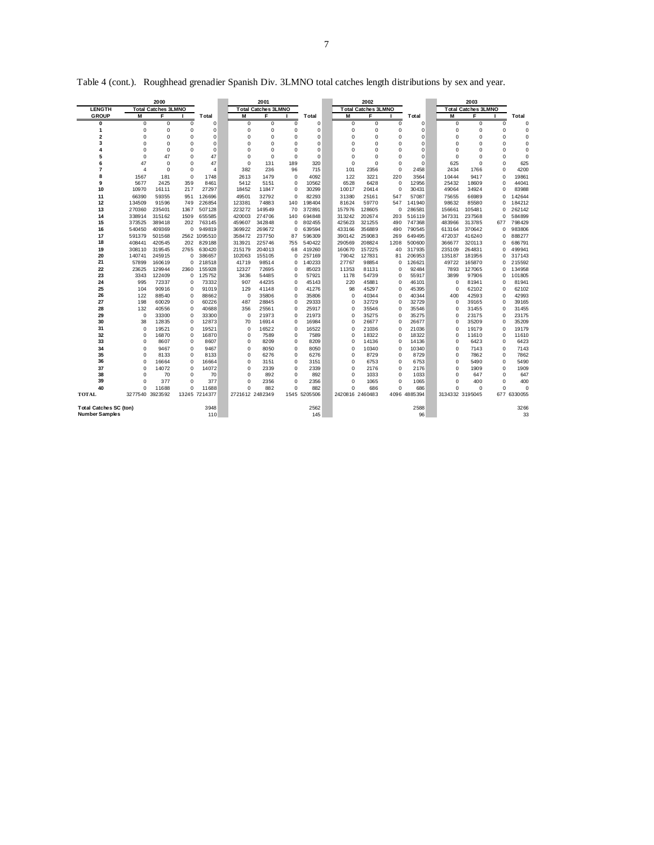|                               |                 | 2000                       |               |                  |                 | 2001                       |                         |                |                 | 2002                       |               |                 |                      | 2003                       |                      |                  |
|-------------------------------|-----------------|----------------------------|---------------|------------------|-----------------|----------------------------|-------------------------|----------------|-----------------|----------------------------|---------------|-----------------|----------------------|----------------------------|----------------------|------------------|
| <b>LENGTH</b>                 |                 | <b>Total Catches 3LMNO</b> |               |                  |                 | <b>Total Catches 3LMNO</b> |                         |                |                 | <b>Total Catches 3LMNO</b> |               |                 |                      | <b>Total Catches 3LMNO</b> |                      |                  |
| <b>GROUP</b>                  | M               | F                          |               | <b>T</b> otal    | M               | F                          |                         | <b>Total</b>   | M               | F                          |               | Total           | M                    | F                          |                      | Total            |
| 0                             | $\Omega$        | $\Omega$                   | 0             | $\mathbf 0$      | $\mathbf 0$     | 0                          | 0                       | $\Omega$       | 0               | $\Omega$                   | $\Omega$      | $\Omega$        | 0                    | $\Omega$                   | $\Omega$             | $\Omega$         |
| 1                             | 0               | $\mathbf 0$                | 0             | $\mathbf 0$      | $\mathbf 0$     | 0                          | 0                       | 0              | $\mathbf 0$     | $\mathbf 0$                | 0             | $\Omega$        | 0                    | 0                          | $\mathbf 0$          |                  |
| $\overline{2}$                | $\Omega$        | $\Omega$                   | $\Omega$      | $\mathbf 0$      | $\Omega$        | 0                          | $\Omega$                | 0              | 0               | $\mathbf 0$                | 0             | $\Omega$        | $\Omega$             | $\Omega$                   | $\mathbf 0$          | $\Omega$         |
| 3                             | $\Omega$        | $\Omega$                   | $\Omega$      | $\Omega$         | $\mathbf 0$     | $\Omega$                   | $\Omega$                | $\Omega$       | 0               | $\Omega$                   | $\Omega$      | $\Omega$        | $\Omega$             | O                          | $\Omega$             | $\Omega$         |
| 4                             | 0               | $\Omega$                   | $\Omega$      | $\Omega$         | $\Omega$        | 0                          | $\Omega$                | $\Omega$       | 0               | $\Omega$                   | $\Omega$      | $\Omega$        | $\Omega$             | O                          | $\Omega$             | $\Omega$         |
| 5                             | 0               | 47                         | 0             | 47               | $\mathbf 0$     | 0                          | $\mathbf 0$             | $\mathbf 0$    | $\mathbf 0$     | $\mathbf 0$                | 0             | $\Omega$        | $\mathbf 0$          | O                          | $\mathbf 0$          | $\mathbf 0$      |
| 6                             | 47              | $\Omega$                   | $\Omega$      | 47               | $\Omega$        | 131                        | 189                     | 320            | $\Omega$        | $\Omega$                   | $\Omega$      | $\Omega$        | 625                  | $\Omega$                   | $\Omega$             | 625              |
| 7                             | 4               | $\Omega$                   | $\Omega$      | Δ                | 382             | 236                        | 96                      | 715            | 101             | 2356                       | $\Omega$      | 2458            | 2434                 | 1766                       | $\Omega$             | 4200             |
| 8                             | 1567            | 181                        | 0             | 1748             | 2613            | 1479                       | $\mathbf 0$             | 4092           | 122             | 3221                       | 220           | 3564            | 10444                | 9417                       | $\Omega$             | 19861            |
| 9                             | 5677            | 2425                       | 359           | 8461             | 5412            | 5151                       | $\mathbf 0$             | 10562          | 6528            | 6428                       | 0             | 12956           | 25432                | 18609                      | $\Omega$             | 44041            |
| 10                            | 10970           | 16111                      | 217           | 27297            | 18452           | 11847                      | $\mathbf 0$             | 30299          | 10017           | 20414                      | 0             | 30431           | 49064                | 34924                      | $\Omega$             | 83988            |
| 11                            | 66390           | 59355                      | 951           | 126696           | 49501           | 32792                      | $\Omega$                | 82293          | 31380           | 25161                      | 547           | 57087           | 75655                | 66989                      | $\Omega$             | 142644           |
| 12                            | 134509          | 91596                      | 749           | 226854           | 123381          | 74883                      | 140                     | 198404         | 81624           | 59770                      | 547           | 141940          | 98632                | 85580                      | $\Omega$             | 184212           |
| 13                            | 270360          | 235401                     | 1367          | 507128           | 223272          | 149549                     | 70                      | 372891         | 157976          | 128605                     | 0             | 286581          | 156661               | 105481                     | $\Omega$             | 262142           |
| 14                            | 338914          | 315162                     | 1509          | 655585           | 420003          | 274706                     | 140                     | 694848         | 313242          | 202674                     | 203           | 516119          | 347331               | 237568                     | $\Omega$             | 584899           |
| 15                            | 373525          | 389418                     | 202           | 763145           | 459607          | 342848                     | $\Omega$                | 802455         | 425623          | 321255                     | 490           | 747368          | 483966               | 313785                     | 677                  | 798429           |
| 16                            | 540450          | 409369                     | 0             | 949819           | 369922          | 269672                     | $\Omega$                | 639594         | 433166          | 356889                     | 490           | 790545          | 613164               | 370642                     | $\Omega$             | 983806           |
| 17                            | 591379          | 501568                     |               | 2562 1095510     | 358472          | 237750                     | 87                      | 596309         | 390142          | 259083                     | 269           | 649495          | 472037               | 416240                     | $\Omega$             | 888277           |
| 18                            | 408441          | 420545                     | 202           | 829188           | 313921          | 225746                     | 755                     | 540422         | 290569          | 208824                     | 1208          | 500600          | 366677               | 320113                     | $\Omega$             | 686791           |
| 19                            | 308110          | 319545                     | 2765          | 630420           | 215179          | 204013                     | 68                      | 419260         | 160670          | 157225                     | 40            | 317935          | 235109               | 264831                     | $\Omega$             | 499941           |
| 20                            | 140741          | 245915                     | $\Omega$      | 386657           | 102063          | 155105                     | $\Omega$                | 257169         | 79042           | 127831                     | 81            | 206953          | 135187               | 181956                     | $\Omega$             | 317143           |
| 21                            | 57899           | 160619                     | 0             | 218518           | 41719           | 98514                      | 0                       | 140233         | 27767           | 98854                      | 0<br>$\Omega$ | 126621<br>92484 | 49722                | 165870<br>127065           | $\Omega$             | 215592<br>134958 |
| 22<br>23                      | 23625           | 129944<br>122409           | 2360          | 155928<br>125752 | 12327<br>3436   | 72695                      | $\Omega$                | 85023<br>57921 | 11353<br>1178   | 81131                      |               | 55917           | 7893<br>3899         | 97906                      | $\Omega$<br>$\Omega$ | 101805           |
|                               | 3343            |                            | 0             |                  |                 | 54485                      | 0                       |                |                 | 54739                      | 0             |                 |                      |                            |                      |                  |
| 24<br>25                      | 995<br>104      | 72337                      | $\Omega$<br>0 | 73332<br>91019   | 907<br>129      | 44235                      | $\Omega$<br>$\mathbf 0$ | 45143<br>41276 | 220<br>98       | 45881<br>45297             | $\Omega$<br>0 | 46101           | $\Omega$<br>$\Omega$ | 81941<br>62102             | $\Omega$<br>$\Omega$ | 81941<br>62102   |
| 26                            | 122             | 90916                      | $\Omega$      | 88662            | $\mathbf 0$     | 41148                      | $\mathbf 0$             |                | $\Omega$        | 40344                      | 0             | 45395           |                      | 42593                      | $\Omega$             | 42993            |
| 27                            | 198             | 88540<br>60029             | 0             | 60226            | 487             | 35806<br>28845             | 0                       | 35806<br>29333 | $\Omega$        | 32729                      | 0             | 40344<br>32729  | 400<br>$\Omega$      | 39165                      | $\Omega$             | 39165            |
| 28                            | 132             | 40556                      | 0             | 40688            | 356             | 25561                      | $\Omega$                | 25917          | $\Omega$        | 35546                      | 0             | 35546           | $\Omega$             | 31455                      | $\Omega$             | 31455            |
| 29                            | $\mathbf 0$     | 33300                      | 0             | 33300            | 0               | 21973                      | $\mathbf 0$             | 21973          | $\Omega$        | 35275                      | 0             | 35275           | $\Omega$             | 23175                      | $\Omega$             | 23175            |
| 30                            | 38              | 12835                      | 0             | 12873            | 70              | 16914                      | 0                       | 16984          | $\Omega$        | 26677                      | $\Omega$      | 26677           | $\Omega$             | 35209                      | $\Omega$             | 35209            |
| 31                            | $\Omega$        | 19521                      | $\Omega$      | 19521            | $\mathbf 0$     | 16522                      | $\Omega$                | 16522          | O               | 21036                      | $\Omega$      | 21036           | $\Omega$             | 19179                      | $\Omega$             | 19179            |
| 32                            | 0               | 16870                      | 0             | 16870            | $\mathbf 0$     | 7589                       | $\mathbf 0$             | 7589           | $\Omega$        | 18322                      | $\Omega$      | 18322           | $\Omega$             | 11610                      | $\Omega$             | 11610            |
| 33                            | 0               | 8607                       | 0             | 8607             | $\mathbf 0$     | 8209                       | $\Omega$                | 8209           | $\Omega$        | 14136                      | 0             | 14136           | $\Omega$             | 6423                       | $\mathbf 0$          | 6423             |
| 34                            | $\Omega$        | 9467                       | 0             | 9467             | $\mathbf 0$     | 8050                       | 0                       | 8050           | $\Omega$        | 10340                      | 0             | 10340           | 0                    | 7143                       | $\Omega$             | 7143             |
| 35                            | 0               | 8133                       | $\Omega$      | 8133             | $\Omega$        | 6276                       | $\Omega$                | 6276           | 0               | 8729                       | $\Omega$      | 8729            | 0                    | 7862                       | $\Omega$             | 7862             |
| 36                            | 0               | 16664                      | 0             | 16664            | $\mathbf 0$     | 3151                       | $\mathbf 0$             | 3151           | $\mathbf 0$     | 6753                       | 0             | 6753            | 0                    | 5490                       | $\Omega$             | 5490             |
| 37                            | $\Omega$        | 14072                      | 0             | 14072            | $\Omega$        | 2339                       | $\Omega$                | 2339           | 0               | 2176                       | 0             | 2176            | 0                    | 1909                       | $\mathbf 0$          | 1909             |
| 38                            | 0               | 70                         | 0             | 70               | $\mathbf 0$     | 892                        | $\mathbf 0$             | 892            | 0               | 1033                       | 0             | 1033            | $\Omega$             | 647                        | $\Omega$             | 647              |
| 39                            | $\Omega$        | 377                        | $\Omega$      | 377              | $\Omega$        | 2356                       | $\Omega$                | 2356           | $\Omega$        | 1065                       | $\Omega$      | 1065            | $\Omega$             | 400                        | $\Omega$             | 400              |
| 40                            | 0               | 11688                      | $\Omega$      | 11688            | $\Omega$        | 882                        | $\Omega$                | 882            | 0               | 686                        | $\Omega$      | 686             | $\Omega$             | O                          | $\Omega$             | $\Omega$         |
| <b>TOTAL</b>                  | 3277540 3923592 |                            |               | 13245 7214377    | 2721612 2482349 |                            |                         | 1545 5205506   | 2420816 2460483 |                            |               | 4096 4885394    | 3134332 3195045      |                            |                      | 677 6330055      |
|                               |                 |                            |               |                  |                 |                            |                         |                |                 |                            |               |                 |                      |                            |                      |                  |
| <b>Total Catches SC (ton)</b> |                 |                            |               | 3948             |                 |                            |                         | 2562           |                 |                            |               | 2588            |                      |                            |                      | 3266             |
| <b>Number Samples</b>         |                 |                            |               | 110              |                 |                            |                         | 145            |                 |                            |               | 96              |                      |                            |                      | 33               |
|                               |                 |                            |               |                  |                 |                            |                         |                |                 |                            |               |                 |                      |                            |                      |                  |

Table 4 (cont.). Roughhead grenadier Spanish Div. 3LMNO total catches length distributions by sex and year.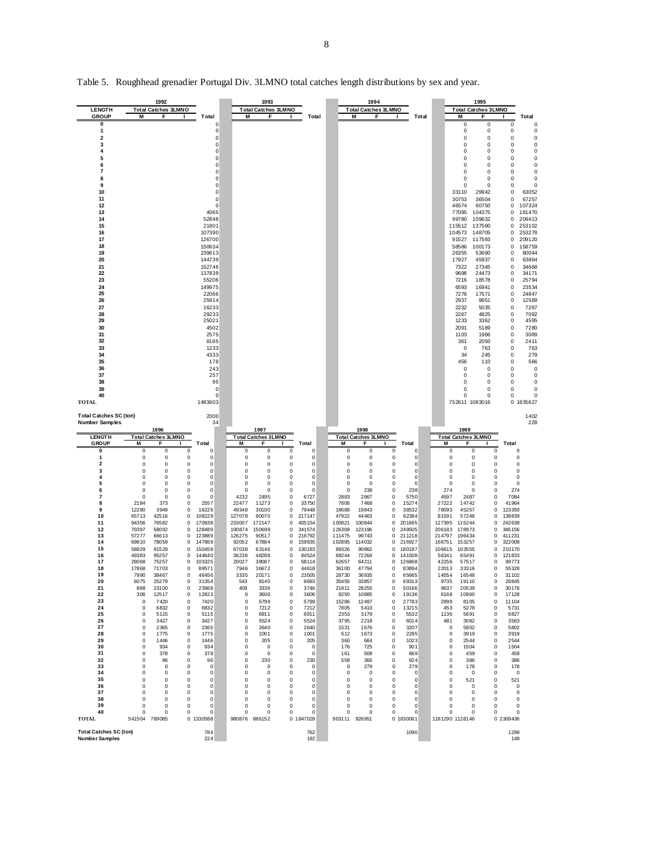| <b>LENGTH</b><br><b>GROUP</b>                                                                                                                                                                                                                            | 1992<br><b>Total Catches 3LMNO</b><br>М<br>F                                                                                                                                                                                                                                                                                                                                                                                                                                                                                                                                                     | Total                                                                                                                                                                                                                                                                                                                                                                                                                                                                                                                                                                                                                           | 1993<br><b>Total Catches 3LMNO</b><br>M<br>F                                                                                                                                                                                                                                                                                                                                                                                                                                                                                                                                                                                                                                                                                                                                                                                                                                                                                                                  | Total                                                                                                                                                                                                                                                                                                                             | 1994<br><b>Total Catches 3LMNO</b><br>Μ<br>F                                                                                                                                                                                                                                                                                                                                                                                                                                                                                                                                                                                                                                                                                                                                                                                                                                                                                                                                  | Total                                                                                                                                                                                                                                                                                                                 | 1995<br><b>Total Catches 3LMNO</b><br>М<br>F                                                                                                                                                                                                                                                                                                                                                                                                                                                                                                                                                                                                                                                                                                                                                                                                                                                     | Total                                                                                                                                                                                                                                                                                                                                                                                                                                                                                                                                                                                                              |
|----------------------------------------------------------------------------------------------------------------------------------------------------------------------------------------------------------------------------------------------------------|--------------------------------------------------------------------------------------------------------------------------------------------------------------------------------------------------------------------------------------------------------------------------------------------------------------------------------------------------------------------------------------------------------------------------------------------------------------------------------------------------------------------------------------------------------------------------------------------------|---------------------------------------------------------------------------------------------------------------------------------------------------------------------------------------------------------------------------------------------------------------------------------------------------------------------------------------------------------------------------------------------------------------------------------------------------------------------------------------------------------------------------------------------------------------------------------------------------------------------------------|---------------------------------------------------------------------------------------------------------------------------------------------------------------------------------------------------------------------------------------------------------------------------------------------------------------------------------------------------------------------------------------------------------------------------------------------------------------------------------------------------------------------------------------------------------------------------------------------------------------------------------------------------------------------------------------------------------------------------------------------------------------------------------------------------------------------------------------------------------------------------------------------------------------------------------------------------------------|-----------------------------------------------------------------------------------------------------------------------------------------------------------------------------------------------------------------------------------------------------------------------------------------------------------------------------------|-------------------------------------------------------------------------------------------------------------------------------------------------------------------------------------------------------------------------------------------------------------------------------------------------------------------------------------------------------------------------------------------------------------------------------------------------------------------------------------------------------------------------------------------------------------------------------------------------------------------------------------------------------------------------------------------------------------------------------------------------------------------------------------------------------------------------------------------------------------------------------------------------------------------------------------------------------------------------------|-----------------------------------------------------------------------------------------------------------------------------------------------------------------------------------------------------------------------------------------------------------------------------------------------------------------------|--------------------------------------------------------------------------------------------------------------------------------------------------------------------------------------------------------------------------------------------------------------------------------------------------------------------------------------------------------------------------------------------------------------------------------------------------------------------------------------------------------------------------------------------------------------------------------------------------------------------------------------------------------------------------------------------------------------------------------------------------------------------------------------------------------------------------------------------------------------------------------------------------|--------------------------------------------------------------------------------------------------------------------------------------------------------------------------------------------------------------------------------------------------------------------------------------------------------------------------------------------------------------------------------------------------------------------------------------------------------------------------------------------------------------------------------------------------------------------------------------------------------------------|
| 0<br>1<br>2<br>3<br>4<br>5<br>6<br>7<br>8<br>9<br>10<br>11<br>12<br>13<br>14<br>15<br>16<br>17<br>18<br>19<br>20<br>21<br>22<br>23<br>24<br>25<br>26<br>27<br>28<br>29<br>30<br>31<br>32<br>33<br>34<br>35<br>36<br>37<br>38<br>39<br>40<br><b>TOTAL</b> |                                                                                                                                                                                                                                                                                                                                                                                                                                                                                                                                                                                                  | 0<br>0<br>0<br>0<br>0<br>0<br>$\Omega$<br>0<br>0<br>0<br>$\Omega$<br>0<br>0<br>4065<br>52848<br>21801<br>107390<br>126700<br>150634<br>239613<br>144739<br>152746<br>137839<br>55206<br>149975<br>22066<br>25914<br>16233<br>29233<br>25021<br>4502<br>2575<br>8165<br>1233<br>4333<br>178<br>243<br>257<br>95<br>$\Omega$<br>$\Omega$<br>1483603                                                                                                                                                                                                                                                                               |                                                                                                                                                                                                                                                                                                                                                                                                                                                                                                                                                                                                                                                                                                                                                                                                                                                                                                                                                               |                                                                                                                                                                                                                                                                                                                                   |                                                                                                                                                                                                                                                                                                                                                                                                                                                                                                                                                                                                                                                                                                                                                                                                                                                                                                                                                                               |                                                                                                                                                                                                                                                                                                                       | 0<br>0<br>0<br>0<br>0<br>0<br>0<br>0<br>0<br>0<br>0<br>0<br>0<br>$\Omega$<br>0<br>0<br>0<br>0<br>0<br>0<br>33110<br>29942<br>30753<br>36504<br>46574<br>60750<br>77095<br>104375<br>109632<br>99780<br>115512<br>137590<br>104573<br>148705<br>91527<br>117593<br>58586<br>100173<br>26355<br>53690<br>17927<br>45937<br>7322<br>27345<br>9698<br>24473<br>18578<br>7216<br>6593<br>16941<br>7276<br>17571<br>2937<br>9651<br>2232<br>5035<br>2267<br>4825<br>1233<br>3362<br>2091<br>5189<br>1103<br>1986<br>361<br>2050<br>763<br>$^{\circ}$<br>34<br>245<br>110<br>456<br>0<br>0<br>0<br>0<br>0<br>0<br>$\mathbf 0$<br>$\mathbf 0$<br>0<br>$\Omega$<br>752611 1083016                                                                                                                                                                                                                         | 0<br>0<br>0<br>0<br>0<br>0<br>0<br>0<br>0<br>0<br>0<br>0<br>$\Omega$<br>0<br>0<br>0<br>0<br>0<br>0<br>0<br>0<br>63052<br>0<br>67257<br>0<br>107324<br>0<br>181470<br>209413<br>$\Omega$<br>$\Omega$<br>253102<br>0<br>253278<br>0<br>209120<br>158759<br>$\Omega$<br>80044<br>0<br>0<br>63864<br>0<br>34668<br>0<br>34171<br>$\Omega$<br>25794<br>0<br>23534<br>0<br>24847<br>0<br>12589<br>0<br>7267<br>0<br>7092<br>0<br>4595<br>0<br>7280<br>$\Omega$<br>3089<br>0<br>2411<br>0<br>763<br>0<br>279<br>0<br>566<br>0<br>0<br>0<br>0<br>0<br>0<br>$\mathbf 0$<br>$\Omega$<br>$\mathbf 0$<br>$\Omega$<br>0 1835627 |
| <b>Total Catches SC (ton)</b><br>Number Samples                                                                                                                                                                                                          |                                                                                                                                                                                                                                                                                                                                                                                                                                                                                                                                                                                                  | 2000<br>34                                                                                                                                                                                                                                                                                                                                                                                                                                                                                                                                                                                                                      |                                                                                                                                                                                                                                                                                                                                                                                                                                                                                                                                                                                                                                                                                                                                                                                                                                                                                                                                                               |                                                                                                                                                                                                                                                                                                                                   |                                                                                                                                                                                                                                                                                                                                                                                                                                                                                                                                                                                                                                                                                                                                                                                                                                                                                                                                                                               |                                                                                                                                                                                                                                                                                                                       |                                                                                                                                                                                                                                                                                                                                                                                                                                                                                                                                                                                                                                                                                                                                                                                                                                                                                                  | 1402<br>228                                                                                                                                                                                                                                                                                                                                                                                                                                                                                                                                                                                                        |
| <b>LENGTH</b>                                                                                                                                                                                                                                            | 1996<br><b>Total Catches 3LMNO</b>                                                                                                                                                                                                                                                                                                                                                                                                                                                                                                                                                               |                                                                                                                                                                                                                                                                                                                                                                                                                                                                                                                                                                                                                                 | 1997<br><b>Total Catches 3LMNO</b>                                                                                                                                                                                                                                                                                                                                                                                                                                                                                                                                                                                                                                                                                                                                                                                                                                                                                                                            |                                                                                                                                                                                                                                                                                                                                   | 1998<br><b>Total Catches 3LMNO</b>                                                                                                                                                                                                                                                                                                                                                                                                                                                                                                                                                                                                                                                                                                                                                                                                                                                                                                                                            |                                                                                                                                                                                                                                                                                                                       | 1999<br><b>Total Catches 3LMNO</b>                                                                                                                                                                                                                                                                                                                                                                                                                                                                                                                                                                                                                                                                                                                                                                                                                                                               |                                                                                                                                                                                                                                                                                                                                                                                                                                                                                                                                                                                                                    |
| <b>GROUP</b><br>0<br>1                                                                                                                                                                                                                                   | M<br>E<br>0<br>0<br>0<br>0                                                                                                                                                                                                                                                                                                                                                                                                                                                                                                                                                                       | <b>T</b> otal<br>0<br>0<br>0<br>0                                                                                                                                                                                                                                                                                                                                                                                                                                                                                                                                                                                               | м<br>F<br>0<br>$^{\circ}$<br>$^{\circ}$<br>0<br>0<br>0                                                                                                                                                                                                                                                                                                                                                                                                                                                                                                                                                                                                                                                                                                                                                                                                                                                                                                        | Total<br>0<br>0                                                                                                                                                                                                                                                                                                                   | м<br>Total<br>F<br>0<br>0<br>0<br>0<br>0<br>0                                                                                                                                                                                                                                                                                                                                                                                                                                                                                                                                                                                                                                                                                                                                                                                                                                                                                                                                 | $^{\circ}$<br>$^{\circ}$                                                                                                                                                                                                                                                                                              | М<br>F<br>0<br>0<br>0<br>0<br>0<br>0                                                                                                                                                                                                                                                                                                                                                                                                                                                                                                                                                                                                                                                                                                                                                                                                                                                             | Total<br>0                                                                                                                                                                                                                                                                                                                                                                                                                                                                                                                                                                                                         |
| 2<br>3<br>4<br>5<br>6<br>7<br>8<br>9<br>10<br>11<br>12<br>13<br>14<br>15<br>16<br>17<br>18<br>19<br>20<br>21<br>22<br>23<br>24<br>25<br>26<br>27<br>28<br>29<br>30<br>31<br>32<br>33<br>34<br>35<br>36<br>37<br>38<br>39<br>40<br><b>TOTAL</b>           | 0<br>0<br>0<br>$^{\circ}$<br>0<br>0<br>0<br>0<br>0<br>0<br>0<br>0<br>2184<br>373<br>12280<br>3949<br>65713<br>42516<br>94356<br>76582<br>70397<br>58092<br>57277<br>66613<br>69810<br>78059<br>58929<br>91529<br>49383<br>95257<br>28068<br>75257<br>17868<br>71703<br>7990<br>38467<br>6075<br>25279<br>868<br>23100<br>306<br>12517<br>0<br>7420<br>0<br>6832<br>0<br>5115<br>0<br>3427<br>$\pmb{0}$<br>2365<br>0<br>1775<br>0<br>1446<br>0<br>934<br>0<br>378<br>0<br>96<br>0<br>0<br>0<br>0<br>0<br>0<br>0<br>0<br>0<br>0<br>0<br>0<br>$\mathbf 0$<br>0<br>$\mathbf 0$<br>0<br>541504 789085 | 0<br>$^{\circ}$<br>$^{\circ}$<br>0<br>$^{\circ}$<br>0<br>$^{\circ}$<br>0<br>$^{\circ}$<br>0<br>0<br>0<br>0<br>2557<br>0<br>16229<br>108229<br>$^{\circ}$<br>0<br>170938<br>0<br>128489<br>0<br>123889<br>0<br>147869<br>$\Omega$<br>150459<br>$\Omega$<br>144640<br>$\Omega$<br>103325<br>0<br>89571<br>0<br>46456<br>0<br>31354<br>0<br>23968<br>0<br>12823<br>0<br>7420<br>0<br>6832<br>0<br>5115<br>0<br>3427<br>0<br>2365<br>0<br>1775<br>1446<br>0<br>934<br>0<br>0<br>378<br>0<br>96<br>0<br>0<br>0<br>0<br>0<br>0<br>0<br>0<br>0<br>0<br>0<br>0<br>$\mathbf 0$<br>$\mathbf 0$<br>$\mathbf 0$<br>$\mathbf 0$<br>0 1330588 | $^{\circ}$<br>0<br>$^{\circ}$<br>$^{\circ}$<br>$^{\circ}$<br>$^{\circ}$<br>0<br>0<br>$^{\circ}$<br>0<br>0<br>$^{\circ}$<br>$^{\circ}$<br>0<br>$^{\circ}$<br>4232<br>2495<br>0<br>22477<br>11273<br>0<br>49348<br>30100<br>0<br>127078<br>90070<br>0<br>233007<br>172147<br>0<br>190874<br>150699<br>0<br>126275<br>90517<br>0<br>92052<br>67884<br>0<br>67038<br>63146<br>$\Omega$<br>48288<br>36236<br>$\Omega$<br>20027<br>38087<br>$\Omega$<br>36672<br>7946<br>$^{\circ}$<br>3335<br>20171<br>0<br>543<br>8140<br>0<br>409<br>3336<br>0<br>0<br>3606<br>0<br>5799<br>0<br>0<br>0<br>7212<br>0<br>0<br>6911<br>0<br>0<br>5524<br>0<br>0<br>2640<br>0<br>0<br>1001<br>$^{\circ}$<br>0<br>205<br>$^{\circ}$<br>0<br>0<br>0<br>0<br>0<br>0<br>0<br>230<br>0<br>0<br>0<br>0<br>0<br>0<br>0<br>0<br>0<br>0<br>0<br>0<br>0<br>0<br>0<br>0<br>0<br>0<br>0<br>$\mathbf 0$<br>$\mathbf 0$<br>$\mathbf 0$<br>$\mathbf 0$<br>$\mathbf 0$<br>$\Omega$<br>980876 866152 | 0<br>0<br>0<br>0<br>0<br>6727<br>33750<br>79448<br>217147<br>405154<br>341574<br>216792<br>159935<br>130183<br>84524<br>58114<br>44618<br>23505<br>8683<br>3746<br>3606<br>5799<br>7212<br>6911<br>5524<br>2640<br>1001<br>205<br>$^{\circ}$<br>0<br>230<br>0<br>0<br>0<br>0<br>0<br>0<br>$\mathbf 0$<br>$\mathbf 0$<br>0 1847028 | 0<br>$\Omega$<br>0<br>0<br>0<br>$^{\circ}$<br>$^{\circ}$<br>0<br>$^{\circ}$<br>0<br>$\Omega$<br>$^{\circ}$<br>0<br>238<br>0<br>2883<br>2867<br>0<br>7806<br>7468<br>0<br>18689<br>19843<br>0<br>47922<br>44463<br>0<br>100821<br>100844<br>0<br>126309<br>123196<br>0<br>111475<br>99743<br>0<br>211218<br>102895<br>114032<br>0<br>216927<br>89326<br>90862<br>$\Omega$<br>69244<br>72264<br>0<br>62657<br>0<br>126868<br>64211<br>36100<br>47794<br>0<br>28730<br>36935<br>0<br>35455<br>33857<br>0<br>21911<br>28255<br>0<br>8250<br>10885<br>0<br>15286<br>12497<br>0<br>7805<br>5410<br>0<br>2353<br>3179<br>0<br>3795<br>2218<br>0<br>1531<br>1676<br>0<br>612<br>1673<br>0<br>360<br>664<br>0<br>176<br>725<br>0<br>161<br>508<br>0<br>558<br>366<br>0<br>0<br>279<br>0<br>0<br>0<br>0<br>0<br>0<br>0<br>0<br>0<br>0<br>0<br>0<br>0<br>0<br>0<br>0<br>$\mathbf 0$<br>$\mathbf 0$<br>$\mathbf 0$<br>$\bf 0$<br>$\mathbf 0$<br>$\Omega$<br>903111<br>926951<br>0 1830061 | 0<br>$^{\circ}$<br>$^{\circ}$<br>$\Omega$<br>238<br>5750<br>15274<br>38532<br>92384<br>201665<br>249505<br>180187<br>141508<br>83894<br>65665<br>69313<br>50166<br>19136<br>27783<br>13215<br>5532<br>6014<br>3207<br>2285<br>1023<br>901<br>669<br>924<br>279<br>0<br>0<br>0<br>0<br>0<br>$\mathbf 0$<br>$\mathbf 0$ | 0<br>0<br>0<br>0<br>0<br>0<br>0<br>0<br>0<br>$^{\circ}$<br>0<br>0<br>274<br>$^{\circ}$<br>0<br>4597<br>2487<br>0<br>27222<br>14742<br>0<br>78093<br>45257<br>0<br>81591<br>57248<br>0<br>127395<br>115244<br>0<br>206183<br>178973<br>0<br>214797<br>196434<br>0<br>168751<br>153257<br>0<br>106615<br>103555<br>$\Omega$<br>56341<br>$\Omega$<br>65491<br>42256<br>57517<br>$\Omega$<br>22013<br>33316<br>0<br>14554<br>16548<br>0<br>9735<br>19110<br>0<br>9637<br>20539<br>0<br>6168<br>10960<br>0<br>2999<br>8105<br>0<br>453<br>5278<br>0<br>1136<br>5691<br>0<br>481<br>3082<br>0<br>0<br>5802<br>0<br>3919<br>0<br>0<br>2544<br>0<br>0<br>1504<br>0<br>0<br>0<br>459<br>0<br>0<br>386<br>0<br>0<br>178<br>0<br>0<br>0<br>0<br>521<br>0<br>0<br>0<br>0<br>0<br>0<br>0<br>0<br>0<br>0<br>0<br>$\mathbf 0$<br>$\Omega$<br>$\Omega$<br>$\mathbf 0$<br>$\Omega$<br>$\Omega$<br>1181290 1128146 | 0<br>0<br>$^{\circ}$<br>$^{\circ}$<br>$^{\circ}$<br>274<br>7084<br>41964<br>123350<br>138839<br>242639<br>385156<br>411231<br>322008<br>210170<br>121833<br>99773<br>55328<br>31102<br>28845<br>30176<br>17128<br>11104<br>5731<br>6827<br>3563<br>5802<br>3919<br>2544<br>1504<br>459<br>386<br>178<br>0<br>521<br>0<br>0<br>0<br>$\mathbf 0$<br>$\mathbf 0$<br>0 2309436                                                                                                                                                                                                                                         |

Table 5. Roughhead grenadier Portugal Div. 3LMNO total catches length distributions by sex and year.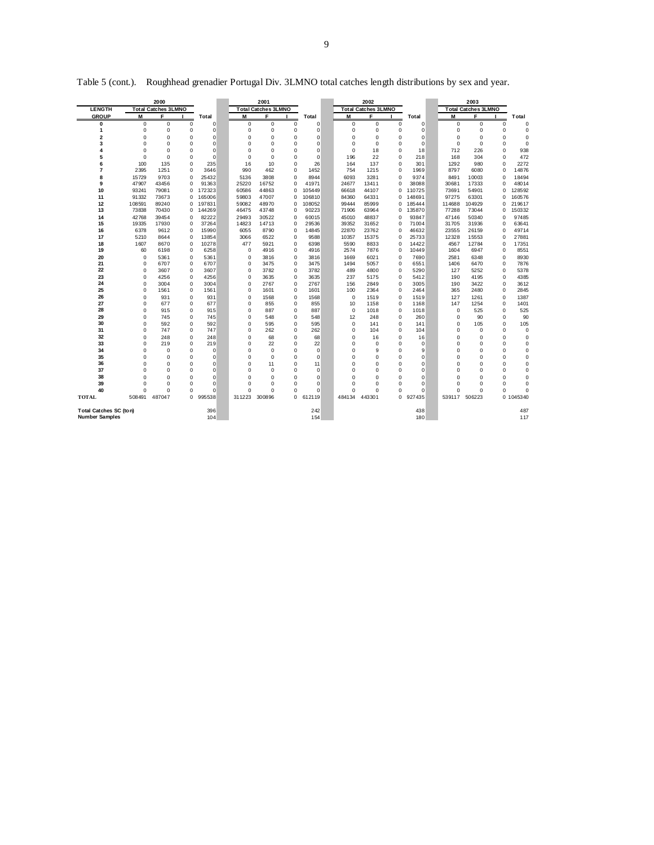| <b>Total Catches 3LMNO</b><br><b>Total Catches 3LMNO</b><br><b>Total Catches 3LMNO</b><br><b>LENGTH</b><br><b>Total Catches 3LMNO</b><br><b>GROUP</b><br>M<br>F<br>F<br>M<br>F<br>M<br>F<br>М<br>Total<br>Total<br>Total<br>Total<br>$\mathbf 0$<br>0<br>0<br>0<br>$\mathbf 0$<br>$\mathbf 0$<br>0<br>$\mathbf 0$<br>$\Omega$<br>$\mathbf 0$<br>$\mathbf 0$<br>$\mathbf 0$<br>$\mathbf 0$<br>0<br>$\mathbf 0$<br>$\mathbf 0$<br>1<br>$\mathbf 0$<br>0<br>0<br>$\mathbf 0$<br>$\mathbf 0$<br>$\mathbf 0$<br>$\mathbf 0$<br>$\mathbf 0$<br>$\mathbf 0$<br>0<br>$\mathbf 0$<br>0<br>$\mathbf 0$<br>$\mathbf 0$<br>0<br>$\Omega$<br>$\overline{2}$<br>$\Omega$<br>$\Omega$<br>$\Omega$<br>0<br>$\Omega$<br>0<br>$\mathbf 0$<br>$\mathbf 0$<br>0<br>$\mathbf 0$<br>0<br>$\mathbf 0$<br>$\Omega$<br>$^{\circ}$<br>$\mathbf 0$<br>3<br>$\Omega$<br>0<br>0<br>$\mathbf 0$<br>$\Omega$<br>0<br>$\mathbf 0$<br>$\mathbf 0$<br>$\mathbf 0$<br>$^{\circ}$<br>0<br>$\mathbf 0$<br>$\mathbf 0$<br>$\mathbf 0$<br>0<br>$\Omega$<br>$\Omega$<br>$\Omega$<br>$\Omega$<br>$\Omega$<br>$\Omega$<br>$\Omega$<br>$\Omega$<br>$\Omega$<br>18<br>712<br>$\Omega$<br>938<br>$\overline{4}$<br>$\Omega$<br>18<br>226<br>5<br>$\mathbf 0$<br>$\mathbf 0$<br>0<br>$\mathbf 0$<br>$\mathbf 0$<br>0<br>$\mathbf 0$<br>$\mathbf 0$<br>22<br>0<br>218<br>304<br>$\mathbf 0$<br>472<br>196<br>168<br>6<br>100<br>135<br>0<br>235<br>16<br>10<br>$\mathbf 0$<br>26<br>164<br>137<br>301<br>1292<br>980<br>$\mathbf 0$<br>0<br>$\overline{7}$<br>2395<br>1251<br>0<br>3646<br>990<br>462<br>$\mathbf 0$<br>1452<br>754<br>1215<br>$\mathbf 0$<br>1969<br>8797<br>6080<br>$\mathbf 0$<br>14876<br>8<br>9703<br>25432<br>$\mathbf 0$<br>9374<br>8491<br>15729<br>0<br>5136<br>3808<br>8944<br>6093<br>3281<br>0<br>10003<br>$\Omega$<br>18494<br>9<br>47907<br>91363<br>25220<br>16752<br>48014<br>43456<br>0<br>$\mathbf 0$<br>41971<br>24677<br>13411<br>$\Omega$<br>38088<br>30681<br>17333<br>$\Omega$<br>10<br>93241<br>79081<br>172323<br>60586<br>44863<br>105449<br>66618<br>44107<br>110725<br>73691<br>54901<br>128592<br>0<br>$\mathbf 0$<br>0<br>$\mathbf 0$<br>91332<br>73673<br>165006<br>59803<br>47007<br>106810<br>84360<br>64331<br>148691<br>97275<br>63301<br>160576<br>11<br>0<br>$\Omega$<br>$\mathbf 0$<br>$\Omega$<br>12<br>108591<br>89240<br>0 197831<br>59082<br>48970<br>108052<br>99444<br>85999<br>185444<br>114688<br>104929<br>$\Omega$<br>219617<br>$\mathbf 0$<br>0<br>73838<br>144269<br>90223<br>135870<br>77288<br>150332<br>13<br>70430<br>46475<br>43748<br>71906<br>63964<br>73044<br>0<br>$^{\circ}$<br>$\Omega$<br>0<br>14<br>42768<br>39454<br>82222<br>29493<br>30522<br>60015<br>45010<br>48837<br>93847<br>47146<br>50340<br>97485<br>0<br>$\mathbf 0$<br>$\Omega$<br>$\mathbf 0$<br>15<br>19335<br>17930<br>37264<br>14823<br>14713<br>29536<br>39352<br>31652<br>71004<br>31705<br>31936<br>63641<br>0<br>$\mathbf 0$<br>$\mathbf 0$<br>0<br>16<br>6378<br>15990<br>6055<br>8790<br>14845<br>22870<br>23762<br>46632<br>23555<br>26159<br>49714<br>9612<br>0<br>$\mathbf 0$<br>$\Omega$<br>$\Omega$<br>17<br>5210<br>13854<br>3066<br>6522<br>9588<br>15375<br>25733<br>12328<br>15553<br>27881<br>8644<br>0<br>$\mathbf 0$<br>10357<br>$\Omega$<br>0<br>18<br>1607<br>10278<br>6398<br>5590<br>8833<br>14422<br>12784<br>17351<br>8670<br>0<br>477<br>5921<br>$\mathbf 0$<br>$\mathbf 0$<br>4567<br>$\Omega$<br>19<br>8551<br>60<br>6198<br>0<br>6258<br>$\mathbf 0$<br>4916<br>$\mathbf 0$<br>4916<br>2574<br>7876<br>$\mathbf 0$<br>10449<br>1604<br>6947<br>$\Omega$<br>5361<br>$\mathbf 0$<br>8930<br>20<br>$\mathbf 0$<br>5361<br>0<br>0<br>3816<br>$\mathbf 0$<br>3816<br>1669<br>6021<br>7690<br>2581<br>6348<br>$\mathbf 0$<br>21<br>6707<br>7876<br>$\Omega$<br>6707<br>0<br>$\Omega$<br>3475<br>$\mathbf 0$<br>3475<br>1494<br>5057<br>$\mathbf 0$<br>6551<br>1406<br>6470<br>$\Omega$<br>22<br>0<br>3607<br>$\mathbf 0$<br>3782<br>5252<br>$\mathbf 0$<br>5378<br>$\mathbf 0$<br>3607<br>0<br>3782<br>489<br>4800<br>$\mathbf 0$<br>5290<br>127<br>23<br>$\Omega$<br>$\mathbf 0$<br>3635<br>4385<br>0<br>4256<br>0<br>4256<br>3635<br>237<br>5175<br>0<br>5412<br>190<br>4195<br>$\mathbf 0$<br>24<br>2767<br>$\mathbf 0$<br>3004<br>0<br>3004<br>0<br>2767<br>$\mathbf 0$<br>156<br>2849<br>3005<br>190<br>3422<br>$\mathbf 0$<br>3612<br>0<br>25<br>$\mathbf 0$<br>0<br>1561<br>0<br>$\mathbf 0$<br>1601<br>2364<br>0<br>365<br>2480<br>$\mathbf 0$<br>2845<br>1561<br>1601<br>100<br>2464<br>26<br>$\mathbf 0$<br>$\mathbf 0$<br>931<br>0<br>931<br>$\mathbf 0$<br>1568<br>1568<br>$\mathbf 0$<br>1519<br>$\mathbf 0$<br>1519<br>127<br>1261<br>$\mathbf 0$<br>1387<br>0<br>$\mathbf 0$<br>27<br>0<br>677<br>0<br>677<br>855<br>$\mathbf 0$<br>855<br>10<br>1158<br>0<br>1168<br>147<br>1254<br>1401<br>28<br>525<br>$\mathbf 0$<br>915<br>0<br>915<br>$\Omega$<br>887<br>$\mathbf 0$<br>887<br>$^{\circ}$<br>1018<br>0<br>1018<br>0<br>525<br>$\mathbf 0$<br>29<br>0<br>745<br>$\Omega$<br>548<br>$\mathbf 0$<br>12<br>248<br>0<br>260<br>0<br>90<br>$\mathbf 0$<br>90<br>0<br>745<br>548<br>30<br>$\Omega$<br>$\mathbf 0$<br>$\mathbf 0$<br>$\mathbf 0$<br>105<br>$\Omega$<br>592<br>0<br>592<br>$\Omega$<br>595<br>595<br>141<br>0<br>141<br>105<br>31<br>747<br>0<br>747<br>0<br>262<br>$\mathbf 0$<br>262<br>$\Omega$<br>104<br>0<br>104<br>0<br>$\Omega$<br>$\mathbf 0$<br>0<br>$\Omega$<br>32<br>0<br>248<br>0<br>248<br>0<br>68<br>$\mathbf 0$<br>68<br>$\mathbf 0$<br>0<br>0<br>$\mathbf 0$<br>16<br>16<br>$\mathbf 0$<br>$\mathbf 0$<br>33<br>219<br>0<br>219<br>$\mathbf 0$<br>22<br>$\mathbf 0$<br>22<br>$\mathbf 0$<br>0<br>$\mathbf 0$<br>0<br>$\mathbf 0$<br>0<br>$\circ$<br>$\mathbf 0$<br>$\mathbf 0$<br>34<br>$\mathbf 0$<br>$\Omega$<br>$\Omega$<br>$\mathbf 0$<br>$\mathbf 0$<br>$\Omega$<br>9<br>$\Omega$<br>$\mathbf 0$<br>$\Omega$<br>0<br>0<br>$\Omega$<br>9<br>$\Omega$<br>$\Omega$<br>35<br>0<br>$\Omega$<br>$\Omega$<br>$\Omega$<br>$\Omega$<br>$\Omega$<br>$\Omega$<br>$\mathbf 0$<br>$\Omega$<br>$\Omega$<br>$\Omega$<br>$\Omega$<br>$\Omega$<br>$\Omega$<br>$\Omega$<br>$\Omega$<br>36<br>$\Omega$<br>$\Omega$<br>$\Omega$<br>$\Omega$<br>$\Omega$<br>$\Omega$<br>$\Omega$<br>$\Omega$<br>$\Omega$<br>$\Omega$<br>$\Omega$<br>$\Omega$<br>$\Omega$<br>11<br>11<br>$\Omega$<br>37<br>0<br>0<br>$\Omega$<br>0<br>$\mathbf 0$<br>$\Omega$<br>$\mathbf 0$<br>$\Omega$<br>0<br>$\Omega$<br>0<br>$\mathbf 0$<br>0<br>$\Omega$<br>$\Omega$<br>$\Omega$<br>38<br>$\Omega$<br>$\Omega$<br>$\Omega$<br>$\Omega$<br>$\Omega$<br>$\Omega$<br>$\Omega$<br>$\mathbf 0$<br>$\Omega$<br>$\mathbf 0$<br>$\Omega$<br>$\mathbf 0$<br>$\mathbf 0$<br>$\Omega$<br>0<br>0<br>39<br>$\Omega$<br>$\Omega$<br>$\Omega$<br>$\Omega$<br>$\Omega$<br>$\Omega$<br>$\Omega$<br>$\Omega$<br>$\Omega$<br>$\Omega$<br>$\Omega$<br>$\Omega$<br>0<br>0<br>0<br>$\Omega$<br>40<br>$\Omega$<br>0<br>0<br>$\Omega$<br>0<br>$\mathbf 0$<br>$\mathbf 0$<br>$\Omega$<br>$\mathbf 0$<br>0<br>0<br>$\mathbf 0$<br>0<br>$\mathbf 0$<br>$\Omega$<br>$\Omega$<br>TOTAL<br>508491<br>487047<br>995538<br>311223<br>300896<br>612119<br>484134<br>443301<br>$\Omega$<br>927435<br>539117<br>506223<br>0 1045340<br>0<br>0<br>242<br>438<br><b>Total Catches SC (ton)</b><br>396<br>487 |                       | 2000 |     |  | 2001 |     |  | 2002 |     |  | 2003 |             |
|-------------------------------------------------------------------------------------------------------------------------------------------------------------------------------------------------------------------------------------------------------------------------------------------------------------------------------------------------------------------------------------------------------------------------------------------------------------------------------------------------------------------------------------------------------------------------------------------------------------------------------------------------------------------------------------------------------------------------------------------------------------------------------------------------------------------------------------------------------------------------------------------------------------------------------------------------------------------------------------------------------------------------------------------------------------------------------------------------------------------------------------------------------------------------------------------------------------------------------------------------------------------------------------------------------------------------------------------------------------------------------------------------------------------------------------------------------------------------------------------------------------------------------------------------------------------------------------------------------------------------------------------------------------------------------------------------------------------------------------------------------------------------------------------------------------------------------------------------------------------------------------------------------------------------------------------------------------------------------------------------------------------------------------------------------------------------------------------------------------------------------------------------------------------------------------------------------------------------------------------------------------------------------------------------------------------------------------------------------------------------------------------------------------------------------------------------------------------------------------------------------------------------------------------------------------------------------------------------------------------------------------------------------------------------------------------------------------------------------------------------------------------------------------------------------------------------------------------------------------------------------------------------------------------------------------------------------------------------------------------------------------------------------------------------------------------------------------------------------------------------------------------------------------------------------------------------------------------------------------------------------------------------------------------------------------------------------------------------------------------------------------------------------------------------------------------------------------------------------------------------------------------------------------------------------------------------------------------------------------------------------------------------------------------------------------------------------------------------------------------------------------------------------------------------------------------------------------------------------------------------------------------------------------------------------------------------------------------------------------------------------------------------------------------------------------------------------------------------------------------------------------------------------------------------------------------------------------------------------------------------------------------------------------------------------------------------------------------------------------------------------------------------------------------------------------------------------------------------------------------------------------------------------------------------------------------------------------------------------------------------------------------------------------------------------------------------------------------------------------------------------------------------------------------------------------------------------------------------------------------------------------------------------------------------------------------------------------------------------------------------------------------------------------------------------------------------------------------------------------------------------------------------------------------------------------------------------------------------------------------------------------------------------------------------------------------------------------------------------------------------------------------------------------------------------------------------------------------------------------------------------------------------------------------------------------------------------------------------------------------------------------------------------------------------------------------------------------------------------------------------------------------------------------------------------------------------------------------------------------------------------------------------------------------------------------------------------------------------------------------------------------------------------------------------------------------------------------------------------------------------------------------------------------------------------------------------------------------------------------------------------------------------------------------------------------------------------------------------------------------------------------------------------------------------------------------------------------------------------------------------------------------------------------------------------------------------------------------------------------------------------------------------------------------------------------------------------------------------------------------------------------------------------------------------------------------------------------------------------------------------------------------------------------------------------------------------------------------------------------------------------------------------------------------------------------------------------------------------------------------------------------------------------------------------------------------------------------------------------------------------------------------------------------------------|-----------------------|------|-----|--|------|-----|--|------|-----|--|------|-------------|
|                                                                                                                                                                                                                                                                                                                                                                                                                                                                                                                                                                                                                                                                                                                                                                                                                                                                                                                                                                                                                                                                                                                                                                                                                                                                                                                                                                                                                                                                                                                                                                                                                                                                                                                                                                                                                                                                                                                                                                                                                                                                                                                                                                                                                                                                                                                                                                                                                                                                                                                                                                                                                                                                                                                                                                                                                                                                                                                                                                                                                                                                                                                                                                                                                                                                                                                                                                                                                                                                                                                                                                                                                                                                                                                                                                                                                                                                                                                                                                                                                                                                                                                                                                                                                                                                                                                                                                                                                                                                                                                                                                                                                                                                                                                                                                                                                                                                                                                                                                                                                                                                                                                                                                                                                                                                                                                                                                                                                                                                                                                                                                                                                                                                                                                                                                                                                                                                                                                                                                                                                                                                                                                                                                                                                                                                                                                                                                                                                                                                                                                                                                                                                                                                                                                                                                                                                                                                                                                                                                                                                                                                                                                                                                                                                                                                                                 |                       |      |     |  |      |     |  |      |     |  |      |             |
|                                                                                                                                                                                                                                                                                                                                                                                                                                                                                                                                                                                                                                                                                                                                                                                                                                                                                                                                                                                                                                                                                                                                                                                                                                                                                                                                                                                                                                                                                                                                                                                                                                                                                                                                                                                                                                                                                                                                                                                                                                                                                                                                                                                                                                                                                                                                                                                                                                                                                                                                                                                                                                                                                                                                                                                                                                                                                                                                                                                                                                                                                                                                                                                                                                                                                                                                                                                                                                                                                                                                                                                                                                                                                                                                                                                                                                                                                                                                                                                                                                                                                                                                                                                                                                                                                                                                                                                                                                                                                                                                                                                                                                                                                                                                                                                                                                                                                                                                                                                                                                                                                                                                                                                                                                                                                                                                                                                                                                                                                                                                                                                                                                                                                                                                                                                                                                                                                                                                                                                                                                                                                                                                                                                                                                                                                                                                                                                                                                                                                                                                                                                                                                                                                                                                                                                                                                                                                                                                                                                                                                                                                                                                                                                                                                                                                                 |                       |      |     |  |      |     |  |      |     |  |      |             |
|                                                                                                                                                                                                                                                                                                                                                                                                                                                                                                                                                                                                                                                                                                                                                                                                                                                                                                                                                                                                                                                                                                                                                                                                                                                                                                                                                                                                                                                                                                                                                                                                                                                                                                                                                                                                                                                                                                                                                                                                                                                                                                                                                                                                                                                                                                                                                                                                                                                                                                                                                                                                                                                                                                                                                                                                                                                                                                                                                                                                                                                                                                                                                                                                                                                                                                                                                                                                                                                                                                                                                                                                                                                                                                                                                                                                                                                                                                                                                                                                                                                                                                                                                                                                                                                                                                                                                                                                                                                                                                                                                                                                                                                                                                                                                                                                                                                                                                                                                                                                                                                                                                                                                                                                                                                                                                                                                                                                                                                                                                                                                                                                                                                                                                                                                                                                                                                                                                                                                                                                                                                                                                                                                                                                                                                                                                                                                                                                                                                                                                                                                                                                                                                                                                                                                                                                                                                                                                                                                                                                                                                                                                                                                                                                                                                                                                 |                       |      |     |  |      |     |  |      |     |  |      | $\mathbf 0$ |
|                                                                                                                                                                                                                                                                                                                                                                                                                                                                                                                                                                                                                                                                                                                                                                                                                                                                                                                                                                                                                                                                                                                                                                                                                                                                                                                                                                                                                                                                                                                                                                                                                                                                                                                                                                                                                                                                                                                                                                                                                                                                                                                                                                                                                                                                                                                                                                                                                                                                                                                                                                                                                                                                                                                                                                                                                                                                                                                                                                                                                                                                                                                                                                                                                                                                                                                                                                                                                                                                                                                                                                                                                                                                                                                                                                                                                                                                                                                                                                                                                                                                                                                                                                                                                                                                                                                                                                                                                                                                                                                                                                                                                                                                                                                                                                                                                                                                                                                                                                                                                                                                                                                                                                                                                                                                                                                                                                                                                                                                                                                                                                                                                                                                                                                                                                                                                                                                                                                                                                                                                                                                                                                                                                                                                                                                                                                                                                                                                                                                                                                                                                                                                                                                                                                                                                                                                                                                                                                                                                                                                                                                                                                                                                                                                                                                                                 |                       |      |     |  |      |     |  |      |     |  |      |             |
|                                                                                                                                                                                                                                                                                                                                                                                                                                                                                                                                                                                                                                                                                                                                                                                                                                                                                                                                                                                                                                                                                                                                                                                                                                                                                                                                                                                                                                                                                                                                                                                                                                                                                                                                                                                                                                                                                                                                                                                                                                                                                                                                                                                                                                                                                                                                                                                                                                                                                                                                                                                                                                                                                                                                                                                                                                                                                                                                                                                                                                                                                                                                                                                                                                                                                                                                                                                                                                                                                                                                                                                                                                                                                                                                                                                                                                                                                                                                                                                                                                                                                                                                                                                                                                                                                                                                                                                                                                                                                                                                                                                                                                                                                                                                                                                                                                                                                                                                                                                                                                                                                                                                                                                                                                                                                                                                                                                                                                                                                                                                                                                                                                                                                                                                                                                                                                                                                                                                                                                                                                                                                                                                                                                                                                                                                                                                                                                                                                                                                                                                                                                                                                                                                                                                                                                                                                                                                                                                                                                                                                                                                                                                                                                                                                                                                                 |                       |      |     |  |      |     |  |      |     |  |      | $\mathbf 0$ |
|                                                                                                                                                                                                                                                                                                                                                                                                                                                                                                                                                                                                                                                                                                                                                                                                                                                                                                                                                                                                                                                                                                                                                                                                                                                                                                                                                                                                                                                                                                                                                                                                                                                                                                                                                                                                                                                                                                                                                                                                                                                                                                                                                                                                                                                                                                                                                                                                                                                                                                                                                                                                                                                                                                                                                                                                                                                                                                                                                                                                                                                                                                                                                                                                                                                                                                                                                                                                                                                                                                                                                                                                                                                                                                                                                                                                                                                                                                                                                                                                                                                                                                                                                                                                                                                                                                                                                                                                                                                                                                                                                                                                                                                                                                                                                                                                                                                                                                                                                                                                                                                                                                                                                                                                                                                                                                                                                                                                                                                                                                                                                                                                                                                                                                                                                                                                                                                                                                                                                                                                                                                                                                                                                                                                                                                                                                                                                                                                                                                                                                                                                                                                                                                                                                                                                                                                                                                                                                                                                                                                                                                                                                                                                                                                                                                                                                 |                       |      |     |  |      |     |  |      |     |  |      | $\Omega$    |
|                                                                                                                                                                                                                                                                                                                                                                                                                                                                                                                                                                                                                                                                                                                                                                                                                                                                                                                                                                                                                                                                                                                                                                                                                                                                                                                                                                                                                                                                                                                                                                                                                                                                                                                                                                                                                                                                                                                                                                                                                                                                                                                                                                                                                                                                                                                                                                                                                                                                                                                                                                                                                                                                                                                                                                                                                                                                                                                                                                                                                                                                                                                                                                                                                                                                                                                                                                                                                                                                                                                                                                                                                                                                                                                                                                                                                                                                                                                                                                                                                                                                                                                                                                                                                                                                                                                                                                                                                                                                                                                                                                                                                                                                                                                                                                                                                                                                                                                                                                                                                                                                                                                                                                                                                                                                                                                                                                                                                                                                                                                                                                                                                                                                                                                                                                                                                                                                                                                                                                                                                                                                                                                                                                                                                                                                                                                                                                                                                                                                                                                                                                                                                                                                                                                                                                                                                                                                                                                                                                                                                                                                                                                                                                                                                                                                                                 |                       |      |     |  |      |     |  |      |     |  |      |             |
|                                                                                                                                                                                                                                                                                                                                                                                                                                                                                                                                                                                                                                                                                                                                                                                                                                                                                                                                                                                                                                                                                                                                                                                                                                                                                                                                                                                                                                                                                                                                                                                                                                                                                                                                                                                                                                                                                                                                                                                                                                                                                                                                                                                                                                                                                                                                                                                                                                                                                                                                                                                                                                                                                                                                                                                                                                                                                                                                                                                                                                                                                                                                                                                                                                                                                                                                                                                                                                                                                                                                                                                                                                                                                                                                                                                                                                                                                                                                                                                                                                                                                                                                                                                                                                                                                                                                                                                                                                                                                                                                                                                                                                                                                                                                                                                                                                                                                                                                                                                                                                                                                                                                                                                                                                                                                                                                                                                                                                                                                                                                                                                                                                                                                                                                                                                                                                                                                                                                                                                                                                                                                                                                                                                                                                                                                                                                                                                                                                                                                                                                                                                                                                                                                                                                                                                                                                                                                                                                                                                                                                                                                                                                                                                                                                                                                                 |                       |      |     |  |      |     |  |      |     |  |      |             |
|                                                                                                                                                                                                                                                                                                                                                                                                                                                                                                                                                                                                                                                                                                                                                                                                                                                                                                                                                                                                                                                                                                                                                                                                                                                                                                                                                                                                                                                                                                                                                                                                                                                                                                                                                                                                                                                                                                                                                                                                                                                                                                                                                                                                                                                                                                                                                                                                                                                                                                                                                                                                                                                                                                                                                                                                                                                                                                                                                                                                                                                                                                                                                                                                                                                                                                                                                                                                                                                                                                                                                                                                                                                                                                                                                                                                                                                                                                                                                                                                                                                                                                                                                                                                                                                                                                                                                                                                                                                                                                                                                                                                                                                                                                                                                                                                                                                                                                                                                                                                                                                                                                                                                                                                                                                                                                                                                                                                                                                                                                                                                                                                                                                                                                                                                                                                                                                                                                                                                                                                                                                                                                                                                                                                                                                                                                                                                                                                                                                                                                                                                                                                                                                                                                                                                                                                                                                                                                                                                                                                                                                                                                                                                                                                                                                                                                 |                       |      |     |  |      |     |  |      |     |  |      | 2272        |
|                                                                                                                                                                                                                                                                                                                                                                                                                                                                                                                                                                                                                                                                                                                                                                                                                                                                                                                                                                                                                                                                                                                                                                                                                                                                                                                                                                                                                                                                                                                                                                                                                                                                                                                                                                                                                                                                                                                                                                                                                                                                                                                                                                                                                                                                                                                                                                                                                                                                                                                                                                                                                                                                                                                                                                                                                                                                                                                                                                                                                                                                                                                                                                                                                                                                                                                                                                                                                                                                                                                                                                                                                                                                                                                                                                                                                                                                                                                                                                                                                                                                                                                                                                                                                                                                                                                                                                                                                                                                                                                                                                                                                                                                                                                                                                                                                                                                                                                                                                                                                                                                                                                                                                                                                                                                                                                                                                                                                                                                                                                                                                                                                                                                                                                                                                                                                                                                                                                                                                                                                                                                                                                                                                                                                                                                                                                                                                                                                                                                                                                                                                                                                                                                                                                                                                                                                                                                                                                                                                                                                                                                                                                                                                                                                                                                                                 |                       |      |     |  |      |     |  |      |     |  |      |             |
|                                                                                                                                                                                                                                                                                                                                                                                                                                                                                                                                                                                                                                                                                                                                                                                                                                                                                                                                                                                                                                                                                                                                                                                                                                                                                                                                                                                                                                                                                                                                                                                                                                                                                                                                                                                                                                                                                                                                                                                                                                                                                                                                                                                                                                                                                                                                                                                                                                                                                                                                                                                                                                                                                                                                                                                                                                                                                                                                                                                                                                                                                                                                                                                                                                                                                                                                                                                                                                                                                                                                                                                                                                                                                                                                                                                                                                                                                                                                                                                                                                                                                                                                                                                                                                                                                                                                                                                                                                                                                                                                                                                                                                                                                                                                                                                                                                                                                                                                                                                                                                                                                                                                                                                                                                                                                                                                                                                                                                                                                                                                                                                                                                                                                                                                                                                                                                                                                                                                                                                                                                                                                                                                                                                                                                                                                                                                                                                                                                                                                                                                                                                                                                                                                                                                                                                                                                                                                                                                                                                                                                                                                                                                                                                                                                                                                                 |                       |      |     |  |      |     |  |      |     |  |      |             |
|                                                                                                                                                                                                                                                                                                                                                                                                                                                                                                                                                                                                                                                                                                                                                                                                                                                                                                                                                                                                                                                                                                                                                                                                                                                                                                                                                                                                                                                                                                                                                                                                                                                                                                                                                                                                                                                                                                                                                                                                                                                                                                                                                                                                                                                                                                                                                                                                                                                                                                                                                                                                                                                                                                                                                                                                                                                                                                                                                                                                                                                                                                                                                                                                                                                                                                                                                                                                                                                                                                                                                                                                                                                                                                                                                                                                                                                                                                                                                                                                                                                                                                                                                                                                                                                                                                                                                                                                                                                                                                                                                                                                                                                                                                                                                                                                                                                                                                                                                                                                                                                                                                                                                                                                                                                                                                                                                                                                                                                                                                                                                                                                                                                                                                                                                                                                                                                                                                                                                                                                                                                                                                                                                                                                                                                                                                                                                                                                                                                                                                                                                                                                                                                                                                                                                                                                                                                                                                                                                                                                                                                                                                                                                                                                                                                                                                 |                       |      |     |  |      |     |  |      |     |  |      |             |
|                                                                                                                                                                                                                                                                                                                                                                                                                                                                                                                                                                                                                                                                                                                                                                                                                                                                                                                                                                                                                                                                                                                                                                                                                                                                                                                                                                                                                                                                                                                                                                                                                                                                                                                                                                                                                                                                                                                                                                                                                                                                                                                                                                                                                                                                                                                                                                                                                                                                                                                                                                                                                                                                                                                                                                                                                                                                                                                                                                                                                                                                                                                                                                                                                                                                                                                                                                                                                                                                                                                                                                                                                                                                                                                                                                                                                                                                                                                                                                                                                                                                                                                                                                                                                                                                                                                                                                                                                                                                                                                                                                                                                                                                                                                                                                                                                                                                                                                                                                                                                                                                                                                                                                                                                                                                                                                                                                                                                                                                                                                                                                                                                                                                                                                                                                                                                                                                                                                                                                                                                                                                                                                                                                                                                                                                                                                                                                                                                                                                                                                                                                                                                                                                                                                                                                                                                                                                                                                                                                                                                                                                                                                                                                                                                                                                                                 |                       |      |     |  |      |     |  |      |     |  |      |             |
|                                                                                                                                                                                                                                                                                                                                                                                                                                                                                                                                                                                                                                                                                                                                                                                                                                                                                                                                                                                                                                                                                                                                                                                                                                                                                                                                                                                                                                                                                                                                                                                                                                                                                                                                                                                                                                                                                                                                                                                                                                                                                                                                                                                                                                                                                                                                                                                                                                                                                                                                                                                                                                                                                                                                                                                                                                                                                                                                                                                                                                                                                                                                                                                                                                                                                                                                                                                                                                                                                                                                                                                                                                                                                                                                                                                                                                                                                                                                                                                                                                                                                                                                                                                                                                                                                                                                                                                                                                                                                                                                                                                                                                                                                                                                                                                                                                                                                                                                                                                                                                                                                                                                                                                                                                                                                                                                                                                                                                                                                                                                                                                                                                                                                                                                                                                                                                                                                                                                                                                                                                                                                                                                                                                                                                                                                                                                                                                                                                                                                                                                                                                                                                                                                                                                                                                                                                                                                                                                                                                                                                                                                                                                                                                                                                                                                                 |                       |      |     |  |      |     |  |      |     |  |      |             |
|                                                                                                                                                                                                                                                                                                                                                                                                                                                                                                                                                                                                                                                                                                                                                                                                                                                                                                                                                                                                                                                                                                                                                                                                                                                                                                                                                                                                                                                                                                                                                                                                                                                                                                                                                                                                                                                                                                                                                                                                                                                                                                                                                                                                                                                                                                                                                                                                                                                                                                                                                                                                                                                                                                                                                                                                                                                                                                                                                                                                                                                                                                                                                                                                                                                                                                                                                                                                                                                                                                                                                                                                                                                                                                                                                                                                                                                                                                                                                                                                                                                                                                                                                                                                                                                                                                                                                                                                                                                                                                                                                                                                                                                                                                                                                                                                                                                                                                                                                                                                                                                                                                                                                                                                                                                                                                                                                                                                                                                                                                                                                                                                                                                                                                                                                                                                                                                                                                                                                                                                                                                                                                                                                                                                                                                                                                                                                                                                                                                                                                                                                                                                                                                                                                                                                                                                                                                                                                                                                                                                                                                                                                                                                                                                                                                                                                 |                       |      |     |  |      |     |  |      |     |  |      |             |
|                                                                                                                                                                                                                                                                                                                                                                                                                                                                                                                                                                                                                                                                                                                                                                                                                                                                                                                                                                                                                                                                                                                                                                                                                                                                                                                                                                                                                                                                                                                                                                                                                                                                                                                                                                                                                                                                                                                                                                                                                                                                                                                                                                                                                                                                                                                                                                                                                                                                                                                                                                                                                                                                                                                                                                                                                                                                                                                                                                                                                                                                                                                                                                                                                                                                                                                                                                                                                                                                                                                                                                                                                                                                                                                                                                                                                                                                                                                                                                                                                                                                                                                                                                                                                                                                                                                                                                                                                                                                                                                                                                                                                                                                                                                                                                                                                                                                                                                                                                                                                                                                                                                                                                                                                                                                                                                                                                                                                                                                                                                                                                                                                                                                                                                                                                                                                                                                                                                                                                                                                                                                                                                                                                                                                                                                                                                                                                                                                                                                                                                                                                                                                                                                                                                                                                                                                                                                                                                                                                                                                                                                                                                                                                                                                                                                                                 |                       |      |     |  |      |     |  |      |     |  |      |             |
|                                                                                                                                                                                                                                                                                                                                                                                                                                                                                                                                                                                                                                                                                                                                                                                                                                                                                                                                                                                                                                                                                                                                                                                                                                                                                                                                                                                                                                                                                                                                                                                                                                                                                                                                                                                                                                                                                                                                                                                                                                                                                                                                                                                                                                                                                                                                                                                                                                                                                                                                                                                                                                                                                                                                                                                                                                                                                                                                                                                                                                                                                                                                                                                                                                                                                                                                                                                                                                                                                                                                                                                                                                                                                                                                                                                                                                                                                                                                                                                                                                                                                                                                                                                                                                                                                                                                                                                                                                                                                                                                                                                                                                                                                                                                                                                                                                                                                                                                                                                                                                                                                                                                                                                                                                                                                                                                                                                                                                                                                                                                                                                                                                                                                                                                                                                                                                                                                                                                                                                                                                                                                                                                                                                                                                                                                                                                                                                                                                                                                                                                                                                                                                                                                                                                                                                                                                                                                                                                                                                                                                                                                                                                                                                                                                                                                                 |                       |      |     |  |      |     |  |      |     |  |      |             |
|                                                                                                                                                                                                                                                                                                                                                                                                                                                                                                                                                                                                                                                                                                                                                                                                                                                                                                                                                                                                                                                                                                                                                                                                                                                                                                                                                                                                                                                                                                                                                                                                                                                                                                                                                                                                                                                                                                                                                                                                                                                                                                                                                                                                                                                                                                                                                                                                                                                                                                                                                                                                                                                                                                                                                                                                                                                                                                                                                                                                                                                                                                                                                                                                                                                                                                                                                                                                                                                                                                                                                                                                                                                                                                                                                                                                                                                                                                                                                                                                                                                                                                                                                                                                                                                                                                                                                                                                                                                                                                                                                                                                                                                                                                                                                                                                                                                                                                                                                                                                                                                                                                                                                                                                                                                                                                                                                                                                                                                                                                                                                                                                                                                                                                                                                                                                                                                                                                                                                                                                                                                                                                                                                                                                                                                                                                                                                                                                                                                                                                                                                                                                                                                                                                                                                                                                                                                                                                                                                                                                                                                                                                                                                                                                                                                                                                 |                       |      |     |  |      |     |  |      |     |  |      |             |
|                                                                                                                                                                                                                                                                                                                                                                                                                                                                                                                                                                                                                                                                                                                                                                                                                                                                                                                                                                                                                                                                                                                                                                                                                                                                                                                                                                                                                                                                                                                                                                                                                                                                                                                                                                                                                                                                                                                                                                                                                                                                                                                                                                                                                                                                                                                                                                                                                                                                                                                                                                                                                                                                                                                                                                                                                                                                                                                                                                                                                                                                                                                                                                                                                                                                                                                                                                                                                                                                                                                                                                                                                                                                                                                                                                                                                                                                                                                                                                                                                                                                                                                                                                                                                                                                                                                                                                                                                                                                                                                                                                                                                                                                                                                                                                                                                                                                                                                                                                                                                                                                                                                                                                                                                                                                                                                                                                                                                                                                                                                                                                                                                                                                                                                                                                                                                                                                                                                                                                                                                                                                                                                                                                                                                                                                                                                                                                                                                                                                                                                                                                                                                                                                                                                                                                                                                                                                                                                                                                                                                                                                                                                                                                                                                                                                                                 |                       |      |     |  |      |     |  |      |     |  |      |             |
|                                                                                                                                                                                                                                                                                                                                                                                                                                                                                                                                                                                                                                                                                                                                                                                                                                                                                                                                                                                                                                                                                                                                                                                                                                                                                                                                                                                                                                                                                                                                                                                                                                                                                                                                                                                                                                                                                                                                                                                                                                                                                                                                                                                                                                                                                                                                                                                                                                                                                                                                                                                                                                                                                                                                                                                                                                                                                                                                                                                                                                                                                                                                                                                                                                                                                                                                                                                                                                                                                                                                                                                                                                                                                                                                                                                                                                                                                                                                                                                                                                                                                                                                                                                                                                                                                                                                                                                                                                                                                                                                                                                                                                                                                                                                                                                                                                                                                                                                                                                                                                                                                                                                                                                                                                                                                                                                                                                                                                                                                                                                                                                                                                                                                                                                                                                                                                                                                                                                                                                                                                                                                                                                                                                                                                                                                                                                                                                                                                                                                                                                                                                                                                                                                                                                                                                                                                                                                                                                                                                                                                                                                                                                                                                                                                                                                                 |                       |      |     |  |      |     |  |      |     |  |      |             |
|                                                                                                                                                                                                                                                                                                                                                                                                                                                                                                                                                                                                                                                                                                                                                                                                                                                                                                                                                                                                                                                                                                                                                                                                                                                                                                                                                                                                                                                                                                                                                                                                                                                                                                                                                                                                                                                                                                                                                                                                                                                                                                                                                                                                                                                                                                                                                                                                                                                                                                                                                                                                                                                                                                                                                                                                                                                                                                                                                                                                                                                                                                                                                                                                                                                                                                                                                                                                                                                                                                                                                                                                                                                                                                                                                                                                                                                                                                                                                                                                                                                                                                                                                                                                                                                                                                                                                                                                                                                                                                                                                                                                                                                                                                                                                                                                                                                                                                                                                                                                                                                                                                                                                                                                                                                                                                                                                                                                                                                                                                                                                                                                                                                                                                                                                                                                                                                                                                                                                                                                                                                                                                                                                                                                                                                                                                                                                                                                                                                                                                                                                                                                                                                                                                                                                                                                                                                                                                                                                                                                                                                                                                                                                                                                                                                                                                 |                       |      |     |  |      |     |  |      |     |  |      |             |
|                                                                                                                                                                                                                                                                                                                                                                                                                                                                                                                                                                                                                                                                                                                                                                                                                                                                                                                                                                                                                                                                                                                                                                                                                                                                                                                                                                                                                                                                                                                                                                                                                                                                                                                                                                                                                                                                                                                                                                                                                                                                                                                                                                                                                                                                                                                                                                                                                                                                                                                                                                                                                                                                                                                                                                                                                                                                                                                                                                                                                                                                                                                                                                                                                                                                                                                                                                                                                                                                                                                                                                                                                                                                                                                                                                                                                                                                                                                                                                                                                                                                                                                                                                                                                                                                                                                                                                                                                                                                                                                                                                                                                                                                                                                                                                                                                                                                                                                                                                                                                                                                                                                                                                                                                                                                                                                                                                                                                                                                                                                                                                                                                                                                                                                                                                                                                                                                                                                                                                                                                                                                                                                                                                                                                                                                                                                                                                                                                                                                                                                                                                                                                                                                                                                                                                                                                                                                                                                                                                                                                                                                                                                                                                                                                                                                                                 |                       |      |     |  |      |     |  |      |     |  |      |             |
|                                                                                                                                                                                                                                                                                                                                                                                                                                                                                                                                                                                                                                                                                                                                                                                                                                                                                                                                                                                                                                                                                                                                                                                                                                                                                                                                                                                                                                                                                                                                                                                                                                                                                                                                                                                                                                                                                                                                                                                                                                                                                                                                                                                                                                                                                                                                                                                                                                                                                                                                                                                                                                                                                                                                                                                                                                                                                                                                                                                                                                                                                                                                                                                                                                                                                                                                                                                                                                                                                                                                                                                                                                                                                                                                                                                                                                                                                                                                                                                                                                                                                                                                                                                                                                                                                                                                                                                                                                                                                                                                                                                                                                                                                                                                                                                                                                                                                                                                                                                                                                                                                                                                                                                                                                                                                                                                                                                                                                                                                                                                                                                                                                                                                                                                                                                                                                                                                                                                                                                                                                                                                                                                                                                                                                                                                                                                                                                                                                                                                                                                                                                                                                                                                                                                                                                                                                                                                                                                                                                                                                                                                                                                                                                                                                                                                                 |                       |      |     |  |      |     |  |      |     |  |      |             |
|                                                                                                                                                                                                                                                                                                                                                                                                                                                                                                                                                                                                                                                                                                                                                                                                                                                                                                                                                                                                                                                                                                                                                                                                                                                                                                                                                                                                                                                                                                                                                                                                                                                                                                                                                                                                                                                                                                                                                                                                                                                                                                                                                                                                                                                                                                                                                                                                                                                                                                                                                                                                                                                                                                                                                                                                                                                                                                                                                                                                                                                                                                                                                                                                                                                                                                                                                                                                                                                                                                                                                                                                                                                                                                                                                                                                                                                                                                                                                                                                                                                                                                                                                                                                                                                                                                                                                                                                                                                                                                                                                                                                                                                                                                                                                                                                                                                                                                                                                                                                                                                                                                                                                                                                                                                                                                                                                                                                                                                                                                                                                                                                                                                                                                                                                                                                                                                                                                                                                                                                                                                                                                                                                                                                                                                                                                                                                                                                                                                                                                                                                                                                                                                                                                                                                                                                                                                                                                                                                                                                                                                                                                                                                                                                                                                                                                 |                       |      |     |  |      |     |  |      |     |  |      |             |
|                                                                                                                                                                                                                                                                                                                                                                                                                                                                                                                                                                                                                                                                                                                                                                                                                                                                                                                                                                                                                                                                                                                                                                                                                                                                                                                                                                                                                                                                                                                                                                                                                                                                                                                                                                                                                                                                                                                                                                                                                                                                                                                                                                                                                                                                                                                                                                                                                                                                                                                                                                                                                                                                                                                                                                                                                                                                                                                                                                                                                                                                                                                                                                                                                                                                                                                                                                                                                                                                                                                                                                                                                                                                                                                                                                                                                                                                                                                                                                                                                                                                                                                                                                                                                                                                                                                                                                                                                                                                                                                                                                                                                                                                                                                                                                                                                                                                                                                                                                                                                                                                                                                                                                                                                                                                                                                                                                                                                                                                                                                                                                                                                                                                                                                                                                                                                                                                                                                                                                                                                                                                                                                                                                                                                                                                                                                                                                                                                                                                                                                                                                                                                                                                                                                                                                                                                                                                                                                                                                                                                                                                                                                                                                                                                                                                                                 |                       |      |     |  |      |     |  |      |     |  |      |             |
|                                                                                                                                                                                                                                                                                                                                                                                                                                                                                                                                                                                                                                                                                                                                                                                                                                                                                                                                                                                                                                                                                                                                                                                                                                                                                                                                                                                                                                                                                                                                                                                                                                                                                                                                                                                                                                                                                                                                                                                                                                                                                                                                                                                                                                                                                                                                                                                                                                                                                                                                                                                                                                                                                                                                                                                                                                                                                                                                                                                                                                                                                                                                                                                                                                                                                                                                                                                                                                                                                                                                                                                                                                                                                                                                                                                                                                                                                                                                                                                                                                                                                                                                                                                                                                                                                                                                                                                                                                                                                                                                                                                                                                                                                                                                                                                                                                                                                                                                                                                                                                                                                                                                                                                                                                                                                                                                                                                                                                                                                                                                                                                                                                                                                                                                                                                                                                                                                                                                                                                                                                                                                                                                                                                                                                                                                                                                                                                                                                                                                                                                                                                                                                                                                                                                                                                                                                                                                                                                                                                                                                                                                                                                                                                                                                                                                                 |                       |      |     |  |      |     |  |      |     |  |      |             |
|                                                                                                                                                                                                                                                                                                                                                                                                                                                                                                                                                                                                                                                                                                                                                                                                                                                                                                                                                                                                                                                                                                                                                                                                                                                                                                                                                                                                                                                                                                                                                                                                                                                                                                                                                                                                                                                                                                                                                                                                                                                                                                                                                                                                                                                                                                                                                                                                                                                                                                                                                                                                                                                                                                                                                                                                                                                                                                                                                                                                                                                                                                                                                                                                                                                                                                                                                                                                                                                                                                                                                                                                                                                                                                                                                                                                                                                                                                                                                                                                                                                                                                                                                                                                                                                                                                                                                                                                                                                                                                                                                                                                                                                                                                                                                                                                                                                                                                                                                                                                                                                                                                                                                                                                                                                                                                                                                                                                                                                                                                                                                                                                                                                                                                                                                                                                                                                                                                                                                                                                                                                                                                                                                                                                                                                                                                                                                                                                                                                                                                                                                                                                                                                                                                                                                                                                                                                                                                                                                                                                                                                                                                                                                                                                                                                                                                 |                       |      |     |  |      |     |  |      |     |  |      |             |
|                                                                                                                                                                                                                                                                                                                                                                                                                                                                                                                                                                                                                                                                                                                                                                                                                                                                                                                                                                                                                                                                                                                                                                                                                                                                                                                                                                                                                                                                                                                                                                                                                                                                                                                                                                                                                                                                                                                                                                                                                                                                                                                                                                                                                                                                                                                                                                                                                                                                                                                                                                                                                                                                                                                                                                                                                                                                                                                                                                                                                                                                                                                                                                                                                                                                                                                                                                                                                                                                                                                                                                                                                                                                                                                                                                                                                                                                                                                                                                                                                                                                                                                                                                                                                                                                                                                                                                                                                                                                                                                                                                                                                                                                                                                                                                                                                                                                                                                                                                                                                                                                                                                                                                                                                                                                                                                                                                                                                                                                                                                                                                                                                                                                                                                                                                                                                                                                                                                                                                                                                                                                                                                                                                                                                                                                                                                                                                                                                                                                                                                                                                                                                                                                                                                                                                                                                                                                                                                                                                                                                                                                                                                                                                                                                                                                                                 |                       |      |     |  |      |     |  |      |     |  |      |             |
|                                                                                                                                                                                                                                                                                                                                                                                                                                                                                                                                                                                                                                                                                                                                                                                                                                                                                                                                                                                                                                                                                                                                                                                                                                                                                                                                                                                                                                                                                                                                                                                                                                                                                                                                                                                                                                                                                                                                                                                                                                                                                                                                                                                                                                                                                                                                                                                                                                                                                                                                                                                                                                                                                                                                                                                                                                                                                                                                                                                                                                                                                                                                                                                                                                                                                                                                                                                                                                                                                                                                                                                                                                                                                                                                                                                                                                                                                                                                                                                                                                                                                                                                                                                                                                                                                                                                                                                                                                                                                                                                                                                                                                                                                                                                                                                                                                                                                                                                                                                                                                                                                                                                                                                                                                                                                                                                                                                                                                                                                                                                                                                                                                                                                                                                                                                                                                                                                                                                                                                                                                                                                                                                                                                                                                                                                                                                                                                                                                                                                                                                                                                                                                                                                                                                                                                                                                                                                                                                                                                                                                                                                                                                                                                                                                                                                                 |                       |      |     |  |      |     |  |      |     |  |      |             |
|                                                                                                                                                                                                                                                                                                                                                                                                                                                                                                                                                                                                                                                                                                                                                                                                                                                                                                                                                                                                                                                                                                                                                                                                                                                                                                                                                                                                                                                                                                                                                                                                                                                                                                                                                                                                                                                                                                                                                                                                                                                                                                                                                                                                                                                                                                                                                                                                                                                                                                                                                                                                                                                                                                                                                                                                                                                                                                                                                                                                                                                                                                                                                                                                                                                                                                                                                                                                                                                                                                                                                                                                                                                                                                                                                                                                                                                                                                                                                                                                                                                                                                                                                                                                                                                                                                                                                                                                                                                                                                                                                                                                                                                                                                                                                                                                                                                                                                                                                                                                                                                                                                                                                                                                                                                                                                                                                                                                                                                                                                                                                                                                                                                                                                                                                                                                                                                                                                                                                                                                                                                                                                                                                                                                                                                                                                                                                                                                                                                                                                                                                                                                                                                                                                                                                                                                                                                                                                                                                                                                                                                                                                                                                                                                                                                                                                 |                       |      |     |  |      |     |  |      |     |  |      |             |
|                                                                                                                                                                                                                                                                                                                                                                                                                                                                                                                                                                                                                                                                                                                                                                                                                                                                                                                                                                                                                                                                                                                                                                                                                                                                                                                                                                                                                                                                                                                                                                                                                                                                                                                                                                                                                                                                                                                                                                                                                                                                                                                                                                                                                                                                                                                                                                                                                                                                                                                                                                                                                                                                                                                                                                                                                                                                                                                                                                                                                                                                                                                                                                                                                                                                                                                                                                                                                                                                                                                                                                                                                                                                                                                                                                                                                                                                                                                                                                                                                                                                                                                                                                                                                                                                                                                                                                                                                                                                                                                                                                                                                                                                                                                                                                                                                                                                                                                                                                                                                                                                                                                                                                                                                                                                                                                                                                                                                                                                                                                                                                                                                                                                                                                                                                                                                                                                                                                                                                                                                                                                                                                                                                                                                                                                                                                                                                                                                                                                                                                                                                                                                                                                                                                                                                                                                                                                                                                                                                                                                                                                                                                                                                                                                                                                                                 |                       |      |     |  |      |     |  |      |     |  |      |             |
|                                                                                                                                                                                                                                                                                                                                                                                                                                                                                                                                                                                                                                                                                                                                                                                                                                                                                                                                                                                                                                                                                                                                                                                                                                                                                                                                                                                                                                                                                                                                                                                                                                                                                                                                                                                                                                                                                                                                                                                                                                                                                                                                                                                                                                                                                                                                                                                                                                                                                                                                                                                                                                                                                                                                                                                                                                                                                                                                                                                                                                                                                                                                                                                                                                                                                                                                                                                                                                                                                                                                                                                                                                                                                                                                                                                                                                                                                                                                                                                                                                                                                                                                                                                                                                                                                                                                                                                                                                                                                                                                                                                                                                                                                                                                                                                                                                                                                                                                                                                                                                                                                                                                                                                                                                                                                                                                                                                                                                                                                                                                                                                                                                                                                                                                                                                                                                                                                                                                                                                                                                                                                                                                                                                                                                                                                                                                                                                                                                                                                                                                                                                                                                                                                                                                                                                                                                                                                                                                                                                                                                                                                                                                                                                                                                                                                                 |                       |      |     |  |      |     |  |      |     |  |      |             |
|                                                                                                                                                                                                                                                                                                                                                                                                                                                                                                                                                                                                                                                                                                                                                                                                                                                                                                                                                                                                                                                                                                                                                                                                                                                                                                                                                                                                                                                                                                                                                                                                                                                                                                                                                                                                                                                                                                                                                                                                                                                                                                                                                                                                                                                                                                                                                                                                                                                                                                                                                                                                                                                                                                                                                                                                                                                                                                                                                                                                                                                                                                                                                                                                                                                                                                                                                                                                                                                                                                                                                                                                                                                                                                                                                                                                                                                                                                                                                                                                                                                                                                                                                                                                                                                                                                                                                                                                                                                                                                                                                                                                                                                                                                                                                                                                                                                                                                                                                                                                                                                                                                                                                                                                                                                                                                                                                                                                                                                                                                                                                                                                                                                                                                                                                                                                                                                                                                                                                                                                                                                                                                                                                                                                                                                                                                                                                                                                                                                                                                                                                                                                                                                                                                                                                                                                                                                                                                                                                                                                                                                                                                                                                                                                                                                                                                 |                       |      |     |  |      |     |  |      |     |  |      |             |
|                                                                                                                                                                                                                                                                                                                                                                                                                                                                                                                                                                                                                                                                                                                                                                                                                                                                                                                                                                                                                                                                                                                                                                                                                                                                                                                                                                                                                                                                                                                                                                                                                                                                                                                                                                                                                                                                                                                                                                                                                                                                                                                                                                                                                                                                                                                                                                                                                                                                                                                                                                                                                                                                                                                                                                                                                                                                                                                                                                                                                                                                                                                                                                                                                                                                                                                                                                                                                                                                                                                                                                                                                                                                                                                                                                                                                                                                                                                                                                                                                                                                                                                                                                                                                                                                                                                                                                                                                                                                                                                                                                                                                                                                                                                                                                                                                                                                                                                                                                                                                                                                                                                                                                                                                                                                                                                                                                                                                                                                                                                                                                                                                                                                                                                                                                                                                                                                                                                                                                                                                                                                                                                                                                                                                                                                                                                                                                                                                                                                                                                                                                                                                                                                                                                                                                                                                                                                                                                                                                                                                                                                                                                                                                                                                                                                                                 |                       |      |     |  |      |     |  |      |     |  |      |             |
|                                                                                                                                                                                                                                                                                                                                                                                                                                                                                                                                                                                                                                                                                                                                                                                                                                                                                                                                                                                                                                                                                                                                                                                                                                                                                                                                                                                                                                                                                                                                                                                                                                                                                                                                                                                                                                                                                                                                                                                                                                                                                                                                                                                                                                                                                                                                                                                                                                                                                                                                                                                                                                                                                                                                                                                                                                                                                                                                                                                                                                                                                                                                                                                                                                                                                                                                                                                                                                                                                                                                                                                                                                                                                                                                                                                                                                                                                                                                                                                                                                                                                                                                                                                                                                                                                                                                                                                                                                                                                                                                                                                                                                                                                                                                                                                                                                                                                                                                                                                                                                                                                                                                                                                                                                                                                                                                                                                                                                                                                                                                                                                                                                                                                                                                                                                                                                                                                                                                                                                                                                                                                                                                                                                                                                                                                                                                                                                                                                                                                                                                                                                                                                                                                                                                                                                                                                                                                                                                                                                                                                                                                                                                                                                                                                                                                                 |                       |      |     |  |      |     |  |      |     |  |      |             |
|                                                                                                                                                                                                                                                                                                                                                                                                                                                                                                                                                                                                                                                                                                                                                                                                                                                                                                                                                                                                                                                                                                                                                                                                                                                                                                                                                                                                                                                                                                                                                                                                                                                                                                                                                                                                                                                                                                                                                                                                                                                                                                                                                                                                                                                                                                                                                                                                                                                                                                                                                                                                                                                                                                                                                                                                                                                                                                                                                                                                                                                                                                                                                                                                                                                                                                                                                                                                                                                                                                                                                                                                                                                                                                                                                                                                                                                                                                                                                                                                                                                                                                                                                                                                                                                                                                                                                                                                                                                                                                                                                                                                                                                                                                                                                                                                                                                                                                                                                                                                                                                                                                                                                                                                                                                                                                                                                                                                                                                                                                                                                                                                                                                                                                                                                                                                                                                                                                                                                                                                                                                                                                                                                                                                                                                                                                                                                                                                                                                                                                                                                                                                                                                                                                                                                                                                                                                                                                                                                                                                                                                                                                                                                                                                                                                                                                 |                       |      |     |  |      |     |  |      |     |  |      |             |
|                                                                                                                                                                                                                                                                                                                                                                                                                                                                                                                                                                                                                                                                                                                                                                                                                                                                                                                                                                                                                                                                                                                                                                                                                                                                                                                                                                                                                                                                                                                                                                                                                                                                                                                                                                                                                                                                                                                                                                                                                                                                                                                                                                                                                                                                                                                                                                                                                                                                                                                                                                                                                                                                                                                                                                                                                                                                                                                                                                                                                                                                                                                                                                                                                                                                                                                                                                                                                                                                                                                                                                                                                                                                                                                                                                                                                                                                                                                                                                                                                                                                                                                                                                                                                                                                                                                                                                                                                                                                                                                                                                                                                                                                                                                                                                                                                                                                                                                                                                                                                                                                                                                                                                                                                                                                                                                                                                                                                                                                                                                                                                                                                                                                                                                                                                                                                                                                                                                                                                                                                                                                                                                                                                                                                                                                                                                                                                                                                                                                                                                                                                                                                                                                                                                                                                                                                                                                                                                                                                                                                                                                                                                                                                                                                                                                                                 |                       |      |     |  |      |     |  |      |     |  |      |             |
|                                                                                                                                                                                                                                                                                                                                                                                                                                                                                                                                                                                                                                                                                                                                                                                                                                                                                                                                                                                                                                                                                                                                                                                                                                                                                                                                                                                                                                                                                                                                                                                                                                                                                                                                                                                                                                                                                                                                                                                                                                                                                                                                                                                                                                                                                                                                                                                                                                                                                                                                                                                                                                                                                                                                                                                                                                                                                                                                                                                                                                                                                                                                                                                                                                                                                                                                                                                                                                                                                                                                                                                                                                                                                                                                                                                                                                                                                                                                                                                                                                                                                                                                                                                                                                                                                                                                                                                                                                                                                                                                                                                                                                                                                                                                                                                                                                                                                                                                                                                                                                                                                                                                                                                                                                                                                                                                                                                                                                                                                                                                                                                                                                                                                                                                                                                                                                                                                                                                                                                                                                                                                                                                                                                                                                                                                                                                                                                                                                                                                                                                                                                                                                                                                                                                                                                                                                                                                                                                                                                                                                                                                                                                                                                                                                                                                                 |                       |      |     |  |      |     |  |      |     |  |      |             |
|                                                                                                                                                                                                                                                                                                                                                                                                                                                                                                                                                                                                                                                                                                                                                                                                                                                                                                                                                                                                                                                                                                                                                                                                                                                                                                                                                                                                                                                                                                                                                                                                                                                                                                                                                                                                                                                                                                                                                                                                                                                                                                                                                                                                                                                                                                                                                                                                                                                                                                                                                                                                                                                                                                                                                                                                                                                                                                                                                                                                                                                                                                                                                                                                                                                                                                                                                                                                                                                                                                                                                                                                                                                                                                                                                                                                                                                                                                                                                                                                                                                                                                                                                                                                                                                                                                                                                                                                                                                                                                                                                                                                                                                                                                                                                                                                                                                                                                                                                                                                                                                                                                                                                                                                                                                                                                                                                                                                                                                                                                                                                                                                                                                                                                                                                                                                                                                                                                                                                                                                                                                                                                                                                                                                                                                                                                                                                                                                                                                                                                                                                                                                                                                                                                                                                                                                                                                                                                                                                                                                                                                                                                                                                                                                                                                                                                 |                       |      |     |  |      |     |  |      |     |  |      |             |
|                                                                                                                                                                                                                                                                                                                                                                                                                                                                                                                                                                                                                                                                                                                                                                                                                                                                                                                                                                                                                                                                                                                                                                                                                                                                                                                                                                                                                                                                                                                                                                                                                                                                                                                                                                                                                                                                                                                                                                                                                                                                                                                                                                                                                                                                                                                                                                                                                                                                                                                                                                                                                                                                                                                                                                                                                                                                                                                                                                                                                                                                                                                                                                                                                                                                                                                                                                                                                                                                                                                                                                                                                                                                                                                                                                                                                                                                                                                                                                                                                                                                                                                                                                                                                                                                                                                                                                                                                                                                                                                                                                                                                                                                                                                                                                                                                                                                                                                                                                                                                                                                                                                                                                                                                                                                                                                                                                                                                                                                                                                                                                                                                                                                                                                                                                                                                                                                                                                                                                                                                                                                                                                                                                                                                                                                                                                                                                                                                                                                                                                                                                                                                                                                                                                                                                                                                                                                                                                                                                                                                                                                                                                                                                                                                                                                                                 |                       |      |     |  |      |     |  |      |     |  |      |             |
|                                                                                                                                                                                                                                                                                                                                                                                                                                                                                                                                                                                                                                                                                                                                                                                                                                                                                                                                                                                                                                                                                                                                                                                                                                                                                                                                                                                                                                                                                                                                                                                                                                                                                                                                                                                                                                                                                                                                                                                                                                                                                                                                                                                                                                                                                                                                                                                                                                                                                                                                                                                                                                                                                                                                                                                                                                                                                                                                                                                                                                                                                                                                                                                                                                                                                                                                                                                                                                                                                                                                                                                                                                                                                                                                                                                                                                                                                                                                                                                                                                                                                                                                                                                                                                                                                                                                                                                                                                                                                                                                                                                                                                                                                                                                                                                                                                                                                                                                                                                                                                                                                                                                                                                                                                                                                                                                                                                                                                                                                                                                                                                                                                                                                                                                                                                                                                                                                                                                                                                                                                                                                                                                                                                                                                                                                                                                                                                                                                                                                                                                                                                                                                                                                                                                                                                                                                                                                                                                                                                                                                                                                                                                                                                                                                                                                                 |                       |      |     |  |      |     |  |      |     |  |      |             |
|                                                                                                                                                                                                                                                                                                                                                                                                                                                                                                                                                                                                                                                                                                                                                                                                                                                                                                                                                                                                                                                                                                                                                                                                                                                                                                                                                                                                                                                                                                                                                                                                                                                                                                                                                                                                                                                                                                                                                                                                                                                                                                                                                                                                                                                                                                                                                                                                                                                                                                                                                                                                                                                                                                                                                                                                                                                                                                                                                                                                                                                                                                                                                                                                                                                                                                                                                                                                                                                                                                                                                                                                                                                                                                                                                                                                                                                                                                                                                                                                                                                                                                                                                                                                                                                                                                                                                                                                                                                                                                                                                                                                                                                                                                                                                                                                                                                                                                                                                                                                                                                                                                                                                                                                                                                                                                                                                                                                                                                                                                                                                                                                                                                                                                                                                                                                                                                                                                                                                                                                                                                                                                                                                                                                                                                                                                                                                                                                                                                                                                                                                                                                                                                                                                                                                                                                                                                                                                                                                                                                                                                                                                                                                                                                                                                                                                 |                       |      |     |  |      |     |  |      |     |  |      |             |
|                                                                                                                                                                                                                                                                                                                                                                                                                                                                                                                                                                                                                                                                                                                                                                                                                                                                                                                                                                                                                                                                                                                                                                                                                                                                                                                                                                                                                                                                                                                                                                                                                                                                                                                                                                                                                                                                                                                                                                                                                                                                                                                                                                                                                                                                                                                                                                                                                                                                                                                                                                                                                                                                                                                                                                                                                                                                                                                                                                                                                                                                                                                                                                                                                                                                                                                                                                                                                                                                                                                                                                                                                                                                                                                                                                                                                                                                                                                                                                                                                                                                                                                                                                                                                                                                                                                                                                                                                                                                                                                                                                                                                                                                                                                                                                                                                                                                                                                                                                                                                                                                                                                                                                                                                                                                                                                                                                                                                                                                                                                                                                                                                                                                                                                                                                                                                                                                                                                                                                                                                                                                                                                                                                                                                                                                                                                                                                                                                                                                                                                                                                                                                                                                                                                                                                                                                                                                                                                                                                                                                                                                                                                                                                                                                                                                                                 |                       |      |     |  |      |     |  |      |     |  |      |             |
|                                                                                                                                                                                                                                                                                                                                                                                                                                                                                                                                                                                                                                                                                                                                                                                                                                                                                                                                                                                                                                                                                                                                                                                                                                                                                                                                                                                                                                                                                                                                                                                                                                                                                                                                                                                                                                                                                                                                                                                                                                                                                                                                                                                                                                                                                                                                                                                                                                                                                                                                                                                                                                                                                                                                                                                                                                                                                                                                                                                                                                                                                                                                                                                                                                                                                                                                                                                                                                                                                                                                                                                                                                                                                                                                                                                                                                                                                                                                                                                                                                                                                                                                                                                                                                                                                                                                                                                                                                                                                                                                                                                                                                                                                                                                                                                                                                                                                                                                                                                                                                                                                                                                                                                                                                                                                                                                                                                                                                                                                                                                                                                                                                                                                                                                                                                                                                                                                                                                                                                                                                                                                                                                                                                                                                                                                                                                                                                                                                                                                                                                                                                                                                                                                                                                                                                                                                                                                                                                                                                                                                                                                                                                                                                                                                                                                                 |                       |      |     |  |      |     |  |      |     |  |      |             |
|                                                                                                                                                                                                                                                                                                                                                                                                                                                                                                                                                                                                                                                                                                                                                                                                                                                                                                                                                                                                                                                                                                                                                                                                                                                                                                                                                                                                                                                                                                                                                                                                                                                                                                                                                                                                                                                                                                                                                                                                                                                                                                                                                                                                                                                                                                                                                                                                                                                                                                                                                                                                                                                                                                                                                                                                                                                                                                                                                                                                                                                                                                                                                                                                                                                                                                                                                                                                                                                                                                                                                                                                                                                                                                                                                                                                                                                                                                                                                                                                                                                                                                                                                                                                                                                                                                                                                                                                                                                                                                                                                                                                                                                                                                                                                                                                                                                                                                                                                                                                                                                                                                                                                                                                                                                                                                                                                                                                                                                                                                                                                                                                                                                                                                                                                                                                                                                                                                                                                                                                                                                                                                                                                                                                                                                                                                                                                                                                                                                                                                                                                                                                                                                                                                                                                                                                                                                                                                                                                                                                                                                                                                                                                                                                                                                                                                 |                       |      |     |  |      |     |  |      |     |  |      |             |
|                                                                                                                                                                                                                                                                                                                                                                                                                                                                                                                                                                                                                                                                                                                                                                                                                                                                                                                                                                                                                                                                                                                                                                                                                                                                                                                                                                                                                                                                                                                                                                                                                                                                                                                                                                                                                                                                                                                                                                                                                                                                                                                                                                                                                                                                                                                                                                                                                                                                                                                                                                                                                                                                                                                                                                                                                                                                                                                                                                                                                                                                                                                                                                                                                                                                                                                                                                                                                                                                                                                                                                                                                                                                                                                                                                                                                                                                                                                                                                                                                                                                                                                                                                                                                                                                                                                                                                                                                                                                                                                                                                                                                                                                                                                                                                                                                                                                                                                                                                                                                                                                                                                                                                                                                                                                                                                                                                                                                                                                                                                                                                                                                                                                                                                                                                                                                                                                                                                                                                                                                                                                                                                                                                                                                                                                                                                                                                                                                                                                                                                                                                                                                                                                                                                                                                                                                                                                                                                                                                                                                                                                                                                                                                                                                                                                                                 | <b>Number Samples</b> |      | 104 |  |      | 154 |  |      | 180 |  |      | 117         |

Table 5 (cont.). Roughhead grenadier Portugal Div. 3LMNO total catches length distributions by sex and year.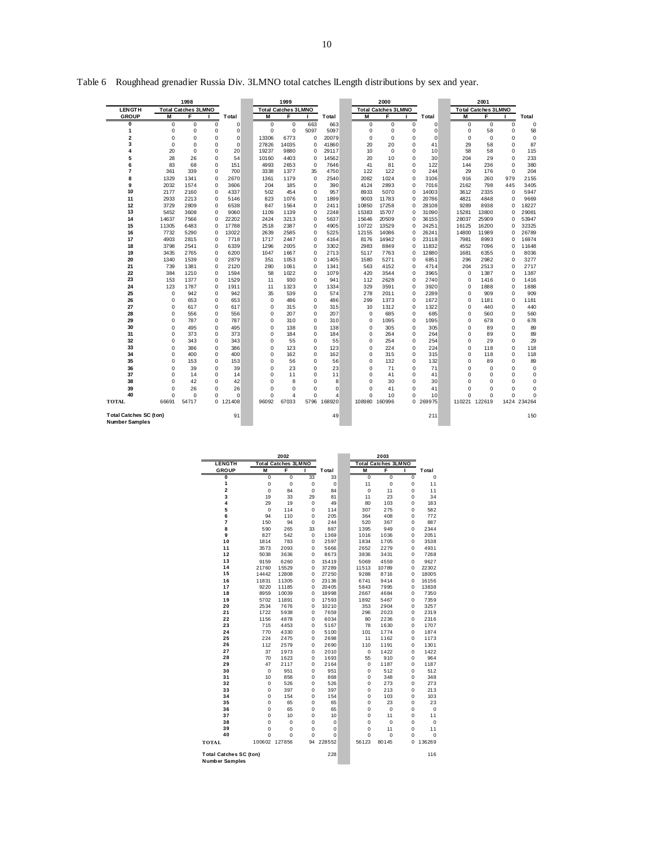|                                                        |                  | 1998                       |             |             |                   | 1999                       |                   |                |             | 2000                       |                            |              |             | 2001                       |                            |                |
|--------------------------------------------------------|------------------|----------------------------|-------------|-------------|-------------------|----------------------------|-------------------|----------------|-------------|----------------------------|----------------------------|--------------|-------------|----------------------------|----------------------------|----------------|
| <b>LENGTH</b>                                          |                  | <b>Total Catches 3LMNO</b> |             |             |                   | <b>Total Catches 3LMNO</b> |                   |                |             | <b>Total Catches 3LMNO</b> |                            |              |             | <b>Total Catches 3LMNO</b> |                            |                |
| <b>GROUP</b>                                           | M                | F                          |             | Total       | M                 | F                          |                   | Total          | M           | F                          |                            | Total        | M           | F                          |                            | Total          |
| 0                                                      | $\mathbf 0$      | $\mathbf 0$                | $\mathbf 0$ | $\mathbf 0$ | $\mathbf 0$       | $\mathbf 0$                | 663               | 663            | $\mathbf 0$ | 0                          | $\mathbf 0$                | $\mathbf 0$  | 0           | $\mathbf 0$                | $\mathbf 0$                | 0              |
| 1                                                      | $\mathbf 0$      | 0                          | 0           | $\mathbf 0$ | $\mathbf 0$       | $\mathbf 0$                | 5097              | 5097           | $\mathbf 0$ | 0                          | $\mathbf 0$                | $\mathbf 0$  | 0           | 58                         | $\mathbf 0$                | 58             |
| 2                                                      | $\mathbf 0$      | $\mathbf 0$                | 0           | $\mathbf 0$ | 13306             | 6773                       | 0                 | 20079          | 0           | 0                          | $\mathbf 0$                | $\mathbf 0$  | 0           | $\mathbf 0$                | $\Omega$                   | 0              |
| 3                                                      | $\mathbf 0$      | $\mathbf 0$                | 0           | $\mathbf 0$ | 27826             | 14035                      | 0                 | 41860          | 20          | 20                         | $\mathbf 0$                | 41           | 29          | 58                         | $\mathbf 0$                | 87             |
| 4                                                      | 20               | $\mathbf 0$                | 0           | 20          | 19237             | 9880                       | 0                 | 29117          | 10          | $\mathbf 0$                | $\mathbf 0$                | 10           | 58          | 58                         | $\mathbf 0$                | 115            |
| 5                                                      | 28               | 26                         | 0           | 54          | 10160             | 4403                       | 0                 | 14562          | 20          | 10                         | $\mathbf 0$                | 30           | 204         | 29                         | $\mathbf 0$                | 233            |
| 6<br>7                                                 | 83               | 68                         | 0<br>0      | 151         | 4993              | 2653                       | $\mathbf 0$       | 7646           | 41          | 81                         | $\mathbf 0$<br>$\mathbf 0$ | 122<br>244   | 144         | 236                        | $\mathbf 0$<br>$\mathbf 0$ | 380            |
| 8                                                      | 361<br>1329      | 339<br>1341                | $\mathbf 0$ | 700<br>2670 | 3338<br>1361      | 1377<br>1179               | 35<br>$\mathbf 0$ | 4750<br>2540   | 122<br>2082 | 122<br>1024                | $\mathbf 0$                | 3106         | 29<br>916   | 176<br>260                 | 979                        | 204<br>2155    |
| 9                                                      | 2032             | 1574                       | $\Omega$    | 3606        | 204               | 185                        | 0                 | 390            | 4124        | 2893                       | $\Omega$                   | 7016         | 2162        | 798                        | 445                        | 3405           |
| 10                                                     | 2177             | 2160                       | 0           | 4337        | 502               | 454                        | 0                 | 957            | 8933        | 5070                       | $\mathbf 0$                | 14003        | 3612        | 2335                       | $\mathbf 0$                | 5947           |
| 11                                                     | 2933             | 2213                       | $\Omega$    | 5146        | 823               | 1076                       | $\Omega$          | 1899           | 9003        | 11783                      | $\Omega$                   | 20786        | 4821        | 4848                       | $\Omega$                   | 9669           |
| 12                                                     | 3729             | 2809                       | 0           | 6538        | 847               | 1564                       | 0                 | 2411           | 10850       | 17258                      | $\mathbf 0$                | 28108        | 9289        | 8938                       | $\Omega$                   | 18227          |
| 13                                                     | 5452             | 3608                       | 0           | 9060        | 1109              | 1139                       | 0                 | 2248           | 15383       | 15707                      | $\mathbf 0$                | 31090        | 15281       | 13800                      | $\mathbf 0$                | 29081          |
| 14                                                     | 14637            | 7566                       | $\Omega$    | 22202       | 2424              | 3213                       | 0                 | 5637           | 15646       | 20509                      | $\mathbf 0$                | 36155        | 28037       | 25909                      | $\Omega$                   | 53947          |
| 15                                                     | 11305            | 6483                       | 0           | 17788       | 2518              | 2387                       | $\mathbf 0$       | 4905           | 10722       | 13529                      | $\mathbf 0$                | 24251        | 16125       | 16200                      | $\mathbf 0$                | 32325          |
| 16                                                     | 7732             | 5290                       | $\mathbf 0$ | 13022       | 2639              | 2585                       | 0                 | 5225           | 12155       | 14086                      | $\mathbf 0$                | 26241        | 14800       | 11989                      | $\Omega$                   | 26789          |
| 17                                                     | 4903             | 2815                       | $\mathbf 0$ | 7718        | 1717              | 2447                       | 0                 | 4164           | 8176        | 14942                      | $\mathbf 0$                | 23118        | 7981        | 8993                       | $\Omega$                   | 16974          |
| 18                                                     | 3798             | 2541                       | $\mathbf 0$ | 6339        | 1296              | 2005                       | 0                 | 3302           | 2983        | 8849                       | $\mathbf 0$                | 11832        | 4552        | 7096                       | $\Omega$                   | 11648          |
| 19                                                     | 3435             | 2765                       | $\mathbf 0$ | 6200        | 1047              | 1667                       | 0                 | 2713           | 5117        | 7763                       | $\mathbf 0$                | 12880        | 1681        | 6355                       | $\mathbf 0$                | 8036           |
| 20                                                     | 1340             | 1539                       | $\Omega$    | 2879        | 351               | 1053                       | $\mathbf 0$       | 1405           | 1580        | 5271                       | $\mathbf 0$                | 6851         | 296         | 2982                       | $\Omega$                   | 3277           |
| 21                                                     | 739              | 1381                       | 0           | 2120        | 280               | 1061                       | 0                 | 1341           | 563         | 4152                       | $\mathbf 0$                | 4714         | 204         | 2513                       | $\mathbf 0$                | 2717           |
| 22                                                     | 384              | 1210                       | 0           | 1594        | 58                | 1022                       | 0                 | 1079           | 420         | 3544                       | $\mathbf 0$                | 3965         | 0           | 1387                       | $\Omega$                   | 1387           |
| 23                                                     | 153              | 1377                       | $\Omega$    | 1529        | 11                | 930                        | $\Omega$          | 941            | 112         | 2628                       | $\mathbf 0$                | 2740         | $\mathbf 0$ | 1416                       | $\Omega$                   | 1416           |
| 24                                                     | 123              | 1787                       | $\Omega$    | 1911        | 11                | 1323                       | 0                 | 1334           | 329         | 3591                       | $\mathbf 0$                | 3920         | 0           | 1888                       | $\Omega$<br>$\Omega$       | 1888           |
| 25<br>26                                               | $\mathbf 0$<br>0 | 942<br>653                 | 0<br>0      | 942<br>653  | 35<br>$\mathbf 0$ | 539<br>486                 | 0<br>0            | 574<br>486     | 278<br>299  | 2011<br>1373               | $\mathbf 0$<br>$\mathbf 0$ | 2289<br>1672 | 0<br>0      | 909<br>1181                | $\Omega$                   | 909<br>1181    |
| 27                                                     | 0                | 617                        | 0           | 617         | 0                 | 315                        | 0                 | 315            | 10          | 1312                       | $\mathbf 0$                | 1322         | 0           | 440                        | $\mathbf 0$                | 440            |
| 28                                                     | 0                | 556                        | 0           | 556         | $\mathbf 0$       | 207                        | 0                 | 207            | $\mathbf 0$ | 685                        | $\mathbf 0$                | 685          | 0           | 560                        | $\mathbf 0$                | 560            |
| 29                                                     | 0                | 787                        | 0           | 787         | $\mathbf 0$       | 310                        | 0                 | 310            | $\mathbf 0$ | 1095                       | $\mathbf 0$                | 1095         | 0           | 678                        | $\Omega$                   | 678            |
| 30                                                     | 0                | 495                        | 0           | 495         | $\mathbf 0$       | 138                        | $\mathbf 0$       | 138            | $\mathbf 0$ | 305                        | $\mathbf 0$                | 305          | 0           | 89                         | $\mathbf 0$                | 89             |
| 31                                                     | 0                | 373                        | 0           | 373         | $\mathbf 0$       | 184                        | $\mathbf 0$       | 184            | $\mathbf 0$ | 264                        | $\mathbf 0$                | 264          | 0           | 89                         | $\mathbf 0$                | 89             |
| 32                                                     | 0                | 343                        | 0           | 343         | $\mathbf 0$       | 55                         | $\mathbf 0$       | 55             | $\mathbf 0$ | 254                        | $\mathbf 0$                | 254          | 0           | 29                         | $\mathbf 0$                | 29             |
| 33                                                     | 0                | 386                        | $\mathbf 0$ | 386         | $\mathbf 0$       | 123                        | $\mathbf 0$       | 123            | $\mathbf 0$ | 224                        | $\mathbf 0$                | 224          | 0           | 118                        | $\mathbf 0$                | 118            |
| 34                                                     | 0                | 400                        | 0           | 400         | $\mathbf 0$       | 162                        | $\mathbf 0$       | 162            | $\mathbf 0$ | 315                        | $\mathbf 0$                | 315          | 0           | 118                        | $\mathbf 0$                | 118            |
| 35                                                     | 0                | 153                        | $\mathbf 0$ | 153         | $\mathbf 0$       | 56                         | $\mathbf 0$       | 56             | $\mathbf 0$ | 132                        | $\mathbf 0$                | 132          | 0           | 89                         | $\mathbf 0$                | 89             |
| 36                                                     | 0                | 39                         | $\Omega$    | 39          | $\Omega$          | 23                         | $\Omega$          | 23             | $\mathbf 0$ | 71                         | $\mathbf 0$                | 71           | $\Omega$    | $\Omega$                   | $\Omega$                   | 0              |
| 37                                                     | 0                | 14                         | 0           | 14          | $\mathbf 0$       | 11                         | $\mathbf 0$       | 11             | $\mathbf 0$ | 41                         | $\mathbf 0$                | 41           | $\Omega$    | $\mathbf 0$                | $\mathbf 0$                | 0              |
| 38                                                     | $\mathbf 0$      | 42                         | 0           | 42          | $\mathbf 0$       | 8                          | $\mathbf 0$       | 8              | 0           | 30                         | $\mathbf 0$                | 30           | 0           | $\mathbf 0$                | $\mathbf 0$                | $\overline{0}$ |
| 39                                                     | 0                | 26                         | 0           | 26          | $\mathbf 0$       | $\mathbf 0$                | 0                 | $\Omega$       | 0           | 41                         | 0                          | 41           | $\Omega$    | $\mathbf 0$                | $\Omega$                   | 0              |
| 40                                                     | 0                | $\mathbf 0$                | 0           | $\mathbf 0$ | $\mathbf 0$       | $\overline{4}$             | $\mathbf 0$       | $\overline{4}$ | 0           | 10                         | $\mathbf 0$                | 10           | 0           | $\mathbf 0$                | $\mathbf 0$                | $\Omega$       |
| TOTAL                                                  | 66691            | 54717                      |             | 0 121408    | 96092             | 67033                      | 5796              | 168920         |             | 108980 160996              |                            | 0 269975     |             | 110221 122619              |                            | 1424 234264    |
| <b>Total Catches SC (ton)</b><br><b>Number Samples</b> |                  |                            |             | 91          |                   |                            |                   | 49             |             |                            |                            | 211          |             |                            |                            | 150            |

Table 6 Roughhead grenadier Russia Div. 3LMNO total catches lLength distributions by sex and year.

|                                                        |                | 2002                       |             |        |                | 2003                       |                |             |
|--------------------------------------------------------|----------------|----------------------------|-------------|--------|----------------|----------------------------|----------------|-------------|
| <b>LENGTH</b>                                          |                | <b>Total Catches 3LMNO</b> |             |        |                | <b>Total Catches 3LMNO</b> |                |             |
| GROUP                                                  | M              | F                          | ш           | Total  | М              | F                          | ı              | Total       |
| Ō                                                      | $\overline{0}$ | 0                          | 33          | 33     | $\overline{0}$ | $\overline{0}$             | $\overline{0}$ | $\mathbf 0$ |
| 1                                                      | 0              | 0                          | $\mathbf 0$ | 0      | 11             | 0                          | 0              | 11          |
| $\overline{\mathbf{c}}$                                | $\mathbf 0$    | 84                         | $\mathbf 0$ | 84     | $\mathbf 0$    | 11                         | $\mathbf 0$    | 11          |
| 3                                                      | 19             | 33                         | 29          | 81     | 11             | 23                         | Ó              | 34          |
| 4                                                      | 29             | 19                         | $\mathbf 0$ | 49     | 80             | 103                        | 0              | 183         |
| 5                                                      | $\mathbf 0$    | 114                        | $\Omega$    | 114    | 307            | 275                        | 0              | 582         |
| 6                                                      | 94             | 110                        | 0           | 205    | 364            | 408                        | 0              | 772         |
| 7                                                      | 150            | 94                         | $\mathbf 0$ | 244    | 520            | 367                        | Ō              | 887         |
| 8                                                      | 590            | 265                        | 33          | 887    | 1395           | 949                        | 0              | 2344        |
| 9                                                      | 827            | 542                        | $\mathbf 0$ | 1369   | 1016           | 1036                       | 0              | 2051        |
| 10                                                     | 1814           | 783                        | 0           | 2597   | 1834           | 1705                       | 0              | 3538        |
| 11                                                     | 3573           | 2093                       | 0           | 5666   | 2652           | 2279                       | 0              | 4931        |
| 12                                                     | 5038           | 3636                       | 0           | 8673   | 3836           | 3431                       | 0              | 7268        |
| 13                                                     | 9159           | 6260                       | 0           | 15419  | 5069           | 4559                       | 0              | 9627        |
| 14                                                     | 21760          | 15529                      | 0           | 37289  | 11513          | 10789                      | 0              | 22302       |
| 15                                                     | 14442          | 12808                      | 0           | 27250  | 9288           | 8716                       | 0              | 18005       |
| 16                                                     | 11831          | 11305                      | 0           | 23136  | 6741           | 9414                       | 0              | 16156       |
| 17                                                     | 9220           | 11185                      | 0           | 20405  | 5843           | 7995                       | 0              | 13838       |
| 18                                                     | 8959           | 10039                      | 0           | 18998  | 2667           | 4684                       | 0              | 7350        |
| 19                                                     | 5702           | 11891                      | 0           | 17593  | 1892           | 5467                       | 0              | 7359        |
| 20                                                     | 2534           | 7676                       | 0           | 10210  | 353            | 2904                       | 0              | 3257        |
| 21                                                     | 1722           | 5938                       | 0           | 7659   | 296            | 2023                       | 0              | 2319        |
| 22                                                     | 1156           | 4878                       | 0           | 6034   | 80             | 2236                       | 0              | 2316        |
| 23                                                     | 715            | 4453                       | 0           | 5167   | 78             | 1630                       | 0              | 1707        |
| 24                                                     | 770            | 4330                       | 0           | 5100   | 101            | 1774                       | 0              | 1874        |
| 25                                                     | 224            | 2475                       | 0           | 2698   | 11             | 1162                       | Ō              | 1173        |
| 26                                                     | 112            | 2579                       | $\Omega$    | 2690   | 110            | 1191                       | 0              | 1301        |
| 27                                                     | 37             | 1973                       | 0           | 2010   | 0              | 1422                       | 0              | 1422        |
| 28                                                     | 70             | 1623                       | 0           | 1693   | 55             | 910                        | Ō              | 964         |
| 29                                                     | 47             | 2117                       | 0           | 2164   | 0              | 1187                       | 0              | 1187        |
| 30                                                     | $\mathbf 0$    | 951                        | 0           | 951    | 0              | 512                        | 0              | 512         |
| 31                                                     | 10             | 858                        | 0           | 868    | 0              | 348                        | 0              | 348         |
| 32                                                     | 0              | 526                        | 0           | 526    | 0              | 273                        | 0              | 273         |
| 33                                                     | 0              | 397                        | 0           | 397    | 0              | 213                        | 0              | 213         |
| 34                                                     | $\mathbf 0$    | 154                        | $\mathbf 0$ | 154    | $\mathbf 0$    | 103                        | Ō              | 103         |
| 35                                                     | 0              | 65                         | 0           | 65     | 0              | 23                         | 0              | 23          |
| 36                                                     | 0              | 65                         | 0           | 65     | 0              | 0                          | 0              | $\mathbf 0$ |
| 37                                                     | $\mathbf 0$    | 10                         | 0           | 10     | $\mathbf 0$    | 11                         | 0              | 11          |
| 38                                                     | $\mathbf 0$    | $\mathbf 0$                | 0           | 0      | $\mathbf 0$    | $\mathbf 0$                | Ō              | $\mathbf 0$ |
| 39                                                     | $\mathbf 0$    | $\mathbf 0$                | $\mathbf 0$ | 0      | 0              | 11                         | Ō              | 11          |
| 40                                                     | $\mathbf 0$    | $\mathbf 0$                | 0           | 0      | $\mathbf 0$    | 0                          | 0              | $\mathbf 0$ |
| TOTAL                                                  | 100602         | 127856                     | 94          | 228552 | 56123          | 80145                      | 0              | 136269      |
| <b>Total Catches SC (ton)</b><br><b>Number Samples</b> |                |                            |             | 228    |                |                            |                | 116         |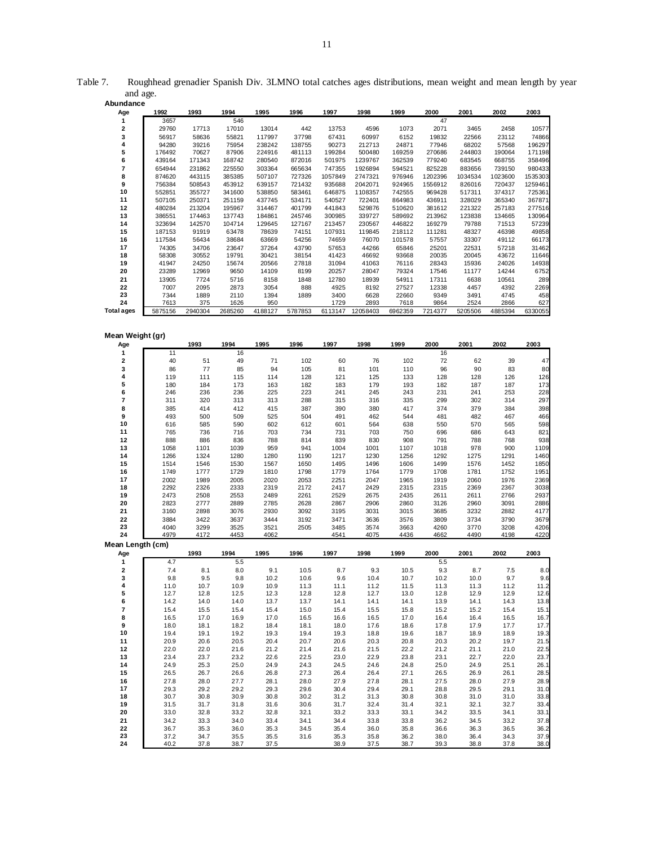| Abundance         |              |              |              |              |         |              |              |              |              |              |              |              |
|-------------------|--------------|--------------|--------------|--------------|---------|--------------|--------------|--------------|--------------|--------------|--------------|--------------|
| Age               | 1992         | 1993         | 1994         | 1995         | 1996    | 1997         | 1998         | 1999         | 2000         | 2001         | 2002         | 2003         |
| 1                 | 3657         |              | 546          |              |         |              |              |              | 47           |              |              |              |
| 2                 | 29760        | 17713        | 17010        | 13014        | 442     | 13753        | 4596         | 1073         | 2071         | 3465         | 2458         | 10577        |
| 3                 | 56917        | 58636        | 55821        | 117997       | 37798   | 67431        | 60997        | 6152         | 19832        | 22566        | 23112        | 74866        |
| 4                 |              |              |              |              |         |              |              |              |              |              |              |              |
|                   | 94280        | 39216        | 75954        | 238242       | 138755  | 90273        | 212713       | 24871        | 77946        | 68202        | 57568        | 196297       |
| 5                 | 176492       | 70627        | 87906        | 224916       | 481113  | 199284       | 500480       | 169259       | 270686       | 244803       | 190064       | 171198       |
| 6                 | 439164       | 171343       | 168742       | 280540       | 872016  | 501975       | 1239767      | 362539       | 779240       | 683545       | 668755       | 358496       |
| 7                 | 654944       | 231862       | 225550       | 303364       | 665634  | 747355       | 1926894      | 594521       | 825228       | 883656       | 739150       | 980433       |
| 8                 | 874620       | 443115       | 385385       | 507107       | 727326  | 1057849      | 2747321      | 976946       | 1202396      | 1034534      | 1023600      | 1535303      |
| 9                 | 756384       | 508543       | 453912       | 639157       | 721432  | 935688       | 2042071      | 924965       | 1556912      | 826016       | 720437       | 1259461      |
| 10                | 552851       | 355727       | 341600       | 538850       | 583461  | 646875       | 1108357      | 742555       | 969428       | 517311       | 374317       | 725361       |
| 11                |              | 250371       |              |              |         | 540527       |              | 864983       | 436911       | 328029       | 365340       | 367871       |
|                   | 507105       |              | 251159       | 437745       | 534171  |              | 722401       |              |              |              |              |              |
| 12                | 480284       | 213204       | 195967       | 314467       | 401799  | 441843       | 529876       | 510620       | 381612       | 221322       | 257183       | 277516       |
| 13                | 386551       | 174463       | 137743       | 184861       | 245746  | 300985       | 339727       | 589692       | 213962       | 123838       | 134665       | 130964       |
| 14                | 323694       | 142570       | 104714       | 129645       | 127167  | 213457       | 230567       | 446822       | 169279       | 79788        | 71513        | 57239        |
| 15                | 187153       | 91919        | 63478        | 78639        | 74151   | 107931       | 119845       | 218112       | 111281       | 48327        | 46398        | 49858        |
| 16                | 117584       | 56434        | 38684        | 63669        | 54256   | 74659        | 76070        | 101578       | 57557        | 33307        | 49112        | 66173        |
| 17                | 74305        | 34706        | 23647        | 37264        | 43790   | 57653        | 44266        | 65846        | 25201        | 22531        | 57218        | 31462        |
| 18                | 58308        | 30552        | 19791        | 30421        | 38154   | 41423        | 46692        | 93668        | 20035        | 20045        | 43672        | 11646        |
| 19                | 41947        | 24250        | 15674        | 20566        | 27818   | 31094        | 41063        | 76116        | 28343        | 15936        | 24026        | 14938        |
| 20                |              | 12969        | 9650         | 14109        | 8199    |              | 28047        | 79324        | 17546        | 11177        | 14244        |              |
|                   | 23289        |              |              |              |         | 20257        |              |              |              |              |              | 6752         |
| 21                | 13905        | 7724         | 5716         | 8158         | 1848    | 12780        | 18939        | 54911        | 17311        | 6638         | 10561        | 289          |
| 22                | 7007         | 2095         | 2873         | 3054         | 888     | 4925         | 8192         | 27527        | 12338        | 4457         | 4392         | 2269         |
| 23                | 7344         | 1889         | 2110         | 1394         | 1889    | 3400         | 6628         | 22660        | 9349         | 3491         | 4745         | 458          |
| 24                | 7613         | 375          | 1626         | 950          |         | 1729         | 2893         | 7618         | 9864         | 2524         | 2866         | 627          |
| <b>Total ages</b> | 5875156      | 2940304      | 2685260      | 4188127      | 5787853 | 6113147      | 12058403     | 6962359      | 7214377      | 5205506      | 4885394      | 6330055      |
|                   |              |              |              |              |         |              |              |              |              |              |              |              |
|                   |              |              |              |              |         |              |              |              |              |              |              |              |
| Mean Weight (gr)  |              |              |              |              |         |              |              |              |              |              |              |              |
|                   |              | 1993         | 1994         | 1995         | 1996    | 1997         | 1998         | 1999         | 2000         | 2001         | 2002         | 2003         |
| Age               |              |              |              |              |         |              |              |              |              |              |              |              |
| 1                 | 11           |              | 16           |              |         |              |              |              | 16           |              |              |              |
| 2                 | 40           | 51           | 49           | 71           | 102     | 60           | 76           | 102          | 72           | 62           | 39           | 47           |
| 3                 | 86           | 77           | 85           | 94           | 105     | 81           | 101          | 110          | 96           | 90           | 83           | 80           |
| 4                 | 119          | 111          | 115          | 114          | 128     | 121          | 125          | 133          | 128          | 128          | 126          | 126          |
| 5                 | 180          | 184          | 173          | 163          | 182     | 183          | 179          | 193          | 182          | 187          | 187          | 173          |
| 6                 | 246          | 236          | 236          | 225          | 223     | 241          | 245          | 243          | 231          | 241          | 253          | 228          |
| 7                 | 311          | 320          | 313          | 313          | 288     | 315          | 316          | 335          | 299          | 302          | 314          | 297          |
| 8                 | 385          | 414          | 412          | 415          | 387     | 390          | 380          | 417          | 374          | 379          | 384          | 398          |
|                   |              |              |              |              |         |              |              |              |              |              |              |              |
| 9                 | 493          | 500          | 509          | 525          | 504     | 491          | 462          | 544          | 481          | 482          | 467          | 466          |
| 10                | 616          | 585          | 590          | 602          | 612     | 601          | 564          | 638          | 550          | 570          | 565          | 598          |
| 11                | 765          | 736          | 716          | 703          | 734     | 731          | 703          | 750          | 696          | 686          | 643          | 821          |
| 12                | 888          | 886          | 836          | 788          | 814     | 839          | 830          | 908          | 791          | 788          | 768          | 938          |
| 13                | 1058         | 1101         | 1039         | 959          | 941     | 1004         | 1001         | 1107         | 1018         | 978          | 900          | 1109         |
| 14                | 1266         | 1324         | 1280         | 1280         | 1190    | 1217         | 1230         | 1256         | 1292         | 1275         | 1291         | 1460         |
| 15                | 1514         | 1546         | 1530         | 1567         | 1650    | 1495         | 1496         | 1606         | 1499         | 1576         | 1452         | 1850         |
| 16                | 1749         | 1777         | 1729         | 1810         | 1798    | 1779         | 1764         | 1779         | 1708         | 1781         | 1752         | 1951         |
| 17                | 2002         | 1989         | 2005         | 2020         | 2053    | 2251         | 2047         | 1965         | 1919         | 2060         | 1976         | 2369         |
|                   |              |              |              |              |         |              |              |              |              |              |              |              |
| 18                | 2292         | 2326         | 2333         | 2319         | 2172    | 2417         | 2429         | 2315         | 2315         | 2369         | 2367         | 3038         |
| 19                | 2473         | 2508         | 2553         | 2489         | 2261    | 2529         | 2675         | 2435         | 2611         | 2611         | 2766         | 2937         |
| 20                | 2823         | 2777         | 2889         | 2785         | 2628    | 2867         | 2906         | 2860         | 3126         | 2960         | 3091         | 2886         |
| 21                | 3160         | 2898         | 3076         | 2930         | 3092    | 3195         | 3031         | 3015         | 3685         | 3232         | 2882         | 4177         |
| 22                | 3884         | 3422         | 3637         | 3444         | 3192    | 3471         | 3636         | 3576         | 3809         | 3734         | 3790         | 3679         |
| 23                | 4040         | 3299         | 3525         | 3521         | 2505    | 3485         | 3574         | 3663         | 4260         | 3770         | 3208         | 4206         |
| 24                | 4979         | 4172         | 4453         | 4062         |         | 4541         | 4075         | 4436         | 4662         | 4490         | 4198         | 4220         |
|                   |              |              |              |              |         |              |              |              |              |              |              |              |
| Mean Length (cm)  |              |              |              |              |         |              |              |              |              |              |              |              |
| Age               |              | 1993         | 1994         | 1995         | 1996    | 1997         | 1998         | 1999         | 2000         | 2001         | 2002         | 2003         |
| 1                 | 4.7          |              | 5.5          |              |         |              |              |              | 5.5          |              |              |              |
| 2                 | 7.4          | 8.1          | 8.0          | 9.1          | 10.5    | 8.7          | 9.3          | 10.5         | 9.3          | 8.7          | 7.5          | 8.0          |
| з                 | 9.8          | 9.5          | 9.8          | 10.<br>2     | 10.6    | 9.6          | 10.4         | 10.7         | 10.2         | 10.0         | 9.7          | 9.6          |
| 4                 | 11.0         | 10.7         | 10.9         | 10.9         | 11.3    | 11.1         | 11.2         | 11.5         | 11.3         | 11.3         | 11.2         | 11.2         |
| 5                 | 12.7         | 12.8         | 12.5         | 12.3         | 12.8    | 12.8         | 12.7         | 13.0         | 12.8         | 12.9         | 12.9         | 12.6         |
| 6                 | 14.2         | 14.0         | 14.0         | 13.7         | 13.7    | 14.1         | 14.1         | 14.1         | 13.9         | 14.1         | 14.3         | 13.8         |
| 7                 | 15.4         | 15.5         | 15.4         | 15.4         | 15.0    | 15.4         | 15.5         | 15.8         | 15.2         | 15.2         | 15.4         | 15.1         |
| 8                 | 16.5         | 17.0         | 16.9         | 17.0         | 16.5    | 16.6         | 16.5         | 17.0         | 16.4         | 16.4         | 16.5         | 16.7         |
|                   |              |              |              |              |         |              |              |              |              |              |              |              |
| 9                 | 18.0         | 18.1         | 18.2         | 18.4         | 18.1    | 18.0         | 17.6         | 18.6         | 17.8         | 17.9         | 17.7         | 17.7         |
| 10                | 19.4         | 19.1         | 19.2         | 19.3         | 19.4    | 19.3         | 18.8         | 19.6         | 18.7         | 18.9         | 18.9         | 19.3         |
| 11                | 20.9         | 20.6         | 20.5         | 20.4         | 20.7    | 20.6         | 20.3         | 20.8         | 20.3         | 20.2         | 19.7         | 21.5         |
| 12                | 22.0         | 22.0         | 21.6         | 21.2         | 21.4    | 21.6         | 21.5         | 22.2         | 21.2         | 21.1         | 21.0         | 22.5         |
| 13                | 23.4         | 23.7         | 23.2         | 22.6         | 22.5    | 23.0         | 22.9         | 23.8         | 23.1         | 22.7         | 22.0         | 23.7         |
| 14                | 24.9         | 25.3         | 25.0         | 24.9         | 24.3    | 24.5         | 24.6         | 24.8         | 25.0         | 24.9         | 25.1         | 26.1         |
| 15                | 26.5         |              | 26.6         |              |         | 26.4         |              |              |              | 26.9         | 26.1         |              |
|                   |              | 26.7         |              | 26.8         | 27.3    |              | 26.4         | 27.1         | 26.5         |              |              | 28.5         |
| 16                | 27.8         | 28.0         | 27.7         | 28.1         | 28.0    | 27.9         | 27.8         | 28.1         | 27.5         | 28.0         | 27.9         | 28.9         |
| 17                | 29.3         | 29.2         | 29.2         | 29.3         | 29.6    | 30.4         | 29.4         | 29.1         | 28.8         | 29.5         | 29.1         | 31.0         |
| 18                | 30.7         | 30.8         | 30.9         | 30.8         | 30.2    | 31.2         | 31.3         | 30.8         | 30.8         | 31.0         | 31.0         | 33.8         |
| 19                | 31.5         | 31.7         | 31.8         | 31.6         | 30.6    | 31.7         | 32.4         | 31.4         | 32.1         | 32.1         | 32.7         | 33.4         |
| 20                | 33.0         | 32.8         | 33.2         | 32.8         | 32.1    | 33.2         | 33.3         | 33.1         | 34.2         | 33.5         | 34.1         | 33.1         |
| 21                | 34.2         | 33.3         | 34.0         | 33.4         | 34.1    | 34.4         | 33.8         | 33.8         | 36.2         | 34.5         | 33.2         | 37.8         |
|                   |              |              |              |              |         |              |              |              |              |              |              |              |
|                   |              |              |              |              |         |              |              |              |              |              |              |              |
| 22                | 36.7         | 35.3         | 36.0         | 35.3         | 34.5    | 35.4         | 36.0         | 35.8         | 36.6         | 36.3         | 36.5         | 36.2         |
| 23<br>24          | 37.2<br>40.2 | 34.7<br>37.8 | 35.5<br>38.7 | 35.5<br>37.5 | 31.6    | 35.3<br>38.9 | 35.8<br>37.5 | 36.2<br>38.7 | 38.0<br>39.3 | 36.4<br>38.8 | 34.3<br>37.8 | 37.9<br>38.0 |

Table 7. Roughhead grenadier Spanish Div. 3LMNO total catches ages distributions, mean weight and mean length by year and age.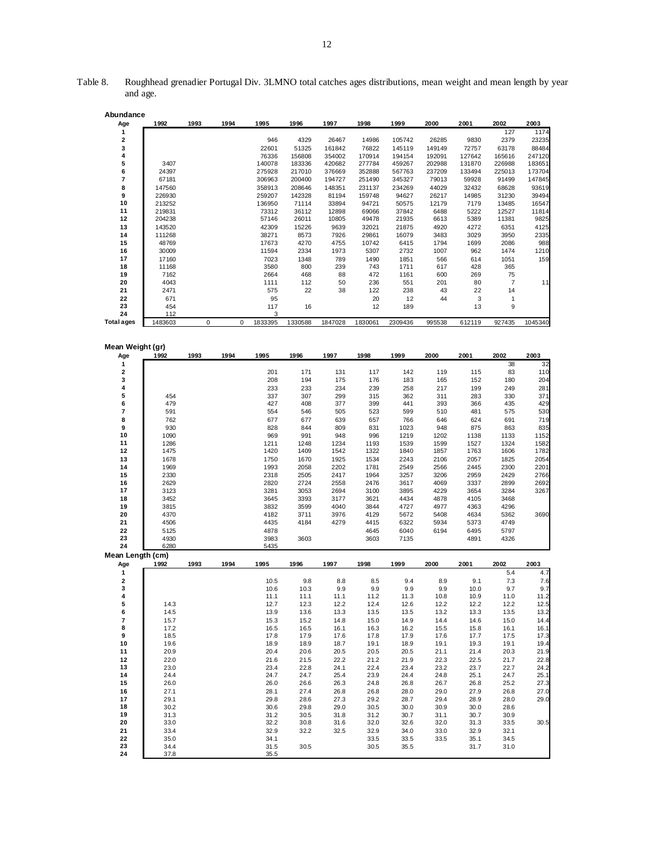| Abundance         |                  |      |           |                 |                |                 |                |                  |                 |               |                |                |
|-------------------|------------------|------|-----------|-----------------|----------------|-----------------|----------------|------------------|-----------------|---------------|----------------|----------------|
| Age               | 1992             | 1993 | 1994      | 1995            | 1996           | 1997            | 1998           | 1999             | 2000            | 2001          | 2002           | 2003           |
| 1                 |                  |      |           |                 |                |                 |                |                  |                 |               | 127            | 1174           |
| 2<br>3            |                  |      |           | 946<br>22601    | 4329<br>51325  | 26467<br>161842 | 14986<br>76822 | 105742<br>145119 | 26285<br>149149 | 9830<br>72757 | 2379<br>63178  | 23235<br>88484 |
| 4                 |                  |      |           | 76336           | 156808         | 354002          | 170914         | 194154           | 192091          | 127642        | 165616         | 247120         |
| 5                 | 3407             |      |           | 140078          | 183336         | 420682          | 277784         | 459267           | 202988          | 131870        | 226988         | 183651         |
| 6                 | 24397            |      |           | 275928          | 217010         | 376669          | 352888         | 567763           | 237209          | 133494        | 225013         | 173704         |
| 7                 | 67181            |      |           | 306963          | 200400         | 194727          | 251490         | 345327           | 79013           | 59928         | 91499          | 147845         |
| 8                 | 147560           |      |           | 358913          | 208646         | 148351          | 231137         | 234269           | 44029           | 32432         | 68628          | 93619          |
| 9<br>10           | 226930           |      |           | 259207          | 142328         | 81194           | 159748         | 94627            | 26217           | 14985         | 31230          | 39494          |
| 11                | 213252<br>219831 |      |           | 136950<br>73312 | 71114<br>36112 | 33894<br>12898  | 94721<br>69066 | 50575<br>37842   | 12179<br>6488   | 7179<br>5222  | 13485<br>12527 | 16547<br>11814 |
| 12                | 204238           |      |           | 57146           | 26011          | 10805           | 49478          | 21935            | 6613            | 5389          | 11381          | 9825           |
| 13                | 143520           |      |           | 42309           | 15226          | 9639            | 32021          | 21875            | 4920            | 4272          | 6351           | 4125           |
| 14                | 111268           |      |           | 38271           | 8573           | 7926            | 29861          | 16079            | 3483            | 3029          | 3950           | 2335           |
| 15                | 48769            |      |           | 17673           | 4270           | 4755            | 10742          | 6415             | 1794            | 1699          | 2086           | 988            |
| 16                | 30009            |      |           | 11594           | 2334           | 1973            | 5307           | 2732             | 1007            | 962           | 1474           | 1210           |
| 17                | 17160            |      |           | 7023            | 1348           | 789             | 1490           | 1851             | 566             | 614           | 1051           | 159            |
| 18<br>19          | 11168<br>7162    |      |           | 3580<br>2664    | 800<br>468     | 239<br>88       | 743<br>472     | 1711<br>1161     | 617<br>600      | 428<br>269    | 365<br>75      |                |
| 20                | 4043             |      |           | 1111            | 112            | 50              | 236            | 551              | 201             | 80            | $\overline{7}$ | 11             |
| 21                | 2471             |      |           | 575             | 22             | 38              | 122            | 238              | 43              | 22            | 14             |                |
| 22                | 671              |      |           | 95              |                |                 | 20             | 12               | 44              | 3             | 1              |                |
| 23                | 454              |      |           | 117             | 16             |                 | 12             | 189              |                 | 13            | 9              |                |
| 24                | 112              |      |           | 3               |                |                 |                |                  |                 |               |                |                |
| <b>Total ages</b> | 1483603          | 0    | $\pmb{0}$ | 1833395         | 1330588        | 1847028         | 1830061        | 2309436          | 995538          | 612119        | 927435         | 1045340        |
|                   |                  |      |           |                 |                |                 |                |                  |                 |               |                |                |
| Mean Weight (gr)  |                  |      |           |                 |                |                 |                |                  |                 |               |                |                |
| Age               | 1992             | 1993 | 1994      | 1995            | 1996           | 1997            | 1998           | 1999             | 2000            | 2001          | 2002           | 2003           |
| 1<br>2            |                  |      |           | 201             | 171            | 131             | 117            | 142              | 119             | 115           | 38<br>83       | 32<br>110      |
| 3                 |                  |      |           | 208             | 194            | 175             | 176            | 183              | 165             | 152           | 180            | 204            |
| 4                 |                  |      |           | 233             | 233            | 234             | 239            | 258              | 217             | 199           | 249            | 281            |
| 5                 | 454              |      |           | 337             | 307            | 299             | 315            | 362              | 311             | 283           | 330            | 371            |
| 6                 | 479              |      |           | 427             | 408            | 377             | 399            | 441              | 393             | 366           | 435            | 429            |
| 7                 | 591              |      |           | 554             | 546            | 505             | 523            | 599              | 510             | 481           | 575            | 530            |
| 8                 | 762              |      |           | 677             | 677            | 639             | 657            | 766              | 646             | 624           | 691            | 719            |
| 9                 | 930              |      |           | 828             | 844            | 809             | 831            | 1023             | 948             | 875           | 863            | 835            |
| 10<br>11          | 1090             |      |           | 969             | 991            | 948             | 996            | 1219             | 1202            | 1138          | 1133           | 1152           |
| 12                | 1286<br>1475     |      |           | 1211<br>1420    | 1248<br>1409   | 1234<br>1542    | 1193<br>1322   | 1539<br>1840     | 1599<br>1857    | 1527<br>1763  | 1324<br>1606   | 1582<br>1782   |
| 13                | 1678             |      |           | 1750            | 1670           | 1925            | 1534           | 2243             | 2106            | 2057          | 1825           | 2054           |
| 14                | 1969             |      |           | 1993            | 2058           | 2202            | 1781           | 2549             | 2566            | 2445          | 2300           | 2201           |
| 15                | 2330             |      |           | 2318            | 2505           | 2417            | 1964           | 3257             | 3206            | 2959          | 2429           | 2766           |
| 16                | 2629             |      |           | 2820            | 2724           | 2558            | 2476           | 3617             | 4069            | 3337          | 2899           | 2692           |
| 17                | 3123             |      |           | 3281            | 3053           | 2694            | 3100           | 3895             | 4229            | 3654          | 3284           | 3267           |
| 18                | 3452             |      |           | 3645            | 3393           | 3177            | 3621           | 4434             | 4878            | 4105          | 3468           |                |
| 19<br>20          | 3815<br>4370     |      |           | 3832<br>4182    | 3599<br>3711   | 4040<br>3976    | 3844<br>4129   | 4727<br>5672     | 4977<br>5408    | 4363<br>4634  | 4296<br>5362   | 3690           |
| 21                | 4506             |      |           | 4435            | 4184           | 4279            | 4415           | 6322             | 5934            | 5373          | 4749           |                |
| 22                | 5125             |      |           | 4878            |                |                 | 4645           | 6040             | 6194            | 6495          | 5797           |                |
| 23                | 4930             |      |           | 3983            | 3603           |                 | 3603           | 7135             |                 | 4891          | 4326           |                |
| 24                | 6280             |      |           | 5435            |                |                 |                |                  |                 |               |                |                |
| Mean Length (cm)  |                  |      |           |                 |                |                 |                |                  |                 |               |                |                |
| Age<br>1          | 1992             | 1993 | 1994      | 1995            | 1996           | 1997            | 1998           | 1999             | 2000            | 2001          | 2002<br>5.4    | 2003<br>4.7    |
| 2                 |                  |      |           | 10.5            | 9.8            | 8.8             | 8.5            | 9.4              | 8.9             | 9.1           | 7.3            | 7.6            |
| з                 |                  |      |           | 10.6            | 10.3           | 9.9             | 9.9            | 9.9              | 9.9             | 10.0          | 9.7            | 9.7            |
| 4                 |                  |      |           | 11.1            | 11.1           | 11.1            | 11.2           | 11.3             | 10.8            | 10.9          | 11.0           | 11.2           |
| 5                 | 14.3             |      |           | 12.7            | 12.3           | 12.2            | 12.4           | 12.6             | 12.2            | 12.2          | 12.2           | 12.5           |
| 6                 | 14.5             |      |           | 13.9            | 13.6           | 13.3            | 13.5           | 13.5             | 13.2            | 13.3          | 13.5           | 13.2           |
| 7<br>8            | 15.7<br>17.2     |      |           | 15.3            | 15.2           | 14.8            | 15.0<br>16.3   | 14.9             | 14.4<br>15.5    | 14.6          | 15.0           | 14.4<br>16.1   |
| 9                 | 18.5             |      |           | 16.5<br>17.8    | 16.5<br>17.9   | 16.1<br>17.6    | 17.8           | 16.2<br>17.9     | 17.6            | 15.8<br>17.7  | 16.1<br>17.5   | 17.3           |
| 10                | 19.6             |      |           | 18.9            | 18.9           | 18.7            | 19.1           | 18.9             | 19.1            | 19.3          | 19.1           | 19.4           |
| 11                | 20.9             |      |           | 20.4            | 20.6           | 20.5            | 20.5           | 20.5             | 21.1            | 21.4          | 20.3           | 21.9           |
| 12                | 22.0             |      |           | 21.6            | 21.5           | 22.2            | 21.2           | 21.9             | 22.3            | 22.5          | 21.7           | 22.8           |
| 13                | 23.0             |      |           | 23.4            | 22.8           | 24.1            | 22.4           | 23.4             | 23.2            | 23.7          | 22.7           | 24.2           |
| 14                | 24.4             |      |           | 24.7            | 24.7           | 25.4            | 23.9           | 24.4             | 24.8            | 25.1          | 24.7           | 25.1           |
| 15                | 26.0             |      |           | 26.0            | 26.6           | 26.3            | 24.8           | 26.8             | 26.7            | 26.8          | 25.2           | 27.3           |
| 16                | 27.1<br>29.1     |      |           | 28.1            | 27.4           | 26.8            | 26.8<br>29.2   | 28.0             | 29.0<br>29.4    | 27.9          | 26.8           | 27.0<br>29.0   |
| 17<br>18          | 30.2             |      |           | 29.8<br>30.6    | 28.6<br>29.8   | 27.3<br>29.0    | 30.5           | 28.7<br>30.0     | 30.9            | 28.9<br>30.0  | 28.0<br>28.6   |                |
| 19                | 31.3             |      |           | 31.2            | 30.5           | 31.8            | 31.2           | 30.7             | 31.1            | 30.7          | 30.9           |                |
| 20                | 33.0             |      |           | 32.2            | 30.8           | 31.6            | 32.0           | 32.6             | 32.0            | 31.3          | 33.5           | 30.5           |
| 21                | 33.4             |      |           | 32.9            | 32.2           | 32.5            | 32.9           | 34.0             | 33.0            | 32.9          | 32.1           |                |
| 22                | 35.0             |      |           | 34.1            |                |                 | 33.5           | 33.5             | 33.5            | 35.1          | 34.5           |                |
| 23                | 34.4             |      |           | 31.5            | 30.5           |                 | 30.5           | 35.5             |                 | 31.7          | 31.0           |                |
| 24                | 37.8             |      |           | 35.5            |                |                 |                |                  |                 |               |                |                |

Table 8. Roughhead grenadier Portugal Div. 3LMNO total catches ages distributions, mean weight and mean length by year and age.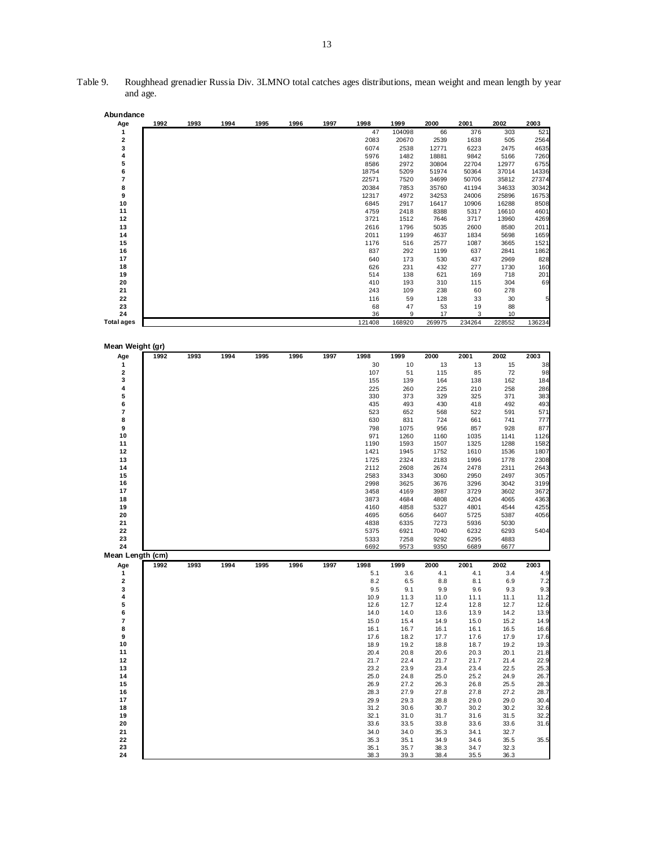| Abundance         |      |      |      |      |      |      |               |              |                |                |                |               |
|-------------------|------|------|------|------|------|------|---------------|--------------|----------------|----------------|----------------|---------------|
| Age               | 1992 | 1993 | 1994 | 1995 | 1996 | 1997 | 1998          | 1999         | 2000           | 2001           | 2002           | 2003          |
| 1                 |      |      |      |      |      |      | 47            | 104098       | 66             | 376            | 303            | 521           |
| 2                 |      |      |      |      |      |      | 2083          | 20670        | 2539           | 1638           | 505            | 2564          |
| 3                 |      |      |      |      |      |      | 6074          | 2538         | 12771          | 6223           | 2475           | 4635          |
| 4<br>5            |      |      |      |      |      |      | 5976          | 1482         | 18881          | 9842           | 5166           | 7260          |
| 6                 |      |      |      |      |      |      | 8586<br>18754 | 2972<br>5209 | 30804<br>51974 | 22704<br>50364 | 12977<br>37014 | 6755<br>14336 |
| 7                 |      |      |      |      |      |      | 22571         | 7520         | 34699          | 50706          | 35812          | 27374         |
| 8                 |      |      |      |      |      |      | 20384         | 7853         | 35760          | 41194          | 34633          | 30342         |
| 9                 |      |      |      |      |      |      | 12317         | 4972         | 34253          | 24006          | 25896          | 16753         |
| 10                |      |      |      |      |      |      | 6845          | 2917         | 16417          | 10906          | 16288          | 8508          |
| 11                |      |      |      |      |      |      | 4759          | 2418         | 8388           | 5317           | 16610          | 4601          |
| 12                |      |      |      |      |      |      | 3721          | 1512         | 7646           | 3717           | 13960          | 4269          |
| 13                |      |      |      |      |      |      | 2616          | 1796         | 5035           | 2600           | 8580           | 2011          |
| 14                |      |      |      |      |      |      | 2011          | 1199         | 4637           | 1834           | 5698           | 1659          |
| 15                |      |      |      |      |      |      | 1176          | 516          | 2577           | 1087           | 3665           | 1521          |
| 16                |      |      |      |      |      |      | 837           | 292          | 1199           | 637            | 2841           | 1862          |
| 17                |      |      |      |      |      |      | 640           | 173          | 530            | 437            | 2969           | 828           |
| 18                |      |      |      |      |      |      | 626           | 231          | 432            | 277            | 1730           | 160           |
| 19                |      |      |      |      |      |      | 514           | 138          | 621            | 169            | 718            | 201           |
| 20                |      |      |      |      |      |      | 410           | 193          | 310            | 115            | 304            | 69            |
| 21                |      |      |      |      |      |      | 243           | 109          | 238            | 60             | 278            |               |
| 22                |      |      |      |      |      |      | 116           | 59           | 128            | 33             | 30             | 5             |
| 23                |      |      |      |      |      |      | 68            | 47           | 53             | 19             | 88             |               |
| 24                |      |      |      |      |      |      | 36            | 9            | 17             | 3              | 10             |               |
| <b>Total ages</b> |      |      |      |      |      |      | 121408        | 168920       | 269975         | 234264         | 228552         | 136234        |
|                   |      |      |      |      |      |      |               |              |                |                |                |               |
| Mean Weight (gr)  |      |      |      |      |      |      |               |              |                |                |                |               |
| Age               | 1992 | 1993 | 1994 | 1995 | 1996 | 1997 | 1998          | 1999         | 2000           | 2001           | 2002           | 2003          |
| 1                 |      |      |      |      |      |      | 30            | 10           | 13             | 13             | 15             | 38            |
| 2                 |      |      |      |      |      |      | 107           | 51           | 115            | 85             | 72             | 98            |
| 3                 |      |      |      |      |      |      | 155           | 139          | 164            | 138            | 162            | 184           |
| 4                 |      |      |      |      |      |      | 225           | 260          | 225            | 210            | 258            | 286           |
| 5                 |      |      |      |      |      |      | 330           | 373          | 329            | 325            | 371            | 383           |
| 6                 |      |      |      |      |      |      | 435           | 493          | 430            | 418            | 492            | 493           |
| 7                 |      |      |      |      |      |      | 523           | 652          | 568            | 522            | 591            | 571           |
| 8                 |      |      |      |      |      |      | 630           | 831          | 724            | 661            | 741            | 777           |
| 9                 |      |      |      |      |      |      | 798           | 1075         | 956            | 857            | 928            | 877           |
| 10                |      |      |      |      |      |      | 971           | 1260         | 1160           | 1035           | 1141           | 1126          |
| 11                |      |      |      |      |      |      | 1190          | 1593         | 1507           | 1325           | 1288           | 1582          |
| 12                |      |      |      |      |      |      | 1421          | 1945         | 1752           | 1610           | 1536           | 1807          |
| 13<br>14          |      |      |      |      |      |      | 1725          | 2324         | 2183           | 1996           | 1778           | 2308          |
| 15                |      |      |      |      |      |      | 2112          | 2608         | 2674           | 2478           | 2311           | 2643          |
| 16                |      |      |      |      |      |      | 2583<br>2998  | 3343<br>3625 | 3060<br>3676   | 2950<br>3296   | 2497<br>3042   | 3057<br>3199  |
| 17                |      |      |      |      |      |      | 3458          | 4169         | 3987           | 3729           | 3602           | 3672          |
| 18                |      |      |      |      |      |      | 3873          | 4684         | 4808           | 4204           | 4065           | 4363          |
| 19                |      |      |      |      |      |      | 4160          | 4858         | 5327           | 4801           | 4544           | 4255          |
| 20                |      |      |      |      |      |      | 4695          | 6056         | 6407           | 5725           | 5387           | 4056          |
| 21                |      |      |      |      |      |      | 4838          | 6335         | 7273           | 5936           | 5030           |               |
| 22                |      |      |      |      |      |      | 5375          | 6921         | 7040           | 6232           | 6293           | 5404          |
| 23                |      |      |      |      |      |      | 5333          | 7258         | 9292           | 6295           | 4883           |               |
| 24                |      |      |      |      |      |      | 6692          | 9573         | 9350           | 6689           | 6677           |               |
| Mean Length (cm)  |      |      |      |      |      |      |               |              |                |                |                |               |
| Age               | 1992 | 1993 | 1994 | 1995 | 1996 | 1997 | 1998          | 1999         | 2000           | 2001           | 2002           | 2003          |
| 1                 |      |      |      |      |      |      | 5.1           | 3.6          | 4.1            | 4.1            | 3.4            | 4.9           |
| 2                 |      |      |      |      |      |      | 8.2           | 6.5          | 8.8            | 8.1            | 6.9            | 7.2           |
| з                 |      |      |      |      |      |      | 9.5           | 9.1          | 9.9            | 9.6            | 9.3            | 9.3           |
| 4                 |      |      |      |      |      |      | 10.9          | 11.3         | 11.0           | 11.1           | 11.1           | 11.2          |
| 5                 |      |      |      |      |      |      | 12.6          | 12.7         | 12.4           | 12.8           | 12.7           | 12.6          |
| 6                 |      |      |      |      |      |      | 14.0          | 14.0         | 13.6           | 13.9           | 14.2           | 13.9          |
| 7                 |      |      |      |      |      |      | 15.0          | 15.4         | 14.9           | 15.0           | 15.2           | 14.9          |
| 8                 |      |      |      |      |      |      | 16.1          | 16.7         | 16.1           | 16.1           | 16.5           | 16.6          |
| 9                 |      |      |      |      |      |      | 17.6          | 18.2         | 17.7           | 17.6           | 17.9           | 17.6          |
| 10                |      |      |      |      |      |      | 18.9          | 19.2         | 18.8           | 18.7           | 19.2           | 19.3          |
| 11<br>12          |      |      |      |      |      |      | 20.4<br>21.7  | 20.8<br>22.4 | 20.6<br>21.7   | 20.3<br>21.7   | 20.1<br>21.4   | 21.8<br>22.9  |
| 13                |      |      |      |      |      |      | 23.2          | 23.9         | 23.4           | 23.4           | 22.5           | 25.3          |
| 14                |      |      |      |      |      |      | 25.0          | 24.8         | 25.0           | 25.2           | 24.9           | 26.7          |
|                   |      |      |      |      |      |      | 26.9          | 27.2         | 26.3           | 26.8           | 25.5           | 28.3          |
|                   |      |      |      |      |      |      |               |              |                |                |                |               |
| 15                |      |      |      |      |      |      |               |              |                |                |                |               |
| 16                |      |      |      |      |      |      | 28.3          | 27.9         | 27.8           | 27.8           | 27.2           | 28.7          |
| 17                |      |      |      |      |      |      | 29.9          | 29.3         | 28.8           | 29.0           | 29.0           | 30.4          |
| 18                |      |      |      |      |      |      | 31.2          | 30.6         | 30.7           | 30.2           | 30.2           | 32.6          |
| 19                |      |      |      |      |      |      | 32.1          | 31.0         | 31.7           | 31.6           | 31.5           | 32.2          |
| 20                |      |      |      |      |      |      | 33.6          | 33.5         | 33.8           | 33.6           | 33.6           | 31.6          |
| 21                |      |      |      |      |      |      | 34.0          | 34.0         | 35.3           | 34.1           | 32.7           |               |
| 22<br>23          |      |      |      |      |      |      | 35.3<br>35.1  | 35.1<br>35.7 | 34.9<br>38.3   | 34.6<br>34.7   | 35.5<br>32.3   | 35.5          |

Table 9. Roughhead grenadier Russia Div. 3LMNO total catches ages distributions, mean weight and mean length by year and age.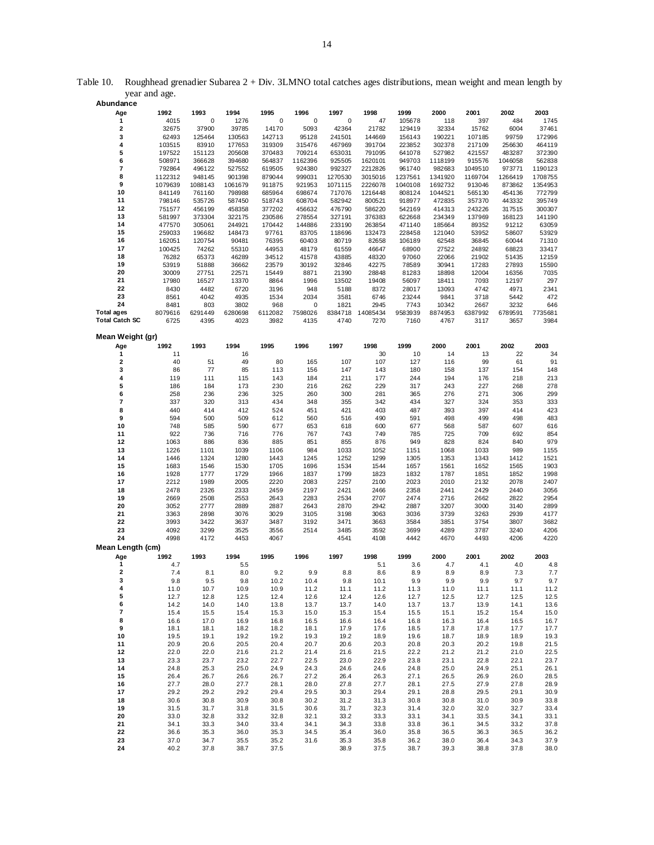| Abundance             |         |              |              |              |              |         |              |         |              |              |         |              |
|-----------------------|---------|--------------|--------------|--------------|--------------|---------|--------------|---------|--------------|--------------|---------|--------------|
| Age                   | 1992    | 1993         | 1994         | 1995         | 1996         | 1997    | 1998         | 1999    | 2000         | 2001         | 2002    | 2003         |
| 1                     | 4015    | 0            | 1276         | 0            | 0            | 0       | 47           | 105678  | 118          | 397          | 484     | 1745         |
| $\mathbf 2$           | 32675   | 37900        | 39785        | 14170        | 5093         | 42364   | 21782        | 129419  | 32334        | 15762        | 6004    | 37461        |
| 3                     | 62493   | 125464       | 130563       | 142713       | 95128        | 241501  | 144669       | 156143  | 190221       | 107185       | 99759   | 172996       |
| 4                     | 103515  | 83910        | 177653       | 319309       | 315476       | 467969  | 391704       | 223852  | 302378       | 217109       | 256630  | 464119       |
| 5                     |         |              | 205608       |              | 709214       |         | 791095       |         | 527982       |              |         |              |
|                       | 197522  | 151123       |              | 370483       |              | 653031  |              | 641078  |              | 421557       | 483287  | 372390       |
| 6                     | 508971  | 366628       | 394680       | 564837       | 1162396      | 925505  | 1620101      | 949703  | 1118199      | 915576       | 1046058 | 562838       |
| 7                     | 792864  | 496122       | 527552       | 619505       | 924380       | 992327  | 2212826      | 961740  | 982683       | 1049510      | 973771  | 1190123      |
| 8                     | 1122312 | 948145       | 901398       | 879044       | 999031       | 1270530 | 3015016      | 1237561 | 1341920      | 1169704      | 1266419 | 1708755      |
| 9                     | 1079639 | 1088143      | 1061679      | 911875       | 921953       | 1071115 | 2226078      | 1040108 | 1692732      | 913046       | 873862  | 1354953      |
| 10                    | 841149  | 761160       | 798988       | 685964       | 698674       | 717076  | 1216448      | 808124  | 1044521      | 565130       | 454136  | 772799       |
| 11                    | 798146  | 535726       | 587450       | 518743       | 608704       | 582942  | 800521       | 918977  | 472835       | 357370       | 443332  | 395749       |
| 12                    | 751577  | 456199       | 458358       | 377202       | 456632       | 476790  | 586220       | 542169  | 414313       | 243226       | 317515  | 300307       |
| 13                    | 581997  | 373304       | 322175       | 230586       | 278554       | 327191  | 376383       | 622668  | 234349       | 137969       | 168123  | 141190       |
| 14                    | 477570  | 305061       | 244921       | 170442       | 144886       | 233190  | 263854       | 471140  | 185664       | 89352        | 91212   | 63059        |
| 15                    | 259033  | 196682       | 148473       | 97761        | 83705        | 118696  | 132473       | 228458  | 121040       | 53952        | 58607   | 53929        |
| 16                    | 162051  | 120754       | 90481        | 76395        | 60403        | 80719   | 82658        | 106189  | 62548        | 36845        | 60044   | 71310        |
|                       |         |              |              |              |              |         |              |         |              |              |         |              |
| 17                    | 100425  | 74262        | 55310        | 44953        | 48179        | 61559   | 46647        | 68900   | 27522        | 24892        | 68823   | 33417        |
| 18                    | 76282   | 65373        | 46289        | 34512        | 41578        | 43885   | 48320        | 97060   | 22066        | 21902        | 51435   | 12159        |
| 19                    | 53919   | 51888        | 36662        | 23579        | 30192        | 32846   | 42275        | 78589   | 30941        | 17283        | 27893   | 15590        |
| 20                    | 30009   | 27751        | 22571        | 15449        | 8871         | 21390   | 28848        | 81283   | 18898        | 12004        | 16356   | 7035         |
| 21                    | 17980   | 16527        | 13370        | 8864         | 1996         | 13502   | 19408        | 56097   | 18411        | 7093         | 12197   | 297          |
| 22                    | 8430    | 4482         | 6720         | 3196         | 948          | 5188    | 8372         | 28017   | 13093        | 4742         | 4971    | 2341         |
| 23                    | 8561    | 4042         | 4935         | 1534         | 2034         | 3581    | 6746         | 23244   | 9841         | 3718         | 5442    | 472          |
| 24                    | 8481    | 803          | 3802         | 968          | 0            | 1821    | 2945         | 7743    | 10342        | 2667         | 3232    | 646          |
| <b>Total ages</b>     | 8079616 | 6291449      | 6280698      | 6112082      | 7598026      | 8384718 | 14085434     | 9583939 | 8874953      | 6387992      | 6789591 | 7735681      |
| <b>Total Catch SC</b> | 6725    | 4395         | 4023         | 3982         | 4135         | 4740    | 7270         | 7160    | 4767         | 3117         | 3657    | 3984         |
|                       |         |              |              |              |              |         |              |         |              |              |         |              |
| Mean Weight (gr)      |         |              |              |              |              |         |              |         |              |              |         |              |
|                       |         |              |              |              |              |         |              |         |              |              |         |              |
| Age                   | 1992    | 1993         | 1994         | 1995         | 1996         | 1997    | 1998         | 1999    | 2000         | 2001         | 2002    | 2003         |
| 1                     | 11      |              | 16           |              |              |         | 30           | 10      | 14           | 13           | 22      | 34           |
| 2                     | 40      | 51           | 49           | 80           | 165          | 107     | 107          | 127     | 116          | 99           | 61      | 91           |
| 3                     | 86      | 77           | 85           | 113          | 156          | 147     | 143          | 180     | 158          | 137          | 154     | 148          |
| 4                     | 119     | 111          | 115          | 143          | 184          | 211     | 177          | 244     | 194          | 176          | 218     | 213          |
| 5                     | 186     | 184          | 173          | 230          | 216          | 262     | 229          | 317     | 243          | 227          | 268     | 278          |
| 6                     | 258     | 236          | 236          | 325          | 260          | 300     | 281          | 365     | 276          | 271          | 306     | 299          |
| 7                     | 337     | 320          | 313          | 434          | 348          | 355     | 342          | 434     | 327          | 324          | 353     | 333          |
| 8                     | 440     | 414          | 412          | 524          | 451          | 421     | 403          | 487     | 393          | 397          | 414     | 423          |
| 9                     | 594     | 500          | 509          | 612          | 560          | 516     | 490          | 591     | 498          | 499          | 498     | 483          |
| 10                    | 748     | 585          | 590          | 677          | 653          | 618     | 600          | 677     | 568          | 587          | 607     | 616          |
| 11                    | 922     | 736          | 716          | 776          | 767          | 743     | 749          | 785     | 725          | 709          | 692     | 854          |
|                       |         | 886          |              | 885          | 851          | 855     | 876          | 949     | 828          | 824          | 840     | 979          |
| 12                    | 1063    |              | 836          |              |              |         |              |         |              |              |         |              |
| 13                    | 1226    | 1101         | 1039         | 1106         | 984          | 1033    | 1052         | 1151    | 1068         | 1033         | 989     | 1155         |
| 14                    | 1446    | 1324         | 1280         | 1443         | 1245         | 1252    | 1299         | 1305    | 1353         | 1343         | 1412    | 1521         |
| 15                    | 1683    | 1546         | 1530         | 1705         | 1696         | 1534    | 1544         | 1657    | 1561         | 1652         | 1565    | 1903         |
| 16                    | 1928    | 1777         | 1729         | 1966         | 1837         | 1799    | 1823         | 1832    | 1787         | 1851         | 1852    | 1998         |
| 17                    | 2212    | 1989         | 2005         | 2220         | 2083         | 2257    | 2100         | 2023    | 2010         | 2132         | 2078    | 2407         |
| 18                    | 2478    | 2326         | 2333         | 2459         | 2197         | 2421    | 2466         | 2358    | 2441         | 2429         | 2440    | 3056         |
| 19                    | 2669    |              |              |              |              |         |              |         |              |              |         |              |
| 20                    |         | 2508         | 2553         | 2643         | 2283         | 2534    | 2707         | 2474    | 2716         | 2662         | 2822    | 2954         |
| 21                    |         | 2777         | 2889         | 2887         | 2643         |         | 2942         | 2887    |              | 3000         | 3140    |              |
|                       | 3052    |              |              |              |              | 2870    |              |         | 3207         |              |         | 2899         |
|                       | 3363    | 2898         | 3076         | 3029         | 3105         | 3198    | 3063         | 3036    | 3739         | 3263         | 2939    | 4177         |
| 22                    | 3993    | 3422         | 3637         | 3487         | 3192         | 3471    | 3663         | 3584    | 3851         | 3754         | 3807    | 3682         |
| 23                    | 4092    | 3299         | 3525         | 3556         | 2514         | 3485    | 3592         | 3699    | 4289         | 3787         | 3240    | 4206         |
| 24                    | 4998    | 4172         | 4453         | 4067         |              | 4541    | 4108         | 4442    | 4670         | 4493         | 4206    | 4220         |
| Mean Length (cm)      |         |              |              |              |              |         |              |         |              |              |         |              |
| Age                   | 1992    | 1993         | 1994         | 1995         | 1996         | 1997    | 1998         | 1999    | 2000         | 2001         | 2002    | 2003         |
| 1                     | 4.7     |              | 5.5          |              |              |         | 5.1          | 3.6     | 4.7          | 4.1          | 4.0     | 4.8          |
| 2                     | 7.4     | 8.1          | 8.0          | 9.2          | 9.9          | 8.8     | 8.6          | 8.9     | 8.9          | 8.9          | 7.3     | 7.7          |
| З                     | 9.8     | 9.5          | 9.8          | 10.2         | 10.4         | 9.8     | 10.1         | 9.9     | 9.9          | 9.9          | 9.7     |              |
| 4                     | 11.0    | 10.7         | 10.9         | 10.9         | 11.2         | 11.1    | 11.2         | 11.3    | 11.0         | 11.1         | 11.1    | 11.2         |
| 5                     | 12.7    | 12.8         | 12.5         | 12.4         | 12.6         | 12.4    | 12.6         | 12.7    | 12.5         | 12.7         | 12.5    | 12.5         |
| 6                     | 14.2    | 14.0         | 14.0         | 13.8         | 13.7         | 13.7    | 14.0         | 13.7    | 13.7         | 13.9         | 14.1    | 13.6         |
| 7                     | 15.4    | 15.5         | 15.4         | 15.3         | 15.0         | 15.3    | 15.4         | 15.5    | 15.1         | 15.2         | 15.4    | 15.0         |
|                       |         |              |              |              |              |         |              |         |              |              |         |              |
| 8                     | 16.6    | 17.0         | 16.9         | 16.8         | 16.5         | 16.6    | 16.4         | 16.8    | 16.3         | 16.4         | 16.5    | 9.7<br>16.7  |
| 9                     | 18.1    | 18.1         | 18.2         | 18.2         | 18.1         | 17.9    | 17.6         | 18.5    | 17.8         | 17.8         | 17.7    | 17.7         |
| 10                    | 19.5    | 19.1         | 19.2         | 19.2         | 19.3         | 19.2    | 18.9         | 19.6    | 18.7         | 18.9         | 18.9    | 19.3         |
| 11                    | 20.9    | 20.6         | 20.5         | 20.4         | 20.7         | 20.6    | 20.3         | 20.8    | 20.3         | 20.2         | 19.8    | 21.5         |
| 12                    | 22.0    | 22.0         | 21.6         | 21.2         | 21.4         | 21.6    | 21.5         | 22.2    | 21.2         | 21.2         | 21.0    | 22.5         |
| 13                    | 23.3    | 23.7         | 23.2         | 22.7         | 22.5         | 23.0    | 22.9         | 23.8    | 23.1         | 22.8         | 22.1    | 23.7         |
| 14                    | 24.8    | 25.3         | 25.0         | 24.9         | 24.3         | 24.6    | 24.6         | 24.8    | 25.0         | 24.9         | 25.1    | 26.1         |
| 15                    | 26.4    | 26.7         | 26.6         | 26.7         | 27.2         | 26.4    | 26.3         | 27.1    | 26.5         | 26.9         | 26.0    | 28.5         |
| 16                    | 27.7    | 28.0         | 27.7         | 28.1         | 28.0         | 27.8    | 27.7         | 28.1    | 27.5         | 27.9         | 27.8    | 28.9         |
| 17                    | 29.2    | 29.2         | 29.2         | 29.4         | 29.5         | 30.3    | 29.4         | 29.1    | 28.8         | 29.5         | 29.1    | 30.9         |
| 18                    | 30.6    | 30.8         | 30.9         | 30.8         | 30.2         | 31.2    | 31.3         | 30.8    | 30.8         | 31.0         | 30.9    | 33.8         |
| 19                    | 31.5    | 31.7         | 31.8         | 31.5         | 30.6         | 31.7    | 32.3         | 31.4    | 32.0         | 32.0         | 32.7    | 33.4         |
| 20                    | 33.0    | 32.8         | 33.2         | 32.8         | 32.1         | 33.2    | 33.3         | 33.1    | 34.1         | 33.5         | 34.1    | 33.1         |
| 21                    | 34.1    | 33.3         | 34.0         | 33.4         | 34.1         | 34.3    | 33.8         | 33.8    | 36.1         | 34.5         | 33.2    | 37.8         |
| 22                    | 36.6    |              |              |              |              | 35.4    |              | 35.8    |              |              | 36.5    |              |
| 23                    | 37.0    | 35.3<br>34.7 | 36.0<br>35.5 | 35.3<br>35.2 | 34.5<br>31.6 | 35.3    | 36.0<br>35.8 | 36.2    | 36.5<br>38.0 | 36.3<br>36.4 | 34.3    | 36.2<br>37.9 |

Table 10. Roughhead grenadier Subarea 2 + Div. 3LMNO total catches ages distributions, mean weight and mean length by year and age.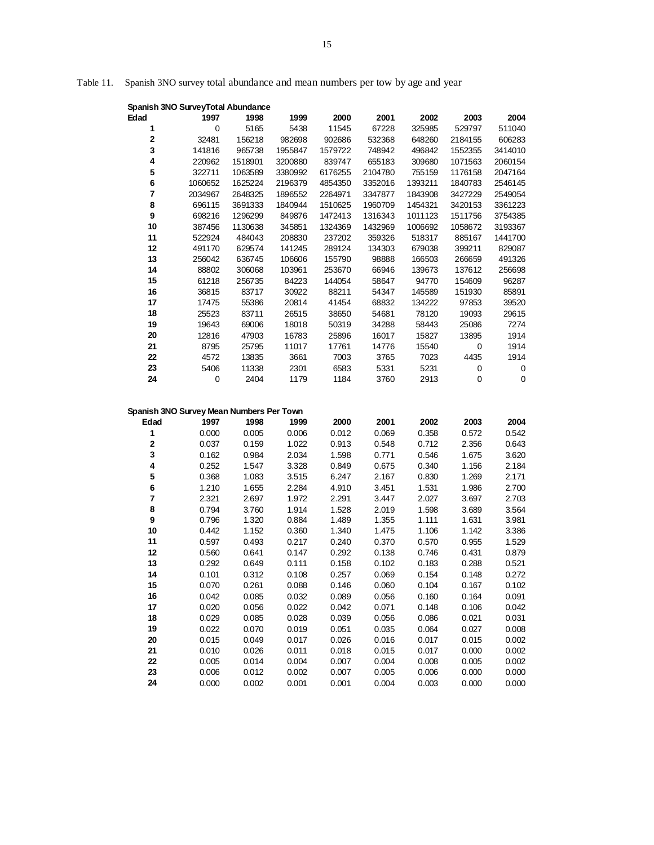# Table 11. Spanish 3NO survey total abundance and mean numbers per tow by age and year

|          | Spanish 3NO SurveyTotal Abundance        |         |         |         |         |         |         |         |
|----------|------------------------------------------|---------|---------|---------|---------|---------|---------|---------|
| Edad     | 1997                                     | 1998    | 1999    | 2000    | 2001    | 2002    | 2003    | 2004    |
| 1        | 0                                        | 5165    | 5438    | 11545   | 67228   | 325985  | 529797  | 511040  |
| 2        | 32481                                    | 156218  | 982698  | 902686  | 532368  | 648260  | 2184155 | 606283  |
| 3        | 141816                                   | 965738  | 1955847 | 1579722 | 748942  | 496842  | 1552355 | 3414010 |
| 4        | 220962                                   | 1518901 | 3200880 | 839747  | 655183  | 309680  | 1071563 | 2060154 |
| 5        | 322711                                   | 1063589 | 3380992 | 6176255 | 2104780 | 755159  | 1176158 | 2047164 |
| 6        | 1060652                                  | 1625224 | 2196379 | 4854350 | 3352016 | 1393211 | 1840783 | 2546145 |
| 7        | 2034967                                  | 2648325 | 1896552 | 2264971 | 3347877 | 1843908 | 3427229 | 2549054 |
| 8        | 696115                                   | 3691333 | 1840944 | 1510625 | 1960709 | 1454321 | 3420153 | 3361223 |
| 9        | 698216                                   | 1296299 | 849876  | 1472413 | 1316343 | 1011123 | 1511756 | 3754385 |
| 10       | 387456                                   | 1130638 | 345851  | 1324369 | 1432969 | 1006692 | 1058672 | 3193367 |
| 11       | 522924                                   | 484043  | 208830  | 237202  | 359326  | 518317  | 885167  | 1441700 |
| 12       | 491170                                   | 629574  | 141245  | 289124  | 134303  | 679038  | 399211  | 829087  |
| 13       | 256042                                   | 636745  | 106606  | 155790  | 98888   | 166503  | 266659  | 491326  |
| 14       | 88802                                    | 306068  | 103961  | 253670  | 66946   | 139673  | 137612  | 256698  |
| 15       | 61218                                    | 256735  | 84223   | 144054  | 58647   | 94770   | 154609  | 96287   |
| 16       | 36815                                    | 83717   | 30922   | 88211   | 54347   | 145589  | 151930  | 85891   |
| 17       | 17475                                    | 55386   | 20814   | 41454   | 68832   | 134222  | 97853   | 39520   |
| 18       | 25523                                    | 83711   | 26515   | 38650   | 54681   | 78120   | 19093   | 29615   |
| 19       | 19643                                    | 69006   | 18018   | 50319   | 34288   | 58443   | 25086   | 7274    |
| 20       | 12816                                    | 47903   | 16783   | 25896   | 16017   | 15827   | 13895   | 1914    |
| 21       | 8795                                     | 25795   | 11017   | 17761   | 14776   | 15540   | 0       | 1914    |
| 22       | 4572                                     | 13835   | 3661    | 7003    | 3765    | 7023    | 4435    | 1914    |
| 23       | 5406                                     | 11338   | 2301    | 6583    | 5331    | 5231    | 0       | 0       |
| 24       | 0                                        | 2404    | 1179    | 1184    | 3760    | 2913    | 0       | 0       |
|          |                                          |         |         |         |         |         |         |         |
|          | Spanish 3NO Survey Mean Numbers Per Town |         |         |         |         |         |         |         |
| Edad     | 1997                                     | 1998    | 1999    | 2000    | 2001    | 2002    | 2003    | 2004    |
| 1        | 0.000                                    | 0.005   | 0.006   | 0.012   | 0.069   | 0.358   | 0.572   | 0.542   |
| 2        | 0.037                                    | 0.159   | 1.022   | 0.913   | 0.548   | 0.712   | 2.356   | 0.643   |
| 3        | 0.162                                    |         |         |         |         |         |         |         |
| 4        |                                          | 0.984   | 2.034   | 1.598   | 0.771   | 0.546   | 1.675   | 3.620   |
| 5        | 0.252                                    | 1.547   | 3.328   | 0.849   | 0.675   | 0.340   | 1.156   | 2.184   |
|          | 0.368                                    | 1.083   | 3.515   | 6.247   | 2.167   | 0.830   | 1.269   | 2.171   |
| 6        | 1.210                                    | 1.655   | 2.284   | 4.910   | 3.451   | 1.531   | 1.986   | 2.700   |
| 7        | 2.321                                    | 2.697   | 1.972   | 2.291   | 3.447   | 2.027   | 3.697   | 2.703   |
| 8        | 0.794                                    | 3.760   | 1.914   | 1.528   | 2.019   | 1.598   | 3.689   | 3.564   |
| 9        | 0.796                                    | 1.320   | 0.884   | 1.489   | 1.355   | 1.111   | 1.631   | 3.981   |
| 10       | 0.442                                    | 1.152   | 0.360   | 1.340   | 1.475   | 1.106   | 1.142   | 3.386   |
| 11       | 0.597                                    | 0.493   | 0.217   | 0.240   | 0.370   | 0.570   | 0.955   | 1.529   |
| 12       | 0.560                                    | 0.641   | 0.147   | 0.292   | 0.138   | 0.746   | 0.431   | 0.879   |
| 13       | 0.292                                    | 0.649   | 0.111   | 0.158   | 0.102   | 0.183   | 0.288   | 0.521   |
| 14       | 0.101                                    | 0.312   | 0.108   | 0.257   | 0.069   | 0.154   | 0.148   | 0.272   |
| 15       | 0.070                                    | 0.261   | 0.088   | 0.146   | 0.060   | 0.104   | 0.167   | 0.102   |
| 16       | 0.042                                    | 0.085   | 0.032   | 0.089   | 0.056   | 0.160   | 0.164   | 0.091   |
| 17       | 0.020                                    | 0.056   | 0.022   | 0.042   | 0.071   | 0.148   | 0.106   | 0.042   |
| 18       | 0.029                                    | 0.085   | 0.028   | 0.039   | 0.056   | 0.086   | 0.021   | 0.031   |
| 19       | 0.022                                    | 0.070   | 0.019   | 0.051   | 0.035   | 0.064   | 0.027   | 0.008   |
| $20\,$   | 0.015                                    | 0.049   | 0.017   | 0.026   | 0.016   | 0.017   | 0.015   | 0.002   |
| 21       | 0.010                                    | 0.026   | 0.011   | 0.018   | 0.015   | 0.017   | 0.000   | 0.002   |
| 22       | 0.005                                    | 0.014   | 0.004   | 0.007   | 0.004   | 0.008   | 0.005   | 0.002   |
| 23<br>24 | 0.006<br>0.000                           | 0.012   | 0.002   | 0.007   | 0.005   | 0.006   | 0.000   | 0.000   |